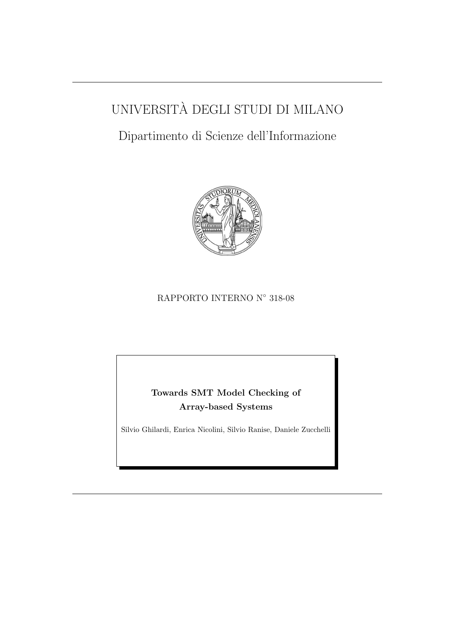# UNIVERSITA DEGLI STUDI DI MILANO `

# Dipartimento di Scienze dell'Informazione



## RAPPORTO INTERNO N° 318-08

# Towards SMT Model Checking of Array-based Systems

Silvio Ghilardi, Enrica Nicolini, Silvio Ranise, Daniele Zucchelli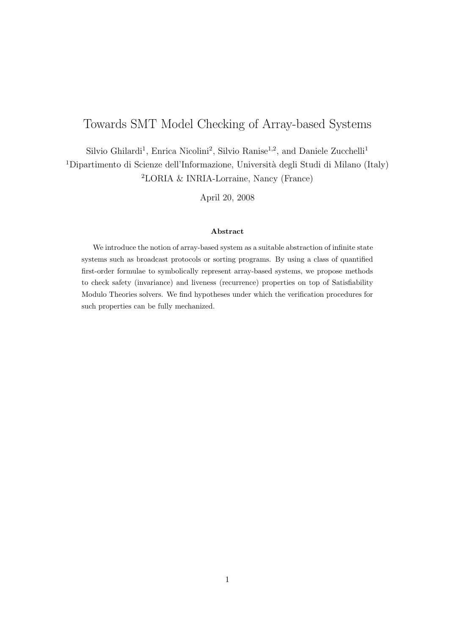# Towards SMT Model Checking of Array-based Systems

Silvio Ghilardi<sup>1</sup>, Enrica Nicolini<sup>2</sup>, Silvio Ranise<sup>1,2</sup>, and Daniele Zucchelli<sup>1</sup> <sup>1</sup>Dipartimento di Scienze dell'Informazione, Università degli Studi di Milano (Italy) <sup>2</sup>LORIA & INRIA-Lorraine, Nancy (France)

April 20, 2008

#### Abstract

We introduce the notion of array-based system as a suitable abstraction of infinite state systems such as broadcast protocols or sorting programs. By using a class of quantified first-order formulae to symbolically represent array-based systems, we propose methods to check safety (invariance) and liveness (recurrence) properties on top of Satisfiability Modulo Theories solvers. We find hypotheses under which the verification procedures for such properties can be fully mechanized.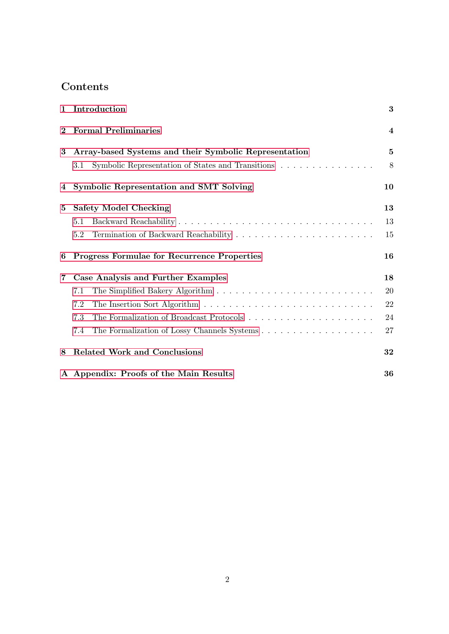# Contents

| $\mathbf{1}$ | Introduction                                                                                  | 3              |
|--------------|-----------------------------------------------------------------------------------------------|----------------|
| $\bf{2}$     | <b>Formal Preliminaries</b>                                                                   | $\overline{4}$ |
| 3            | Array-based Systems and their Symbolic Representation                                         | $\bf{5}$       |
|              | Symbolic Representation of States and Transitions $\ldots \ldots \ldots \ldots \ldots$<br>3.1 | 8              |
| 4            | <b>Symbolic Representation and SMT Solving</b>                                                | 10             |
| 5            | <b>Safety Model Checking</b>                                                                  | 13             |
|              | 5.1                                                                                           | 13             |
|              | 5.2                                                                                           | 15             |
| 6            | <b>Progress Formulae for Recurrence Properties</b>                                            | 16             |
| 7            | Case Analysis and Further Examples                                                            | 18             |
|              | 7.1                                                                                           | 20             |
|              | 7.2                                                                                           | 22             |
|              | 7.3                                                                                           | 24             |
|              | 7.4                                                                                           | 27             |
| 8            | <b>Related Work and Conclusions</b>                                                           | 32             |
|              | A Appendix: Proofs of the Main Results                                                        | 36             |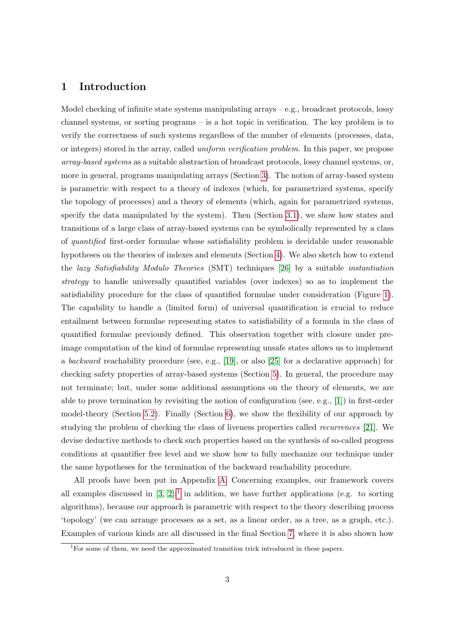## <span id="page-3-0"></span>1 Introduction

Model checking of infinite state systems manipulating arrays – e.g., broadcast protocols, lossy channel systems, or sorting programs – is a hot topic in verification. The key problem is to verify the correctness of such systems regardless of the number of elements (processes, data, or integers) stored in the array, called uniform verification problem. In this paper, we propose array-based systems as a suitable abstraction of broadcast protocols, lossy channel systems, or, more in general, programs manipulating arrays (Section [3\)](#page-5-0). The notion of array-based system is parametric with respect to a theory of indexes (which, for parametrized systems, specify the topology of processes) and a theory of elements (which, again for parametrized systems, specify the data manipulated by the system). Then (Section [3.1\)](#page-8-0), we show how states and transitions of a large class of array-based systems can be symbolically represented by a class of quantified first-order formulae whose satisfiability problem is decidable under reasonable hypotheses on the theories of indexes and elements (Section [4\)](#page-10-0). We also sketch how to extend the lazy Satisfiability Modulo Theories (SMT) techniques [\[26\]](#page-35-0) by a suitable instantiation strategy to handle universally quantified variables (over indexes) so as to implement the satisfiability procedure for the class of quantified formulae under consideration (Figure [1\)](#page-11-0). The capability to handle a (limited form) of universal quantification is crucial to reduce entailment between formulae representing states to satisfiability of a formula in the class of quantified formulae previously defined. This observation together with closure under preimage computation of the kind of formulae representing unsafe states allows us to implement a backward reachability procedure (see, e.g., [\[19\]](#page-35-1), or also [\[25\]](#page-35-2) for a declarative approach) for checking safety properties of array-based systems (Section [5\)](#page-13-0). In general, the procedure may not terminate; but, under some additional assumptions on the theory of elements, we are able to prove termination by revisiting the notion of configuration (see, e.g., [\[1\]](#page-33-0)) in first-order model-theory (Section [5.2\)](#page-15-0). Finally (Section [6\)](#page-16-0), we show the flexibility of our approach by studying the problem of checking the class of liveness properties called recurrences [\[21\]](#page-35-3). We devise deductive methods to check such properties based on the synthesis of so-called progress conditions at quantifier free level and we show how to fully mechanize our technique under the same hypotheses for the termination of the backward reachability procedure.

All proofs have been put in Appendix [A.](#page-36-0) Concerning examples, our framework covers all examples discussed in  $[3, 2]$  $[3, 2]$ ;<sup>[1](#page-3-1)</sup> in addition, we have further applications (e.g. to sorting algorithms), because our approach is parametric with respect to the theory describing process 'topology' (we can arrange processes as a set, as a linear order, as a tree, as a graph, etc.). Examples of various kinds are all discussed in the final Section [7,](#page-18-0) where it is also shown how

<span id="page-3-1"></span><sup>&</sup>lt;sup>1</sup>For some of them, we need the approximated transition trick introduced in these papers.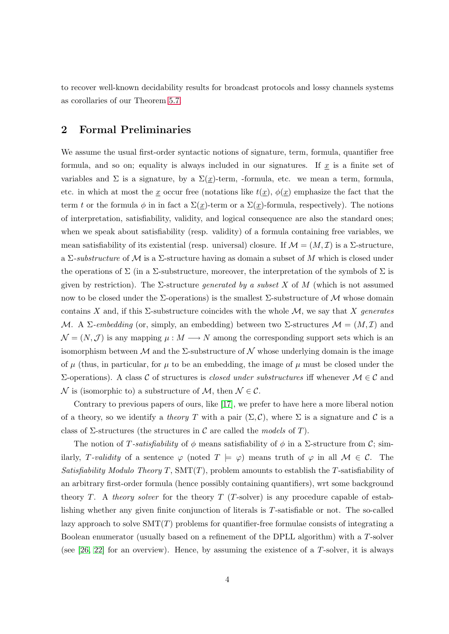to recover well-known decidability results for broadcast protocols and lossy channels systems as corollaries of our Theorem [5.7.](#page-16-1)

## <span id="page-4-0"></span>2 Formal Preliminaries

We assume the usual first-order syntactic notions of signature, term, formula, quantifier free formula, and so on; equality is always included in our signatures. If  $x$  is a finite set of variables and  $\Sigma$  is a signature, by a  $\Sigma(\underline{x})$ -term, -formula, etc. we mean a term, formula, etc. in which at most the x occur free (notations like  $t(x)$ ,  $\phi(x)$  emphasize the fact that the term t or the formula  $\phi$  in in fact a  $\Sigma(\underline{x})$ -term or a  $\Sigma(\underline{x})$ -formula, respectively). The notions of interpretation, satisfiability, validity, and logical consequence are also the standard ones; when we speak about satisfiability (resp. validity) of a formula containing free variables, we mean satisfiability of its existential (resp. universal) closure. If  $\mathcal{M} = (M, \mathcal{I})$  is a  $\Sigma$ -structure, a  $\Sigma$ -substructure of M is a  $\Sigma$ -structure having as domain a subset of M which is closed under the operations of  $\Sigma$  (in a  $\Sigma$ -substructure, moreover, the interpretation of the symbols of  $\Sigma$  is given by restriction). The  $\Sigma$ -structure *generated by a subset X* of M (which is not assumed now to be closed under the  $\Sigma$ -operations) is the smallest  $\Sigma$ -substructure of M whose domain contains X and, if this  $\Sigma$ -substructure coincides with the whole M, we say that X generates M. A Σ-embedding (or, simply, an embedding) between two Σ-structures  $\mathcal{M} = (M, \mathcal{I})$  and  $\mathcal{N} = (N, \mathcal{J})$  is any mapping  $\mu : M \longrightarrow N$  among the corresponding support sets which is an isomorphism between  $\mathcal M$  and the  $\Sigma$ -substructure of  $\mathcal N$  whose underlying domain is the image of  $\mu$  (thus, in particular, for  $\mu$  to be an embedding, the image of  $\mu$  must be closed under the  $Σ$ -operations). A class C of structures is *closed under substructures* iff whenever  $M ∈ C$  and N is (isomorphic to) a substructure of M, then  $N \in \mathcal{C}$ .

Contrary to previous papers of ours, like [\[17\]](#page-35-4), we prefer to have here a more liberal notion of a theory, so we identify a theory T with a pair  $(\Sigma, \mathcal{C})$ , where  $\Sigma$  is a signature and C is a class of  $\Sigma$ -structures (the structures in C are called the *models* of T).

The notion of T-satisfiability of  $\phi$  means satisfiability of  $\phi$  in a  $\Sigma$ -structure from C; similarly, T-validity of a sentence  $\varphi$  (noted  $T \models \varphi$ ) means truth of  $\varphi$  in all  $\mathcal{M} \in \mathcal{C}$ . The Satisfiability Modulo Theory T,  $SMT(T)$ , problem amounts to establish the T-satisfiability of an arbitrary first-order formula (hence possibly containing quantifiers), wrt some background theory T. A theory solver for the theory  $T$  (T-solver) is any procedure capable of establishing whether any given finite conjunction of literals is T-satisfiable or not. The so-called lazy approach to solve  $SMT(T)$  problems for quantifier-free formulae consists of integrating a Boolean enumerator (usually based on a refinement of the DPLL algorithm) with a T-solver (see  $[26, 22]$  $[26, 22]$  for an overview). Hence, by assuming the existence of a T-solver, it is always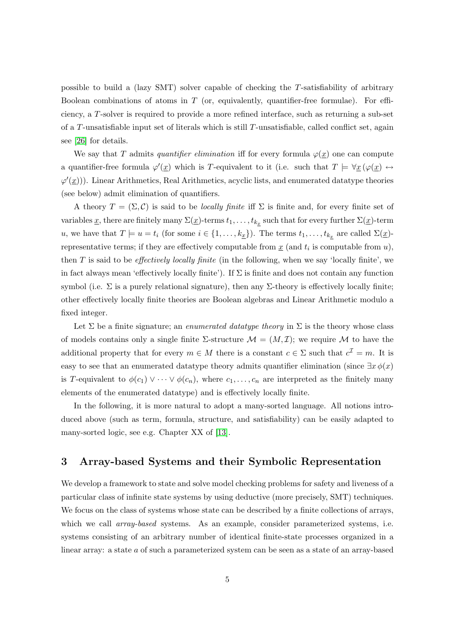possible to build a (lazy SMT) solver capable of checking the T-satisfiability of arbitrary Boolean combinations of atoms in  $T$  (or, equivalently, quantifier-free formulae). For efficiency, a T-solver is required to provide a more refined interface, such as returning a sub-set of a  $T$ -unsatisfiable input set of literals which is still  $T$ -unsatisfiable, called conflict set, again see [\[26\]](#page-35-0) for details.

We say that T admits quantifier elimination iff for every formula  $\varphi(x)$  one can compute a quantifier-free formula  $\varphi'(\underline{x})$  which is T-equivalent to it (i.e. such that  $T \models \forall \underline{x} (\varphi(\underline{x}) \leftrightarrow \varphi(\underline{x}))$  $\varphi'(\underline{x}))$ ). Linear Arithmetics, Real Arithmetics, acyclic lists, and enumerated datatype theories (see below) admit elimination of quantifiers.

A theory  $T = (\Sigma, C)$  is said to be *locally finite* iff  $\Sigma$  is finite and, for every finite set of variables  $\underline{x}$ , there are finitely many  $\Sigma(\underline{x})$ -terms  $t_1, \ldots, t_{k_{\underline{x}}}$  such that for every further  $\Sigma(\underline{x})$ -term u, we have that  $T \models u = t_i$  (for some  $i \in \{1, \ldots, k_{\underline{x}}\}\)$ . The terms  $t_1, \ldots, t_{k_{\underline{x}}}$  are called  $\Sigma(\underline{x})$ representative terms; if they are effectively computable from  $\underline{x}$  (and  $t_i$  is computable from  $u$ ), then  $T$  is said to be *effectively locally finite* (in the following, when we say 'locally finite', we in fact always mean 'effectively locally finite'). If  $\Sigma$  is finite and does not contain any function symbol (i.e.  $\Sigma$  is a purely relational signature), then any  $\Sigma$ -theory is effectively locally finite; other effectively locally finite theories are Boolean algebras and Linear Arithmetic modulo a fixed integer.

Let  $\Sigma$  be a finite signature; an *enumerated datatype theory* in  $\Sigma$  is the theory whose class of models contains only a single finite  $\Sigma$ -structure  $\mathcal{M} = (M, \mathcal{I})$ ; we require  $\mathcal M$  to have the additional property that for every  $m \in M$  there is a constant  $c \in \Sigma$  such that  $c^{\mathcal{I}} = m$ . It is easy to see that an enumerated datatype theory admits quantifier elimination (since  $\exists x \phi(x)$ is T-equivalent to  $\phi(c_1) \vee \cdots \vee \phi(c_n)$ , where  $c_1, \ldots, c_n$  are interpreted as the finitely many elements of the enumerated datatype) and is effectively locally finite.

In the following, it is more natural to adopt a many-sorted language. All notions introduced above (such as term, formula, structure, and satisfiability) can be easily adapted to many-sorted logic, see e.g. Chapter XX of [\[13\]](#page-34-0).

## <span id="page-5-0"></span>3 Array-based Systems and their Symbolic Representation

We develop a framework to state and solve model checking problems for safety and liveness of a particular class of infinite state systems by using deductive (more precisely, SMT) techniques. We focus on the class of systems whose state can be described by a finite collections of arrays, which we call *array-based* systems. As an example, consider parameterized systems, i.e. systems consisting of an arbitrary number of identical finite-state processes organized in a linear array: a state a of such a parameterized system can be seen as a state of an array-based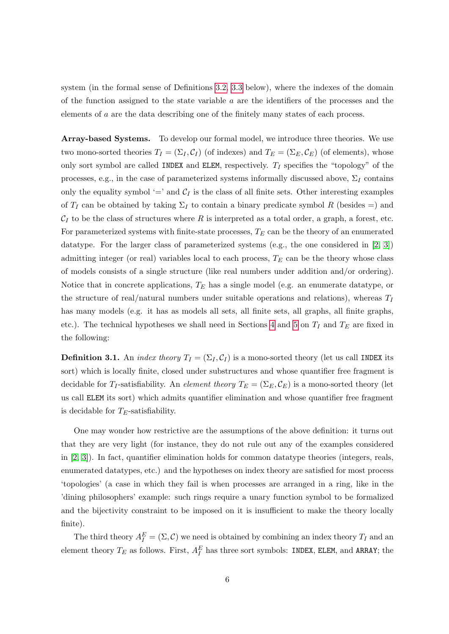system (in the formal sense of Definitions [3.2,](#page-7-0) [3.3](#page-7-1) below), where the indexes of the domain of the function assigned to the state variable  $a$  are the identifiers of the processes and the elements of a are the data describing one of the finitely many states of each process.

Array-based Systems. To develop our formal model, we introduce three theories. We use two mono-sorted theories  $T_I = (\Sigma_I, C_I)$  (of indexes) and  $T_E = (\Sigma_E, C_E)$  (of elements), whose only sort symbol are called INDEX and ELEM, respectively.  $T_I$  specifies the "topology" of the processes, e.g., in the case of parameterized systems informally discussed above,  $\Sigma_I$  contains only the equality symbol '=' and  $C_I$  is the class of all finite sets. Other interesting examples of  $T_I$  can be obtained by taking  $\Sigma_I$  to contain a binary predicate symbol R (besides =) and  $\mathcal{C}_I$  to be the class of structures where R is interpreted as a total order, a graph, a forest, etc. For parameterized systems with finite-state processes,  $T_E$  can be the theory of an enumerated datatype. For the larger class of parameterized systems (e.g., the one considered in [\[2,](#page-33-2) [3\]](#page-33-1)) admitting integer (or real) variables local to each process,  $T_E$  can be the theory whose class of models consists of a single structure (like real numbers under addition and/or ordering). Notice that in concrete applications,  $T_E$  has a single model (e.g. an enumerate datatype, or the structure of real/natural numbers under suitable operations and relations), whereas  $T_I$ has many models (e.g. it has as models all sets, all finite sets, all graphs, all finite graphs, etc.). The technical hypotheses we shall need in Sections [4](#page-10-0) and [5](#page-13-0) on  $T_I$  and  $T_E$  are fixed in the following:

<span id="page-6-0"></span>**Definition 3.1.** An *index theory*  $T_I = (\Sigma_I, C_I)$  is a mono-sorted theory (let us call INDEX its sort) which is locally finite, closed under substructures and whose quantifier free fragment is decidable for  $T_I$ -satisfiability. An *element theory*  $T_E = (\Sigma_E, \mathcal{C}_E)$  is a mono-sorted theory (let us call ELEM its sort) which admits quantifier elimination and whose quantifier free fragment is decidable for  $T_E$ -satisfiability.

One may wonder how restrictive are the assumptions of the above definition: it turns out that they are very light (for instance, they do not rule out any of the examples considered in [\[2,](#page-33-2) [3\]](#page-33-1)). In fact, quantifier elimination holds for common datatype theories (integers, reals, enumerated datatypes, etc.) and the hypotheses on index theory are satisfied for most process 'topologies' (a case in which they fail is when processes are arranged in a ring, like in the 'dining philosophers' example: such rings require a unary function symbol to be formalized and the bijectivity constraint to be imposed on it is insufficient to make the theory locally finite).

The third theory  $A_I^E = (\Sigma, \mathcal{C})$  we need is obtained by combining an index theory  $T_I$  and an element theory  $T_E$  as follows. First,  $A_I^E$  has three sort symbols: INDEX, ELEM, and ARRAY; the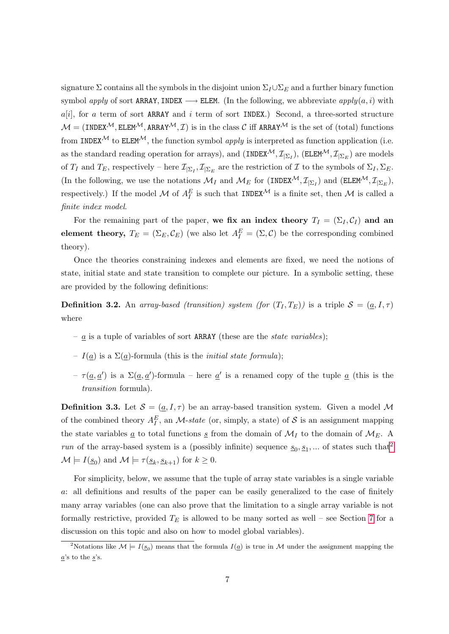signature  $\Sigma$  contains all the symbols in the disjoint union  $\Sigma_I \cup \Sigma_F$  and a further binary function symbol apply of sort ARRAY, INDEX  $\longrightarrow$  ELEM. (In the following, we abbreviate  $apply(a, i)$  with  $a[i]$ , for a term of sort ARRAY and i term of sort INDEX.) Second, a three-sorted structure  $M = (INDEX^{\mathcal{M}}, ELEM^{\mathcal{M}}, ARRAY^{\mathcal{M}}, \mathcal{I})$  is in the class C iff ARRAY<sup> $\mathcal{M}$ </sup> is the set of (total) functions from INDEX<sup>M</sup> to ELEM<sup>M</sup>, the function symbol *apply* is interpreted as function application (i.e. as the standard reading operation for arrays), and  $(\text{INDEX}^{\mathcal{M}}, \mathcal{I}_{|\Sigma_I})$ ,  $(\text{ELEM}^{\mathcal{M}}, \mathcal{I}_{|\Sigma_E})$  are models of  $T_I$  and  $T_E$ , respectively – here  $\mathcal{I}_{\vert \Sigma_I}, \mathcal{I}_{\vert \Sigma_E}$  are the restriction of  $\mathcal I$  to the symbols of  $\Sigma_I, \Sigma_E$ . (In the following, we use the notations  $\mathcal{M}_I$  and  $\mathcal{M}_E$  for  $(\text{INDEX}^{\mathcal{M}}, \mathcal{I}_{|\Sigma_I})$  and  $(\text{ELEM}^{\mathcal{M}}, \mathcal{I}_{|\Sigma_E})$ , respectively.) If the model M of  $A_I^E$  is such that INDEX<sup>M</sup> is a finite set, then M is called a finite index model.

For the remaining part of the paper, we fix an index theory  $T_I = (\Sigma_I, C_I)$  and an element theory,  $T_E = (\Sigma_E, \mathcal{C}_E)$  (we also let  $A_I^E = (\Sigma, \mathcal{C})$  be the corresponding combined theory).

Once the theories constraining indexes and elements are fixed, we need the notions of state, initial state and state transition to complete our picture. In a symbolic setting, these are provided by the following definitions:

<span id="page-7-0"></span>**Definition 3.2.** An array-based (transition) system (for  $(T_I, T_E)$ ) is a triple  $S = (a, I, \tau)$ where

- $\underline{a}$  is a tuple of variables of sort ARRAY (these are the *state variables*);
- $I(\underline{a})$  is a  $\Sigma(\underline{a})$ -formula (this is the *initial state formula*);
- $\tau(\underline{a}, \underline{a}')$  is a  $\Sigma(\underline{a}, \underline{a}')$ -formula here  $\underline{a}'$  is a renamed copy of the tuple  $\underline{a}$  (this is the transition formula).

<span id="page-7-1"></span>**Definition 3.3.** Let  $S = (a, I, \tau)$  be an array-based transition system. Given a model M of the combined theory  $A_I^E$ , an *M*-state (or, simply, a state) of S is an assignment mapping the state variables  $\underline{a}$  to total functions  $\underline{s}$  from the domain of  $\mathcal{M}_I$  to the domain of  $\mathcal{M}_E$ . A run of the array-based system is a (possibly infinite) sequence  $\underline{s}_0, \underline{s}_1, \dots$  of states such that<sup>[2](#page-7-2)</sup>  $\mathcal{M} \models I(\underline{s}_0)$  and  $\mathcal{M} \models \tau(\underline{s}_k, \underline{s}_{k+1})$  for  $k \geq 0$ .

For simplicity, below, we assume that the tuple of array state variables is a single variable a: all definitions and results of the paper can be easily generalized to the case of finitely many array variables (one can also prove that the limitation to a single array variable is not formally restrictive, provided  $T_E$  is allowed to be many sorted as well – see Section [7](#page-18-0) for a discussion on this topic and also on how to model global variables).

<span id="page-7-2"></span><sup>&</sup>lt;sup>2</sup>Notations like  $\mathcal{M} \models I(\underline{s}_0)$  means that the formula  $I(\underline{a})$  is true in  $\mathcal{M}$  under the assignment mapping the  $a$ 's to the  $s$ 's.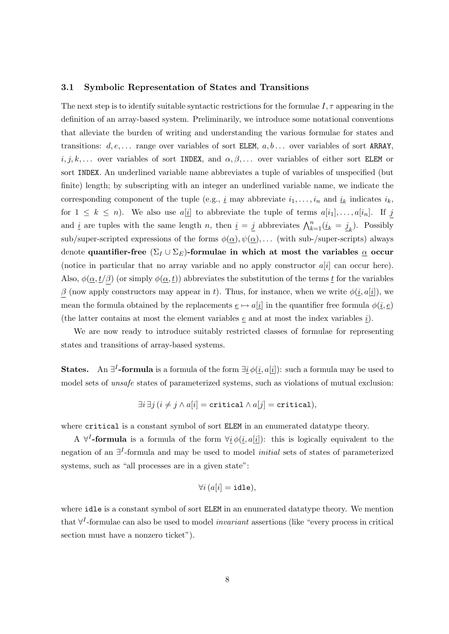#### <span id="page-8-0"></span>3.1 Symbolic Representation of States and Transitions

The next step is to identify suitable syntactic restrictions for the formulae  $I, \tau$  appearing in the definition of an array-based system. Preliminarily, we introduce some notational conventions that alleviate the burden of writing and understanding the various formulae for states and transitions:  $d, e, \ldots$  range over variables of sort ELEM,  $a, b \ldots$  over variables of sort ARRAY,  $i, j, k, \ldots$  over variables of sort INDEX, and  $\alpha, \beta, \ldots$  over variables of either sort ELEM or sort INDEX. An underlined variable name abbreviates a tuple of variables of unspecified (but finite) length; by subscripting with an integer an underlined variable name, we indicate the corresponding component of the tuple (e.g.,  $\underline{i}$  may abbreviate  $i_1, \ldots, i_n$  and  $\underline{i}_k$  indicates  $i_k$ , for  $1 \leq k \leq n$ ). We also use  $a[i]$  to abbreviate the tuple of terms  $a[i_1], \ldots, a[i_n]$ . If j and  $\underline{i}$  are tuples with the same length n, then  $\underline{i} = \underline{j}$  abbreviates  $\bigwedge_{k=1}^{n} (\underline{i}_k = \underline{j}_k)$ . Possibly sub/super-scripted expressions of the forms  $\phi(\underline{\alpha}), \psi(\underline{\alpha}), \ldots$  (with sub-/super-scripts) always denote quantifier-free  $(\Sigma_I \cup \Sigma_E)$ -formulae in which at most the variables  $\underline{\alpha}$  occur (notice in particular that no array variable and no apply constructor  $a[i]$  can occur here). Also,  $\phi(\underline{\alpha}, t/\beta)$  (or simply  $\phi(\underline{\alpha}, t)$ ) abbreviates the substitution of the terms  $\underline{t}$  for the variables β (now apply constructors may appear in t). Thus, for instance, when we write  $\phi(i, a[i])$ , we mean the formula obtained by the replacements  $\underline{e} \mapsto a[\underline{i}]$  in the quantifier free formula  $\phi(\underline{i}, \underline{e})$ (the latter contains at most the element variables  $e$  and at most the index variables  $i$ ).

We are now ready to introduce suitably restricted classes of formulae for representing states and transitions of array-based systems.

**States.** An  $\exists^{I}$ -formula is a formula of the form  $\exists \underline{i} \phi(i, a[\underline{i}])$ : such a formula may be used to model sets of unsafe states of parameterized systems, such as violations of mutual exclusion:

$$
\exists i \, \exists j \, (i \neq j \land a[i] = \text{critical} \land a[j] = \text{critical}),
$$

where critical is a constant symbol of sort ELEM in an enumerated datatype theory.

A  $\forall^{I}$ -formula is a formula of the form  $\forall i \phi(i, a[i])$ : this is logically equivalent to the negation of an ∃<sup>*I*</sup>-formula and may be used to model *initial* sets of states of parameterized systems, such as "all processes are in a given state":

$$
\forall i\,(a[i] = \mathtt{idle}), \,
$$

where idle is a constant symbol of sort ELEM in an enumerated datatype theory. We mention that  $\forall^{I}$ -formulae can also be used to model *invariant* assertions (like "every process in critical section must have a nonzero ticket").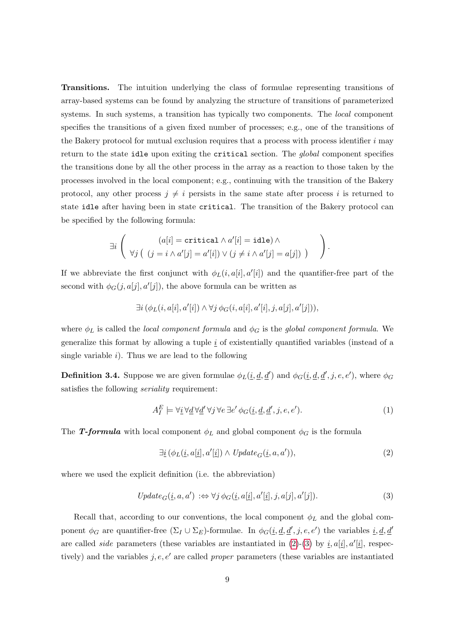Transitions. The intuition underlying the class of formulae representing transitions of array-based systems can be found by analyzing the structure of transitions of parameterized systems. In such systems, a transition has typically two components. The *local* component specifies the transitions of a given fixed number of processes; e.g., one of the transitions of the Bakery protocol for mutual exclusion requires that a process with process identifier  $i$  may return to the state idle upon exiting the critical section. The *global* component specifies the transitions done by all the other process in the array as a reaction to those taken by the processes involved in the local component; e.g., continuing with the transition of the Bakery protocol, any other process  $j \neq i$  persists in the same state after process i is returned to state idle after having been in state critical. The transition of the Bakery protocol can be specified by the following formula:

$$
\exists i \left( (a[i] = \text{critical} \land a'[i] = \text{idle}) \land \forall j \left( (j = i \land a'[j] = a'[i]) \lor (j \neq i \land a'[j] = a[j]) \right) \right).
$$

If we abbreviate the first conjunct with  $\phi_L(i, a[i], a'[i])$  and the quantifier-free part of the second with  $\phi_G(j, a[j], a'[j])$ , the above formula can be written as

$$
\exists i (\phi_L(i, a[i], a'[i]) \land \forall j \phi_G(i, a[i], a'[i], j, a[j], a'[j])),
$$

where  $\phi_L$  is called the *local component formula* and  $\phi_G$  is the *global component formula*. We generalize this format by allowing a tuple  $i$  of existentially quantified variables (instead of a single variable  $i$ ). Thus we are lead to the following

<span id="page-9-3"></span>**Definition 3.4.** Suppose we are given formulae  $\phi_L(\underline{i}, \underline{d}, \underline{d}')$  and  $\phi_G(\underline{i}, \underline{d}, \underline{d}', j, e, e')$ , where  $\phi_G$ satisfies the following *seriality* requirement:

<span id="page-9-2"></span>
$$
A_I^E \models \forall \underline{i} \,\forall \underline{d} \,\forall \underline{d}' \,\forall j \,\forall e \,\exists e' \,\phi_G(\underline{i}, \underline{d}, \underline{d}', j, e, e'). \tag{1}
$$

The T-formula with local component  $\phi_L$  and global component  $\phi_G$  is the formula

<span id="page-9-1"></span><span id="page-9-0"></span>
$$
\exists \underline{i} \left( \phi_L(\underline{i}, a[\underline{i}], a'[\underline{i}]) \land \text{Update}_G(\underline{i}, a, a') \right), \tag{2}
$$

where we used the explicit definition (i.e. the abbreviation)

$$
Update_G(i, a, a') \Leftrightarrow \forall j \phi_G(i, a[i], a'[i], j, a[j], a'[j]).
$$
\n
$$
(3)
$$

Recall that, according to our conventions, the local component  $\phi_L$  and the global component  $\phi_G$  are quantifier-free  $(\Sigma_I \cup \Sigma_E)$ -formulae. In  $\phi_G(\underline{i}, \underline{d}, \underline{d}', j, e, e')$  the variables  $\underline{i}, \underline{d}, \underline{d}'$ are called *side* parameters (these variables are instantiated in  $(2)-(3)$  $(2)-(3)$  $(2)-(3)$  by  $\underline{i}, a[\underline{i}], a'[\underline{i}],$  respectively) and the variables j, e, e' are called proper parameters (these variables are instantiated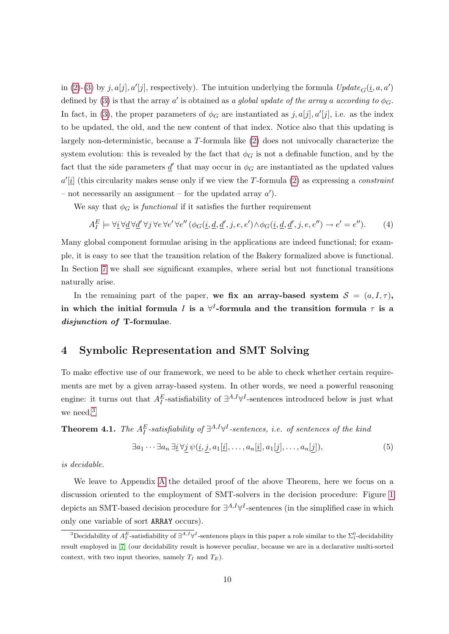in [\(2\)](#page-9-0)-[\(3\)](#page-9-1) by j, a[j], a'[j], respectively). The intuition underlying the formula  $Update_G(i, a, a')$ defined by [\(3\)](#page-9-1) is that the array a' is obtained as a global update of the array a according to  $\phi_G$ . In fact, in [\(3\)](#page-9-1), the proper parameters of  $\phi_G$  are instantiated as  $j, a[j], a'[j]$ , i.e. as the index to be updated, the old, and the new content of that index. Notice also that this updating is largely non-deterministic, because a T-formula like [\(2\)](#page-9-0) does not univocally characterize the system evolution: this is revealed by the fact that  $\phi_G$  is not a definable function, and by the fact that the side parameters  $\underline{d}'$  that may occur in  $\phi_G$  are instantiated as the updated values  $a'[\underline{i}]$  (this circularity makes sense only if we view the T-formula [\(2\)](#page-9-0) as expressing a *constraint* – not necessarily an assignment – for the updated array  $a'$ ).

We say that  $\phi_G$  is *functional* if it satisfies the further requirement

<span id="page-10-3"></span>
$$
A_I^E \models \forall \underline{i} \,\forall \underline{d} \,\forall \underline{d}' \,\forall j \,\forall e \,\forall e' \,\forall e'' \,(\phi_G(\underline{i}, \underline{d}, \underline{d}', j, e, e') \land \phi_G(\underline{i}, \underline{d}, \underline{d}', j, e, e'') \rightarrow e' = e''). \tag{4}
$$

Many global component formulae arising in the applications are indeed functional; for example, it is easy to see that the transition relation of the Bakery formalized above is functional. In Section [7](#page-18-0) we shall see significant examples, where serial but not functional transitions naturally arise.

In the remaining part of the paper, we fix an array-based system  $S = (a, I, \tau)$ , in which the initial formula *I* is a  $\forall^{I}$ -formula and the transition formula  $\tau$  is a disjunction of T-formulae.

## <span id="page-10-0"></span>4 Symbolic Representation and SMT Solving

To make effective use of our framework, we need to be able to check whether certain requirements are met by a given array-based system. In other words, we need a powerful reasoning engine: it turns out that  $A_I^E$ -satisfiability of  $\exists^{A,I}\forall^I$ -sentences introduced below is just what we need.<sup>[3](#page-10-1)</sup>

<span id="page-10-2"></span>**Theorem 4.1.** The  $A_I^E$ -satisfiability of  $\exists^{A,I} \forall^I$ -sentences, i.e. of sentences of the kind

$$
\exists a_1 \cdots \exists a_n \exists \underline{i} \,\forall \underline{j} \,\psi(\underline{i}, \underline{j}, a_1[\underline{i}], \ldots, a_n[\underline{i}], a_1[\underline{j}], \ldots, a_n[\underline{j}]),\tag{5}
$$

is decidable.

We leave to Appendix [A](#page-36-0) the detailed proof of the above Theorem, here we focus on a discussion oriented to the employment of SMT-solvers in the decision procedure: Figure [1](#page-11-0) depicts an SMT-based decision procedure for  $\exists^{A,I}\forall^{I}$ -sentences (in the simplified case in which only one variable of sort ARRAY occurs).

<span id="page-10-1"></span><sup>&</sup>lt;sup>3</sup>Decidability of  $A_I^E$ -satisfiability of  $\exists^{A,I}\forall^I$ -sentences plays in this paper a role similar to the  $\Sigma^0$ -decidability result employed in [\[7\]](#page-33-3) (our decidability result is however peculiar, because we are in a declarative multi-sorted context, with two input theories, namely  $T_I$  and  $T_E$ ).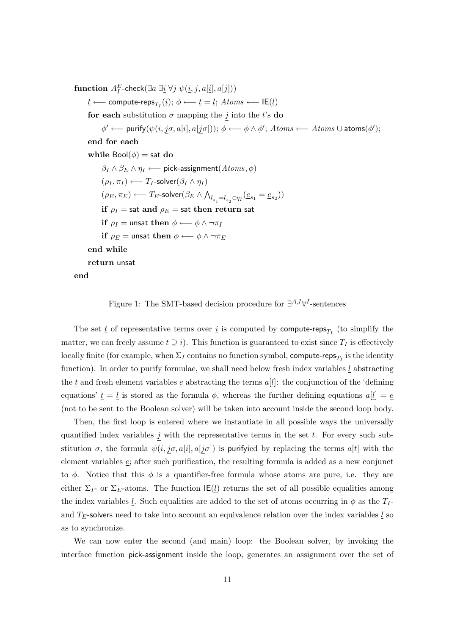${\bf function}\; A^E_I\text{-check}(\exists a\; \exists \underline{i}\; \forall \underline{j}\; \psi(\underline{i},\underline{j},a[\underline{i}],a[\underline{j}]))$ 

 $\underline{t}$  ←− compute-reps $_{T_I}(\underline{i});\ \phi$  ←−  $\underline{t} = \underline{l};\ Atoms$  ←− IE $(\underline{l})$ 

for each substitution  $\sigma$  mapping the j into the t's do

 $\phi' \longleftarrow \textsf{purity}(\psi(\underline{i}, j \sigma, a[\underline{i}], a[j \sigma])); \ \phi \longleftarrow \phi \land \phi'; \ Atoms \longleftarrow Atoms \cup \textsf{atoms}(\phi');$ 

end for each

while  $Bool(\phi) =$  sat do  $\beta_I \wedge \beta_E \wedge \eta_I \longleftarrow$  pick-assignment $(A \text{toms}, \phi)$  $(\rho_I, \pi_I) \longleftarrow T_I$ -solver $(\beta_I \wedge \eta_I)$  $(\rho_E, \pi_E) \longleftarrow T_E\text{-solver}(\beta_E \wedge \bigwedge_{\substack{l_{s_1} = l_{s_2} \in \eta_I}} (\underline{e}_{s_1} = \underline{e}_{s_2}))$ if  $\rho_I$  = sat and  $\rho_E$  = sat then return sat if  $\rho_I$  = unsat then  $\phi \longleftarrow \phi \wedge \neg \pi_I$ if  $\rho_E =$  unsat then  $\phi \longleftarrow \phi \wedge \neg \pi_E$ end while return unsat

end

<span id="page-11-0"></span>Figure 1: The SMT-based decision procedure for  $\exists^{A,I}\forall^{I}$ -sentences

The set  $\underline{t}$  of representative terms over  $\underline{i}$  is computed by compute-reps<sub>T<sub>I</sub></sub> (to simplify the matter, we can freely assume  $\underline{t} \supseteq \underline{i}$ . This function is guaranteed to exist since  $T_I$  is effectively locally finite (for example, when  $\Sigma_I$  contains no function symbol, compute-reps $_{T_I}$  is the identity function). In order to purify formulae, we shall need below fresh index variables  $l$  abstracting the  $\underline{t}$  and fresh element variables  $\underline{e}$  abstracting the terms  $a[\underline{l}]$ : the conjunction of the 'defining equations'  $\underline{t} = \underline{l}$  is stored as the formula  $\phi$ , whereas the further defining equations  $a[\underline{l}] = \underline{e}$ (not to be sent to the Boolean solver) will be taken into account inside the second loop body.

Then, the first loop is entered where we instantiate in all possible ways the universally quantified index variables j with the representative terms in the set  $\underline{t}$ . For every such substitution  $\sigma$ , the formula  $\psi(i, j\sigma, a[i], a[j\sigma])$  is purifyied by replacing the terms  $a[i]$  with the element variables e; after such purification, the resulting formula is added as a new conjunct to  $\phi$ . Notice that this  $\phi$  is a quantifier-free formula whose atoms are pure, i.e. they are either  $\Sigma_I$ - or  $\Sigma_E$ -atoms. The function  $\mathsf{IE}(l)$  returns the set of all possible equalities among the index variables l. Such equalities are added to the set of atoms occurring in  $\phi$  as the  $T_I$ and  $T<sub>E</sub>$ -solvers need to take into account an equivalence relation over the index variables l so as to synchronize.

We can now enter the second (and main) loop: the Boolean solver, by invoking the interface function pick-assignment inside the loop, generates an assignment over the set of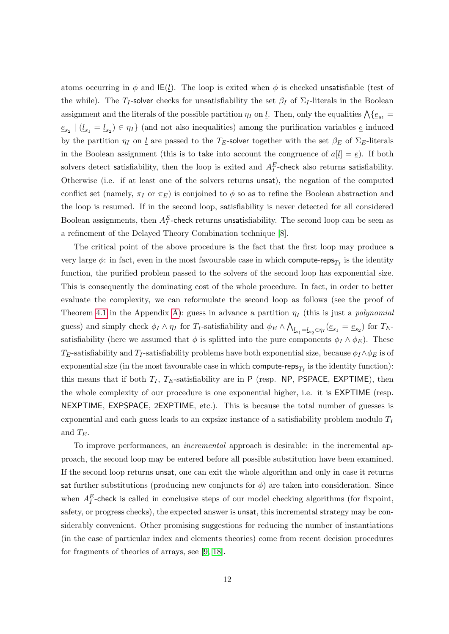atoms occurring in  $\phi$  and IE(l). The loop is exited when  $\phi$  is checked unsatisfiable (test of the while). The T<sub>I</sub>-solver checks for unsatisfiability the set  $\beta_I$  of  $\Sigma_I$ -literals in the Boolean assignment and the literals of the possible partition  $\eta_I$  on  $\underline{l}$ . Then, only the equalities  $\bigwedge \{\underline{e}_{s_1} =$  $e_{s_2}$   $\mid$   $(l_{s_1} = l_{s_2}) \in \eta_I$  (and not also inequalities) among the purification variables  $e$  induced by the partition  $\eta_I$  on <u>l</u> are passed to the T<sub>E</sub>-solver together with the set  $\beta_E$  of  $\Sigma_E$ -literals in the Boolean assignment (this is to take into account the congruence of  $a[l] = e$ ). If both solvers detect satisfiability, then the loop is exited and  $A_I^E$ -check also returns satisfiability. Otherwise (i.e. if at least one of the solvers returns unsat), the negation of the computed conflict set (namely,  $\pi_I$  or  $\pi_E$ ) is conjoined to  $\phi$  so as to refine the Boolean abstraction and the loop is resumed. If in the second loop, satisfiability is never detected for all considered Boolean assignments, then  $A_I^E$ -check returns unsatisfiability. The second loop can be seen as a refinement of the Delayed Theory Combination technique [\[8\]](#page-34-1).

The critical point of the above procedure is the fact that the first loop may produce a very large  $\phi$ : in fact, even in the most favourable case in which compute-reps<sub>T<sub>I</sub></sub> is the identity function, the purified problem passed to the solvers of the second loop has exponential size. This is consequently the dominating cost of the whole procedure. In fact, in order to better evaluate the complexity, we can reformulate the second loop as follows (see the proof of Theorem [4.1](#page-10-2) in the Appendix [A\)](#page-36-0): guess in advance a partition  $\eta_I$  (this is just a *polynomial* guess) and simply check  $\phi_I \wedge \eta_I$  for  $T_I$ -satisfiability and  $\phi_E \wedge \bigwedge_{l_{s_1} = l_{s_2} \in \eta_I} (e_{s_1} = e_{s_2})$  for  $T_E$ satisfiability (here we assumed that  $\phi$  is splitted into the pure components  $\phi_I \wedge \phi_E$ ). These  $T_E$ -satisfiability and  $T_I$ -satisfiability problems have both exponential size, because  $\phi_I \wedge \phi_E$  is of exponential size (in the most favourable case in which compute-reps<sub>T<sub>I</sub></sub> is the identity function): this means that if both  $T_I$ ,  $T_E$ -satisfiability are in P (resp. NP, PSPACE, EXPTIME), then the whole complexity of our procedure is one exponential higher, i.e. it is EXPTIME (resp. NEXPTIME, EXPSPACE, 2EXPTIME, etc.). This is because the total number of guesses is exponential and each guess leads to an expsize instance of a satisfiability problem modulo  $T_I$ and  $T_E$ .

To improve performances, an incremental approach is desirable: in the incremental approach, the second loop may be entered before all possible substitution have been examined. If the second loop returns unsat, one can exit the whole algorithm and only in case it returns sat further substitutions (producing new conjuncts for  $\phi$ ) are taken into consideration. Since when  $A_I^E$ -check is called in conclusive steps of our model checking algorithms (for fixpoint, safety, or progress checks), the expected answer is unsat, this incremental strategy may be considerably convenient. Other promising suggestions for reducing the number of instantiations (in the case of particular index and elements theories) come from recent decision procedures for fragments of theories of arrays, see [\[9,](#page-34-2) [18\]](#page-35-6).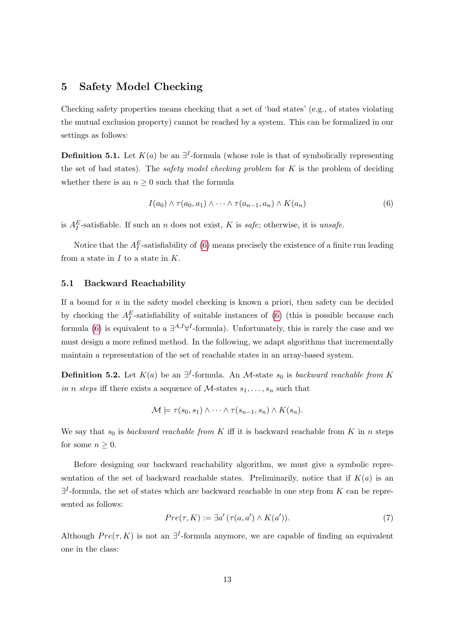## <span id="page-13-0"></span>5 Safety Model Checking

Checking safety properties means checking that a set of 'bad states' (e.g., of states violating the mutual exclusion property) cannot be reached by a system. This can be formalized in our settings as follows:

<span id="page-13-3"></span>**Definition 5.1.** Let  $K(a)$  be an  $\exists^{I}$ -formula (whose role is that of symbolically representing the set of bad states). The *safety model checking problem* for  $K$  is the problem of deciding whether there is an  $n \geq 0$  such that the formula

<span id="page-13-2"></span>
$$
I(a_0) \wedge \tau(a_0, a_1) \wedge \cdots \wedge \tau(a_{n-1}, a_n) \wedge K(a_n) \tag{6}
$$

is  $A_I^E$ -satisfiable. If such an n does not exist, K is safe; otherwise, it is unsafe.

Notice that the  $A_I^E$ -satisfiability of [\(6\)](#page-13-2) means precisely the existence of a finite run leading from a state in  $I$  to a state in  $K$ .

#### <span id="page-13-1"></span>5.1 Backward Reachability

If a bound for  $n$  in the safety model checking is known a priori, then safety can be decided by checking the  $A_I^E$ -satisfiability of suitable instances of [\(6\)](#page-13-2) (this is possible because each formula [\(6\)](#page-13-2) is equivalent to a  $\exists^{A,I}\forall^{I}$ -formula). Unfortunately, this is rarely the case and we must design a more refined method. In the following, we adapt algorithms that incrementally maintain a representation of the set of reachable states in an array-based system.

**Definition 5.2.** Let  $K(a)$  be an  $\exists^{I}$ -formula. An M-state  $s_0$  is backward reachable from K in n steps iff there exists a sequence of  $M$ -states  $s_1, \ldots, s_n$  such that

$$
\mathcal{M} \models \tau(s_0, s_1) \land \cdots \land \tau(s_{n-1}, s_n) \land K(s_n).
$$

We say that  $s_0$  is backward reachable from K iff it is backward reachable from K in n steps for some  $n \geq 0$ .

Before designing our backward reachability algorithm, we must give a symbolic representation of the set of backward reachable states. Preliminarily, notice that if  $K(a)$  is an  $\exists^{I}$ -formula, the set of states which are backward reachable in one step from K can be represented as follows:

<span id="page-13-4"></span>
$$
Pre(\tau, K) := \exists a' \left( \tau(a, a') \land K(a') \right). \tag{7}
$$

<span id="page-13-5"></span>Although  $Pre(\tau, K)$  is not an  $\exists^{I}$ -formula anymore, we are capable of finding an equivalent one in the class: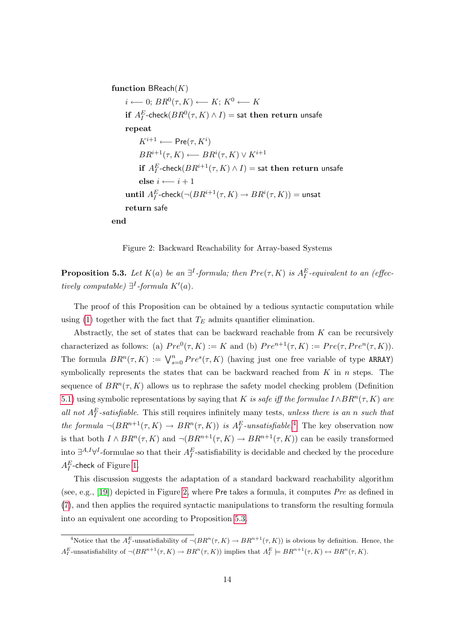function  $\textsf{BReach}(K)$ 

 $i \longleftarrow 0; BR^0(\tau,K) \longleftarrow K; K^0 \longleftarrow K$ if  $A_I^E$ -check $(BR^0(\tau,K)\wedge I) =$  sat then return unsafe repeat  $K^{i+1} \longleftarrow {\sf Pre}(\tau,K^i)$  $BR^{i+1}(\tau,K) \longleftarrow BR^{i}(\tau,K) \vee K^{i+1}$ if  $A_I^E$ -check $(BR^{i+1}(\tau,K)\wedge I)=$  sat then  $\bm{\mathrm{return}}$  unsafe else  $i \leftarrow i + 1$  $\textbf{until } A_I^E\text{-check}(\neg (BR^{i+1}(\tau,K) \to BR^i(\tau,K)) = \textsf{unsat}$ return safe end

<span id="page-14-1"></span>Figure 2: Backward Reachability for Array-based Systems

**Proposition 5.3.** Let  $K(a)$  be an  $\exists^{I}$ -formula; then  $Pre(\tau, K)$  is  $A_I^E$ -equivalent to an (effectively computable)  $\exists^{I}$ -formula  $K'(a)$ .

The proof of this Proposition can be obtained by a tedious syntactic computation while using [\(1\)](#page-9-2) together with the fact that  $T_E$  admits quantifier elimination.

Abstractly, the set of states that can be backward reachable from  $K$  can be recursively characterized as follows: (a)  $Pre^{0}(\tau,K) := K$  and (b)  $Pre^{n+1}(\tau,K) := Pre(\tau,Pre^{n}(\tau,K))$ . The formula  $BR^n(\tau, K) := \bigvee_{s=0}^n Pre^s(\tau, K)$  (having just one free variable of type ARRAY) symbolically represents the states that can be backward reached from  $K$  in n steps. The sequence of  $BR^n(\tau, K)$  allows us to rephrase the safety model checking problem (Definition [5.1\)](#page-13-3) using symbolic representations by saying that K is safe iff the formulae  $I \wedge BR^n(\tau, K)$  are all not  $A_I^E$ -satisfiable. This still requires infinitely many tests, unless there is an n such that the formula  $\neg(BR^{n+1}(\tau,K)) \to BR^n(\tau,K)$  is  $A_I^E$ -unsatisfiable.<sup>[4](#page-14-0)</sup> The key observation now is that both  $I \wedge BR^n(\tau, K)$  and  $\neg(BR^{n+1}(\tau, K) \to BR^{n+1}(\tau, K))$  can be easily transformed into  $\exists^{A,I}\forall^{I}$ -formulae so that their  $A_{I}^{E}$ -satisfiability is decidable and checked by the procedure  $A_I^E$ -check of Figure [1.](#page-11-0)

This discussion suggests the adaptation of a standard backward reachability algorithm (see, e.g., [\[19\]](#page-35-1)) depicted in Figure [2,](#page-14-1) where Pre takes a formula, it computes  $Pre$  as defined in [\(7\)](#page-13-4), and then applies the required syntactic manipulations to transform the resulting formula into an equivalent one according to Proposition [5.3.](#page-13-5)

<span id="page-14-2"></span><span id="page-14-0"></span><sup>&</sup>lt;sup>4</sup>Notice that the  $A_I^E$ -unsatisfiability of  $\neg(BR^n(\tau,K)) \to BR^{n+1}(\tau,K)$  is obvious by definition. Hence, the  $A_I^E$ -unsatisfiability of  $\neg(BR^{n+1}(\tau,K)) \to BR^n(\tau,K)$  implies that  $A_I^E \models BR^{n+1}(\tau,K) \leftrightarrow BR^n(\tau,K)$ .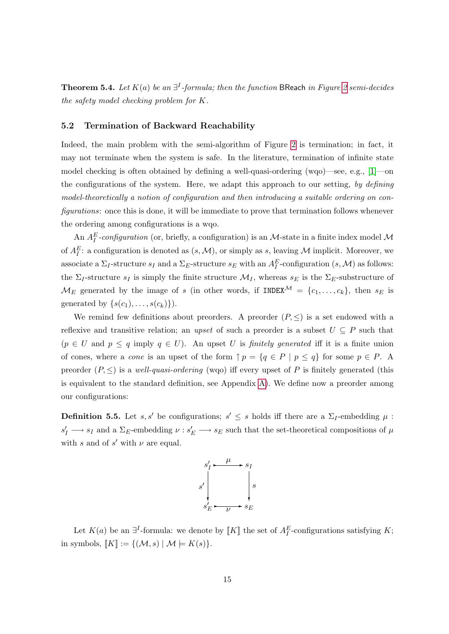**Theorem 5.4.** Let  $K(a)$  be an  $\exists^{I}$ -formula; then the function BReach in Figure [2](#page-14-1) semi-decides the safety model checking problem for K.

#### <span id="page-15-0"></span>5.2 Termination of Backward Reachability

Indeed, the main problem with the semi-algorithm of Figure [2](#page-14-1) is termination; in fact, it may not terminate when the system is safe. In the literature, termination of infinite state model checking is often obtained by defining a well-quasi-ordering (wqo)—see, e.g., [\[1\]](#page-33-0)—on the configurations of the system. Here, we adapt this approach to our setting, by defining model-theoretically a notion of configuration and then introducing a suitable ordering on configurations: once this is done, it will be immediate to prove that termination follows whenever the ordering among configurations is a wqo.

An  $A_I^E$ -configuration (or, briefly, a configuration) is an M-state in a finite index model M of  $A_I^E$ : a configuration is denoted as  $(s, \mathcal{M})$ , or simply as s, leaving M implicit. Moreover, we associate a  $\Sigma_I$ -structure  $s_I$  and a  $\Sigma_E$ -structure  $s_E$  with an  $A_I^E$ -configuration  $(s, \mathcal{M})$  as follows: the  $\Sigma_I$ -structure  $s_I$  is simply the finite structure  $\mathcal{M}_I$ , whereas  $s_E$  is the  $\Sigma_E$ -substructure of  $\mathcal{M}_E$  generated by the image of s (in other words, if INDEX $\mathcal{M} = \{c_1, \ldots, c_k\}$ , then  $s_E$  is generated by  $\{s(c_1), \ldots, s(c_k)\}\)$ .

We remind few definitions about preorders. A preorder  $(P, \leq)$  is a set endowed with a reflexive and transitive relation; an upset of such a preorder is a subset  $U \subseteq P$  such that  $(p \in U \text{ and } p \leq q \text{ imply } q \in U$ ). An upset U is *finitely generated* iff it is a finite union of cones, where a *cone* is an upset of the form  $\uparrow p = \{q \in P \mid p \leq q\}$  for some  $p \in P$ . A preorder  $(P, \leq)$  is a well-quasi-ordering (wqo) iff every upset of P is finitely generated (this is equivalent to the standard definition, see Appendix [A\)](#page-36-0). We define now a preorder among our configurations:

**Definition 5.5.** Let s, s' be configurations;  $s' \leq s$  holds iff there are a  $\Sigma_I$ -embedding  $\mu$ :  $s'_I \longrightarrow s_I$  and a  $\Sigma_E$ -embedding  $\nu : s'_E \longrightarrow s_E$  such that the set-theoretical compositions of  $\mu$ with s and of s' with  $\nu$  are equal.



<span id="page-15-1"></span>Let  $K(a)$  be an  $\exists^{I}$ -formula: we denote by  $\llbracket K \rrbracket$  the set of  $A_I^E$ -configurations satisfying K; in symbols,  $[K] := \{(\mathcal{M}, s) \mid \mathcal{M} \models K(s)\}.$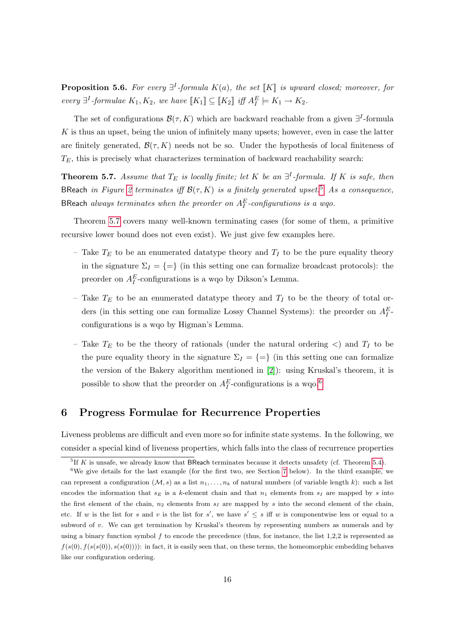**Proposition 5.6.** For every  $\exists^{I}$ -formula  $K(a)$ , the set  $\llbracket K \rrbracket$  is upward closed; moreover, for every  $\exists^{I}$ -formulae  $K_1, K_2$ , we have  $[[K_1]] \subseteq [[K_2]]$  iff  $A_I^E \models K_1 \rightarrow K_2$ .

The set of configurations  $\mathcal{B}(\tau, K)$  which are backward reachable from a given  $\exists^{I}$ -formula  $K$  is thus an upset, being the union of infinitely many upsets; however, even in case the latter are finitely generated,  $\mathcal{B}(\tau, K)$  needs not be so. Under the hypothesis of local finiteness of  $T_E$ , this is precisely what characterizes termination of backward reachability search:

<span id="page-16-1"></span>**Theorem 5.7.** Assume that  $T_E$  is locally finite; let K be an  $\exists^I$ -formula. If K is safe, then BReach in Figure [2](#page-14-1) terminates iff  $\mathcal{B}(\tau, K)$  is a finitely generated upset.<sup>[5](#page-16-2)</sup> As a consequence, BReach always terminates when the preorder on  $A_I^E$ -configurations is a wqo.

Theorem [5.7](#page-16-1) covers many well-known terminating cases (for some of them, a primitive recursive lower bound does not even exist). We just give few examples here.

- Take  $T_E$  to be an enumerated datatype theory and  $T_I$  to be the pure equality theory in the signature  $\Sigma_I = \{=\}$  (in this setting one can formalize broadcast protocols): the preorder on  $A_I^E$ -configurations is a wqo by Dikson's Lemma.
- Take  $T_E$  to be an enumerated datatype theory and  $T_I$  to be the theory of total orders (in this setting one can formalize Lossy Channel Systems): the preorder on  $A_I^E$ . configurations is a wqo by Higman's Lemma.
- Take  $T_E$  to be the theory of rationals (under the natural ordering  $\langle$ ) and  $T_I$  to be the pure equality theory in the signature  $\Sigma_I = \{=\}$  (in this setting one can formalize the version of the Bakery algorithm mentioned in [\[2\]](#page-33-2)): using Kruskal's theorem, it is possible to show that the preorder on  $A_I^E$ -configurations is a wqo.<sup>[6](#page-16-3)</sup>

## <span id="page-16-0"></span>6 Progress Formulae for Recurrence Properties

Liveness problems are difficult and even more so for infinite state systems. In the following, we consider a special kind of liveness properties, which falls into the class of recurrence properties

<span id="page-16-3"></span><span id="page-16-2"></span><sup>&</sup>lt;sup>5</sup>If K is unsafe, we already know that BReach terminates because it detects unsafety (cf. Theorem [5.4\)](#page-14-2).

<sup>&</sup>lt;sup>6</sup>We give details for the last example (for the first two, see Section [7](#page-18-0) below). In the third example, we can represent a configuration  $(M, s)$  as a list  $n_1, \ldots, n_k$  of natural numbers (of variable length k): such a list encodes the information that  $s_E$  is a k-element chain and that  $n_1$  elements from  $s_I$  are mapped by s into the first element of the chain,  $n_2$  elements from  $s_I$  are mapped by s into the second element of the chain, etc. If w is the list for s and v is the list for s', we have  $s' \leq s$  iff w is componentwise less or equal to a subword of v. We can get termination by Kruskal's theorem by representing numbers as numerals and by using a binary function symbol f to encode the precedence (thus, for instance, the list 1,2,2 is represented as  $f(s(0), f(s(s(0))), s(s(0)))$ : in fact, it is easily seen that, on these terms, the homeomorphic embedding behaves like our configuration ordering.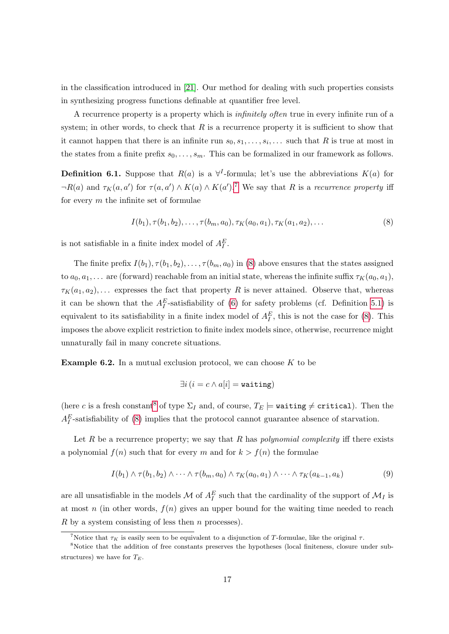in the classification introduced in [\[21\]](#page-35-3). Our method for dealing with such properties consists in synthesizing progress functions definable at quantifier free level.

A recurrence property is a property which is infinitely often true in every infinite run of a system; in other words, to check that  $R$  is a recurrence property it is sufficient to show that it cannot happen that there is an infinite run  $s_0, s_1, \ldots, s_i, \ldots$  such that R is true at most in the states from a finite prefix  $s_0, \ldots, s_m$ . This can be formalized in our framework as follows.

<span id="page-17-3"></span>**Definition 6.1.** Suppose that  $R(a)$  is a  $\forall$ <sup>*I*</sup>-formula; let's use the abbreviations  $K(a)$  for  $\neg R(a)$  and  $\tau_K(a, a')$  for  $\tau(a, a') \wedge K(a) \wedge K(a')$ .<sup>[7](#page-17-0)</sup> We say that R is a recurrence property iff for every  $m$  the infinite set of formulae

<span id="page-17-1"></span>
$$
I(b_1), \tau(b_1, b_2), \dots, \tau(b_m, a_0), \tau_K(a_0, a_1), \tau_K(a_1, a_2), \dots
$$
\n(8)

is not satisfiable in a finite index model of  $A_I^E$ .

The finite prefix  $I(b_1), \tau(b_1, b_2), \ldots, \tau(b_m, a_0)$  in [\(8\)](#page-17-1) above ensures that the states assigned to  $a_0, a_1, \ldots$  are (forward) reachable from an initial state, whereas the infinite suffix  $\tau_K(a_0, a_1)$ ,  $\tau_K(a_1, a_2), \ldots$  expresses the fact that property R is never attained. Observe that, whereas it can be shown that the  $A_I^E$ -satisfiability of [\(6\)](#page-13-2) for safety problems (cf. Definition [5.1\)](#page-13-3) is equivalent to its satisfiability in a finite index model of  $A_I^E$ , this is not the case for [\(8\)](#page-17-1). This imposes the above explicit restriction to finite index models since, otherwise, recurrence might unnaturally fail in many concrete situations.

**Example 6.2.** In a mutual exclusion protocol, we can choose  $K$  to be

<span id="page-17-4"></span>
$$
\exists i\,(i=c \land a[i] = \mathtt{waiting})
$$

(here c is a fresh constant<sup>[8](#page-17-2)</sup> of type  $\Sigma_I$  and, of course,  $T_E \models$  **waiting**  $\neq$  **critical**). Then the  $A_I^E$ -satisfiability of [\(8\)](#page-17-1) implies that the protocol cannot guarantee absence of starvation.

Let R be a recurrence property; we say that R has *polynomial complexity* iff there exists a polynomial  $f(n)$  such that for every m and for  $k > f(n)$  the formulae

$$
I(b_1) \wedge \tau(b_1, b_2) \wedge \cdots \wedge \tau(b_m, a_0) \wedge \tau_K(a_0, a_1) \wedge \cdots \wedge \tau_K(a_{k-1}, a_k)
$$
\n
$$
(9)
$$

are all unsatisfiable in the models  $\mathcal M$  of  $A_I^E$  such that the cardinality of the support of  $\mathcal M_I$  is at most n (in other words,  $f(n)$  gives an upper bound for the waiting time needed to reach R by a system consisting of less then  $n$  processes).

<span id="page-17-5"></span><span id="page-17-2"></span><span id="page-17-0"></span><sup>&</sup>lt;sup>7</sup>Notice that  $\tau_K$  is easily seen to be equivalent to a disjunction of T-formulae, like the original  $\tau$ .

<sup>&</sup>lt;sup>8</sup>Notice that the addition of free constants preserves the hypotheses (local finiteness, closure under substructures) we have for  $T_E$ .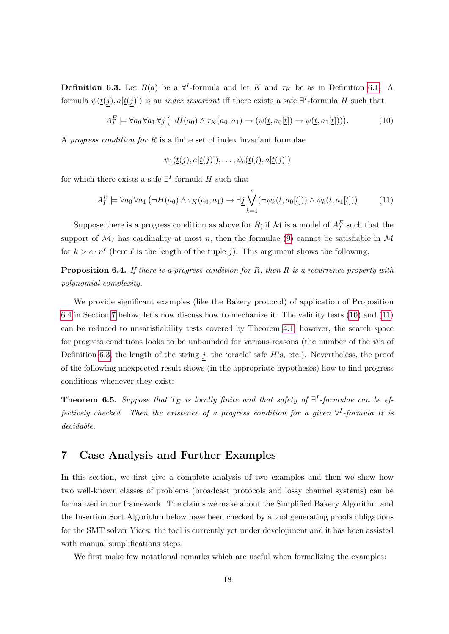**Definition 6.3.** Let  $R(a)$  be a  $\forall^{I}$ -formula and let K and  $\tau_K$  be as in Definition [6.1.](#page-17-3) A formula  $\psi(\underline{t}(j), a | \underline{t}(j))$  is an *index invariant* iff there exists a safe  $\exists^{I}$ -formula H such that

$$
A_I^E \models \forall a_0 \,\forall a_1 \,\forall \underline{j} \, (\neg H(a_0) \land \tau_K(a_0, a_1) \to (\psi(\underline{t}, a_0[\underline{t}]) \to \psi(\underline{t}, a_1[\underline{t}]))). \tag{10}
$$

A progress condition for  $R$  is a finite set of index invariant formulae

<span id="page-18-3"></span><span id="page-18-2"></span>
$$
\psi_1(\underline{t}(j),a[\underline{t}(j)]),\ldots,\psi_c(\underline{t}(j),a[\underline{t}(j)])
$$

for which there exists a safe  $\exists^{I}$ -formula H such that

$$
A_I^E \models \forall a_0 \,\forall a_1 \left(\neg H(a_0) \land \tau_K(a_0, a_1) \to \exists \underline{j} \bigvee_{k=1}^c (\neg \psi_k(\underline{t}, a_0[\underline{t}])) \land \psi_k(\underline{t}, a_1[\underline{t}]) \right) \tag{11}
$$

Suppose there is a progress condition as above for R; if M is a model of  $A_I^E$  such that the support of  $\mathcal{M}_I$  has cardinality at most n, then the formulae [\(9\)](#page-17-4) cannot be satisfiable in  $\mathcal M$ for  $k > c \cdot n^{\ell}$  (here  $\ell$  is the length of the tuple j). This argument shows the following.

<span id="page-18-1"></span>**Proposition 6.4.** If there is a progress condition for R, then R is a recurrence property with polynomial complexity.

We provide significant examples (like the Bakery protocol) of application of Proposition [6.4](#page-18-1) in Section [7](#page-18-0) below; let's now discuss how to mechanize it. The validity tests [\(10\)](#page-18-2) and [\(11\)](#page-18-3) can be reduced to unsatisfiability tests covered by Theorem [4.1;](#page-10-2) however, the search space for progress conditions looks to be unbounded for various reasons (the number of the  $\psi$ 's of Definition [6.3,](#page-17-5) the length of the string  $j$ , the 'oracle' safe  $H$ 's, etc.). Nevertheless, the proof of the following unexpected result shows (in the appropriate hypotheses) how to find progress conditions whenever they exist:

<span id="page-18-4"></span>**Theorem 6.5.** Suppose that  $T_E$  is locally finite and that safety of  $\exists$ <sup>T</sup>-formulae can be effectively checked. Then the existence of a progress condition for a given  $\forall^{I}$ -formula R is decidable.

## <span id="page-18-0"></span>7 Case Analysis and Further Examples

In this section, we first give a complete analysis of two examples and then we show how two well-known classes of problems (broadcast protocols and lossy channel systems) can be formalized in our framework. The claims we make about the Simplified Bakery Algorithm and the Insertion Sort Algorithm below have been checked by a tool generating proofs obligations for the SMT solver Yices: the tool is currently yet under development and it has been assisted with manual simplifications steps.

We first make few notational remarks which are useful when formalizing the examples: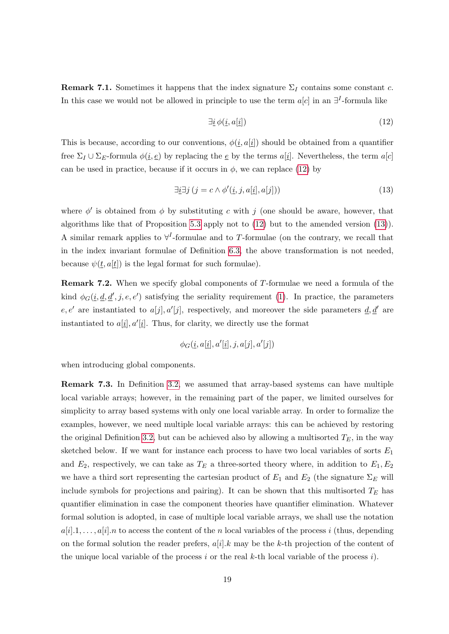**Remark 7.1.** Sometimes it happens that the index signature  $\Sigma_I$  contains some constant c. In this case we would not be allowed in principle to use the term  $a[c]$  in an  $\exists^{I}$ -formula like

<span id="page-19-1"></span><span id="page-19-0"></span>
$$
\exists \underline{i} \, \phi(\underline{i}, a[\underline{i}]) \tag{12}
$$

This is because, according to our conventions,  $\phi(i, a[i])$  should be obtained from a quantifier free  $\Sigma_I \cup \Sigma_E$ -formula  $\phi(\underline{i}, \underline{e})$  by replacing the  $\underline{e}$  by the terms  $a[\underline{i}]$ . Nevertheless, the term  $a[c]$ can be used in practice, because if it occurs in  $\phi$ , we can replace [\(12\)](#page-19-0) by

$$
\exists \underline{i} \exists j \left( j = c \land \phi'(\underline{i}, j, a[\underline{i}], a[j]) \right) \tag{13}
$$

where  $\phi'$  is obtained from  $\phi$  by substituting c with j (one should be aware, however, that algorithms like that of Proposition [5.3](#page-13-5) apply not to [\(12\)](#page-19-0) but to the amended version [\(13\)](#page-19-1)). A similar remark applies to  $\forall^{I}$ -formulae and to T-formulae (on the contrary, we recall that in the index invariant formulae of Definition [6.3,](#page-17-5) the above transformation is not needed, because  $\psi(t, a[t])$  is the legal format for such formulae).

Remark 7.2. When we specify global components of T-formulae we need a formula of the kind  $\phi_G(\underline{i}, \underline{d}, \underline{d}', j, e, e')$  satisfying the seriality requirement [\(1\)](#page-9-2). In practice, the parameters e, e' are instantiated to  $a[j], a'[j]$ , respectively, and moreover the side parameters  $\underline{d}, \underline{d'}$  are instantiated to  $a[\underline{i}], a'[\underline{i}]$ . Thus, for clarity, we directly use the format

$$
\phi_G(\underline{i}, a[\underline{i}], a'[\underline{i}], j, a[j], a'[j])
$$

when introducing global components.

Remark 7.3. In Definition [3.2,](#page-7-0) we assumed that array-based systems can have multiple local variable arrays; however, in the remaining part of the paper, we limited ourselves for simplicity to array based systems with only one local variable array. In order to formalize the examples, however, we need multiple local variable arrays: this can be achieved by restoring the original Definition [3.2,](#page-7-0) but can be achieved also by allowing a multisorted  $T_E$ , in the way sketched below. If we want for instance each process to have two local variables of sorts  $E_1$ and  $E_2$ , respectively, we can take as  $T_E$  a three-sorted theory where, in addition to  $E_1, E_2$ we have a third sort representing the cartesian product of  $E_1$  and  $E_2$  (the signature  $\Sigma_E$  will include symbols for projections and pairing). It can be shown that this multisorted  $T_E$  has quantifier elimination in case the component theories have quantifier elimination. Whatever formal solution is adopted, in case of multiple local variable arrays, we shall use the notation  $a[i].1, \ldots, a[i].n$  to access the content of the n local variables of the process i (thus, depending on the formal solution the reader prefers,  $a[i].k$  may be the k-th projection of the content of the unique local variable of the process i or the real k-th local variable of the process i).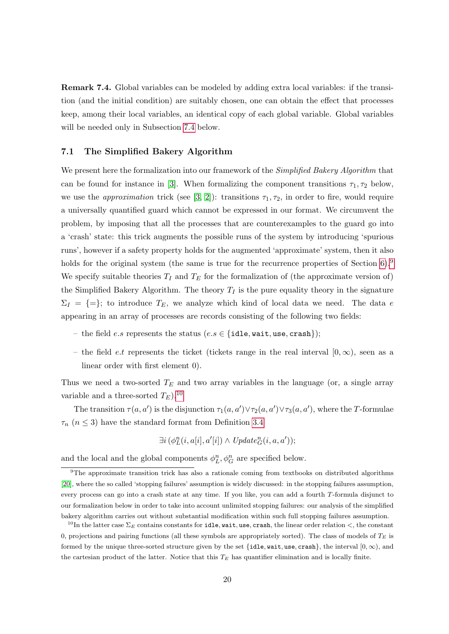Remark 7.4. Global variables can be modeled by adding extra local variables: if the transition (and the initial condition) are suitably chosen, one can obtain the effect that processes keep, among their local variables, an identical copy of each global variable. Global variables will be needed only in Subsection [7.4](#page-27-0) below.

#### <span id="page-20-0"></span>7.1 The Simplified Bakery Algorithm

We present here the formalization into our framework of the *Simplified Bakery Algorithm* that can be found for instance in [\[3\]](#page-33-1). When formalizing the component transitions  $\tau_1, \tau_2$  below, we use the *approximation* trick (see [\[3,](#page-33-1) [2\]](#page-33-2)): transitions  $\tau_1, \tau_2$ , in order to fire, would require a universally quantified guard which cannot be expressed in our format. We circumvent the problem, by imposing that all the processes that are counterexamples to the guard go into a 'crash' state: this trick augments the possible runs of the system by introducing 'spurious runs', however if a safety property holds for the augmented 'approximate' system, then it also holds for the original system (the same is true for the recurrence properties of Section  $6$ ).<sup>[9](#page-20-1)</sup> We specify suitable theories  $T_I$  and  $T_E$  for the formalization of (the approximate version of) the Simplified Bakery Algorithm. The theory  $T_I$  is the pure equality theory in the signature  $\Sigma_I = \{=\};$  to introduce  $T_E$ , we analyze which kind of local data we need. The data e appearing in an array of processes are records consisting of the following two fields:

- the field e.s represents the status (e.s  $\in$  {idle, wait, use, crash});
- the field *e.t* represents the ticket (tickets range in the real interval  $[0, \infty)$ , seen as a linear order with first element 0).

Thus we need a two-sorted  $T_E$  and two array variables in the language (or, a single array variable and a three-sorted  $T_E$ ).<sup>[10](#page-20-2)</sup>

The transition  $\tau(a, a')$  is the disjunction  $\tau_1(a, a') \vee \tau_2(a, a') \vee \tau_3(a, a')$ , where the T-formulae  $\tau_n$   $(n\leq 3)$  have the standard format from Definition [3.4](#page-9-3)

$$
\exists i \ (\phi_L^n(i, a[i], a'[i]) \land \ Update_G^n(i, a, a'));
$$

and the local and the global components  $\phi_L^n, \phi_G^n$  are specified below.

<span id="page-20-1"></span><sup>9</sup>The approximate transition trick has also a rationale coming from textbooks on distributed algorithms [\[20\]](#page-35-7), where the so called 'stopping failures' assumption is widely discussed: in the stopping failures assumption, every process can go into a crash state at any time. If you like, you can add a fourth T-formula disjunct to our formalization below in order to take into account unlimited stopping failures: our analysis of the simplified bakery algorithm carries out without substantial modification within such full stopping failures assumption.

<span id="page-20-2"></span><sup>&</sup>lt;sup>10</sup>In the latter case  $\Sigma_E$  contains constants for **idle**, wait, use, crash, the linear order relation <, the constant 0, projections and pairing functions (all these symbols are appropriately sorted). The class of models of  $T_E$  is formed by the unique three-sorted structure given by the set {idle, wait, use, crash}, the interval  $[0, \infty)$ , and the cartesian product of the latter. Notice that this  $T_E$  has quantifier elimination and is locally finite.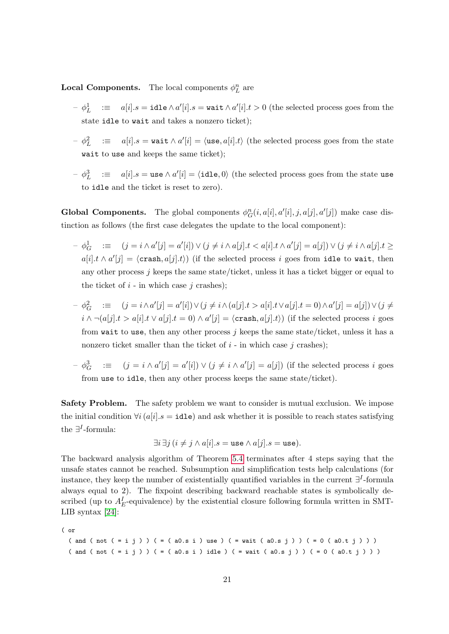**Local Components.** The local components  $\phi_L^n$  are

- $\begin{array}{rcl} \circ & \phi^1_L & := & a[i].s = \mathtt{idle} \wedge a'[i].s = \mathtt{wait} \wedge a'[i].t > 0 \text{ (the selected process goes from the)} \end{array}$ state idle to wait and takes a nonzero ticket);
- $\begin{array}{rcl} \sigma & \phi_L^2 & := & a[i].s = \texttt{wait} \wedge a'[i] = \langle \texttt{use}, a[i].t \rangle \end{array}$  (the selected process goes from the state wait to use and keeps the same ticket);
- $\{-\phi_L^3\quad;\equiv\quad a[i].s=\texttt{use} \wedge a'[i]=\langle \texttt{idle}, 0\rangle \text{ (the selected process goes from the state use } \rangle\}$ to idle and the ticket is reset to zero).

**Global Components.** The global components  $\phi_G^n(i, a[i], a'[i], j, a[j], a'[j])$  make case distinction as follows (the first case delegates the update to the local component):

- $\phi_G^1$   $\equiv (j = i \wedge a'[j] = a'[i]) \vee (j \neq i \wedge a[j].t < a[i].t \wedge a'[j] = a[j]) \vee (j \neq i \wedge a[j].t \geq$  $a[i].t \wedge a'[j] = \langle \texttt{crash}, a[j].t \rangle)$  (if the selected process i goes from idle to wait, then any other process  $j$  keeps the same state/ticket, unless it has a ticket bigger or equal to the ticket of  $i$  - in which case  $j$  crashes);
- $\phi_G^2$  :≡  $(j = i \wedge a'[j] = a'[i]) \vee (j \neq i \wedge (a[j].t > a[i].t \vee a[j].t = 0) \wedge a'[j] = a[j]) \vee (j \neq i \wedge (a[j].t > a[i].t \vee a[j].t = 0)$  $i \wedge \neg(a[j].t > a[i].t \vee a[j].t = 0) \wedge a'[j] = \langle \text{crash}, a[j].t \rangle)$  (if the selected process i goes from wait to use, then any other process  $j$  keeps the same state/ticket, unless it has a nonzero ticket smaller than the ticket of  $i$  - in which case  $j$  crashes);
- $\phi_G^3$  :  $\equiv (j = i \wedge a'[j] = a'[i]) \vee (j \neq i \wedge a'[j] = a[j])$  (if the selected process i goes from use to idle, then any other process keeps the same state/ticket).

**Safety Problem.** The safety problem we want to consider is mutual exclusion. We impose the initial condition  $\forall i (a[i].s = \text{idle})$  and ask whether it is possible to reach states satisfying the  $\exists$ <sup>*I*</sup>-formula:

$$
\exists i \, \exists j \, (i \neq j \land a[i].s = \text{use} \land a[j].s = \text{use}).
$$

The backward analysis algorithm of Theorem [5.4](#page-14-2) terminates after 4 steps saying that the unsafe states cannot be reached. Subsumption and simplification tests help calculations (for instance, they keep the number of existentially quantified variables in the current  $\exists^{I}$ -formula always equal to 2). The fixpoint describing backward reachable states is symbolically described (up to  $A_E^I$ -equivalence) by the existential closure following formula written in SMT-LIB syntax [\[24\]](#page-35-8):

( or

```
( and ( not ( = i j ) ) ( = ( a0.s i ) use ) ( = wait ( a0.s j ) ) ( = 0( a0.t j ) )( and ( not ( = i j ) ) ( = ( a0.s i ) idle ) ( = wait ( a0.s j ) ) ( = 0 ( a0.t j ) )
```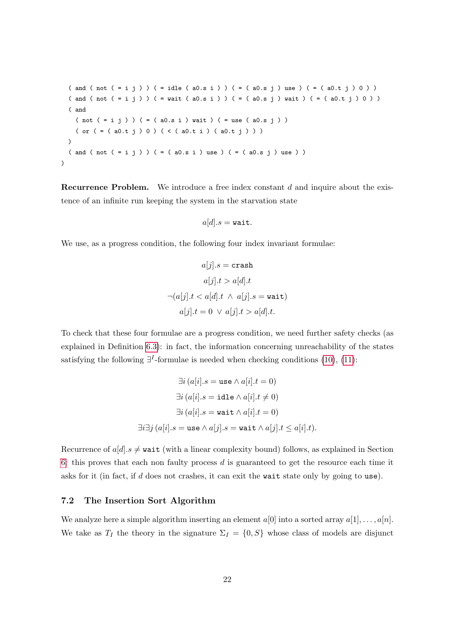$($  and  $($  not  $($  = i j  $)$   $)$   $($  = idle  $($  a0.s i  $)$   $)$   $($  =  $($  a0.s j  $)$  use  $)$   $($  =  $($  a0.t j  $)$  0  $)$   $)$ ( and ( not ( = i j ) ) ( = wait ( a0.s i ) ) ( = ( a0.s j ) wait ) ( = ( a0.t j ) 0 ) ) ( and  $( not (= i j)) ( = ( a0.s i) wait ) ( = use ( a0.s j) )$ ( or ( = ( a0.t j ) 0 ) ( < ( a0.t i ) ( a0.t j ) ) ) )  $($  and  $($  not  $($  = i j  $)$   $)$   $($  =  $($  a0.s i  $)$  use  $)$   $($  =  $($  a0.s j  $)$  use  $)$   $)$  $\lambda$ 

**Recurrence Problem.** We introduce a free index constant  $d$  and inquire about the existence of an infinite run keeping the system in the starvation state

$$
a[d].s = \mathtt{wait}.
$$

We use, as a progress condition, the following four index invariant formulae:

$$
a[j].s = \text{crash}
$$

$$
a[j].t > a[d].t
$$

$$
\neg(a[j].t < a[d].t \land a[j].s = \text{wait})
$$

$$
a[j].t = 0 \lor a[j].t > a[d].t.
$$

To check that these four formulae are a progress condition, we need further safety checks (as explained in Definition [6.3\)](#page-17-5): in fact, the information concerning unreachability of the states satisfying the following  $\exists^{I}$ -formulae is needed when checking conditions [\(10\)](#page-18-2), [\(11\)](#page-18-3):

$$
\exists i (a[i].s = \text{use} \land a[i].t = 0)
$$

$$
\exists i (a[i].s = \text{idle} \land a[i].t \neq 0)
$$

$$
\exists i (a[i].s = \text{wait} \land a[i].t = 0)
$$

$$
\exists i \exists j (a[i].s = \text{use} \land a[j].s = \text{wait} \land a[j].t \leq a[i].t).
$$

Recurrence of  $a[d]$ .  $s \neq \text{wait}$  (with a linear complexity bound) follows, as explained in Section [6:](#page-16-0) this proves that each non faulty process d is guaranteed to get the resource each time it asks for it (in fact, if  $d$  does not crashes, it can exit the wait state only by going to use).

#### <span id="page-22-0"></span>7.2 The Insertion Sort Algorithm

We analyze here a simple algorithm inserting an element  $a[0]$  into a sorted array  $a[1], \ldots, a[n]$ . We take as  $T_I$  the theory in the signature  $\Sigma_I = \{0, S\}$  whose class of models are disjunct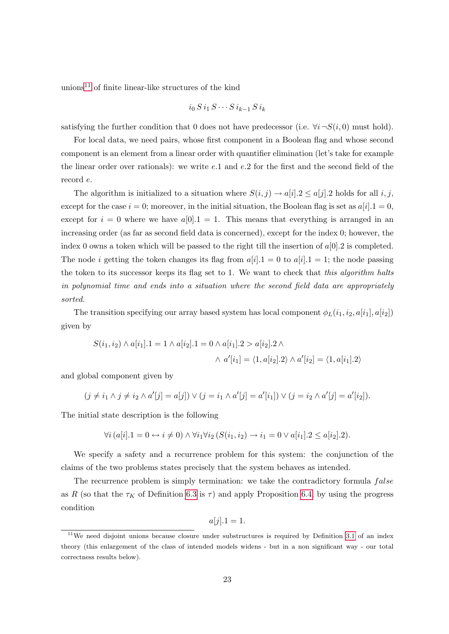unions<sup>[11](#page-23-0)</sup> of finite linear-like structures of the kind

$$
i_0\,S\,i_1\,S\cdots S\,i_{k-1}\,S\,i_k
$$

satisfying the further condition that 0 does not have predecessor (i.e.  $\forall i \neg S(i,0)$  must hold).

For local data, we need pairs, whose first component in a Boolean flag and whose second component is an element from a linear order with quantifier elimination (let's take for example the linear order over rationals): we write e.1 and e.2 for the first and the second field of the record e.

The algorithm is initialized to a situation where  $S(i, j) \rightarrow a[i].2 \leq a[j].2$  holds for all i, j, except for the case  $i = 0$ ; moreover, in the initial situation, the Boolean flag is set as  $a[i].1 = 0$ , except for  $i = 0$  where we have  $a[0] \cdot 1 = 1$ . This means that everything is arranged in an increasing order (as far as second field data is concerned), except for the index 0; however, the index 0 owns a token which will be passed to the right till the insertion of  $a[0]$ . 2 is completed. The node *i* getting the token changes its flag from  $a[i].1 = 0$  to  $a[i].1 = 1$ ; the node passing the token to its successor keeps its flag set to 1. We want to check that this algorithm halts in polynomial time and ends into a situation where the second field data are appropriately sorted.

The transition specifying our array based system has local component  $\phi_L(i_1, i_2, a[i_1], a[i_2])$ given by

$$
S(i_1, i_2) \wedge a[i_1].1 = 1 \wedge a[i_2].1 = 0 \wedge a[i_1].2 > a[i_2].2 \wedge
$$
  
 
$$
\wedge a'[i_1] = \langle 1, a[i_2].2 \rangle \wedge a'[i_2] = \langle 1, a[i_1].2 \rangle
$$

and global component given by

$$
(j \neq i_1 \land j \neq i_2 \land a'[j] = a[j]) \lor (j = i_1 \land a'[j] = a'[i_1]) \lor (j = i_2 \land a'[j] = a'[i_2]).
$$

The initial state description is the following

$$
\forall i \left( a[i].1 = 0 \leftrightarrow i \neq 0 \right) \land \forall i_1 \forall i_2 \left( S(i_1, i_2) \to i_1 = 0 \lor a[i_1].2 \le a[i_2].2 \right).
$$

We specify a safety and a recurrence problem for this system: the conjunction of the claims of the two problems states precisely that the system behaves as intended.

The recurrence problem is simply termination: we take the contradictory formula  $false$ as R (so that the  $\tau_K$  of Definition [6.3](#page-17-5) is  $\tau$ ) and apply Proposition [6.4,](#page-18-1) by using the progress condition

$$
a[j].1 = 1.
$$

<span id="page-23-0"></span><sup>&</sup>lt;sup>11</sup>We need disjoint unions because closure under substructures is required by Definition [3.1](#page-6-0) of an index theory (this enlargement of the class of intended models widens - but in a non significant way - our total correctness results below).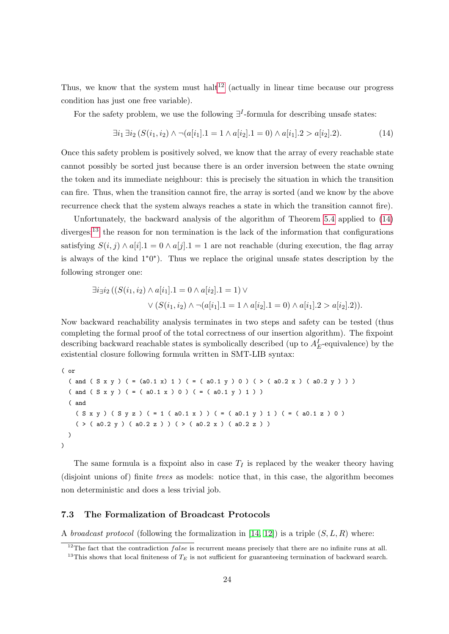Thus, we know that the system must halt<sup>[12](#page-24-1)</sup> (actually in linear time because our progress condition has just one free variable).

For the safety problem, we use the following  $\exists^{I}$ -formula for describing unsafe states:

<span id="page-24-2"></span>
$$
\exists i_1 \exists i_2 (S(i_1, i_2) \land \neg(a[i_1].1 = 1 \land a[i_2].1 = 0) \land a[i_1].2 > a[i_2].2). \tag{14}
$$

Once this safety problem is positively solved, we know that the array of every reachable state cannot possibly be sorted just because there is an order inversion between the state owning the token and its immediate neighbour: this is precisely the situation in which the transition can fire. Thus, when the transition cannot fire, the array is sorted (and we know by the above recurrence check that the system always reaches a state in which the transition cannot fire).

Unfortunately, the backward analysis of the algorithm of Theorem [5.4](#page-14-2) applied to [\(14\)](#page-24-2) diverges:<sup>[13](#page-24-3)</sup> the reason for non termination is the lack of the information that configurations satisfying  $S(i, j) \wedge a[i] \cdot 1 = 0 \wedge a[j] \cdot 1 = 1$  are not reachable (during execution, the flag array is always of the kind 1∗0 ∗ ). Thus we replace the original unsafe states description by the following stronger one:

$$
\exists i_{\exists} i_2 ((S(i_1, i_2) \land a[i_1].1 = 0 \land a[i_2].1 = 1) \lor \lor (S(i_1, i_2) \land \neg(a[i_1].1 = 1 \land a[i_2].1 = 0) \land a[i_1].2 > a[i_2].2)).
$$

Now backward reachability analysis terminates in two steps and safety can be tested (thus completing the formal proof of the total correctness of our insertion algorithm). The fixpoint describing backward reachable states is symbolically described (up to  $A_E^I$ -equivalence) by the existential closure following formula written in SMT-LIB syntax:

```
( or
  ( and ( S x y ) ( = (a0.1 x) 1 ) ( = ( a0.1 y ) 0 ) ( > ( a0.2 x ) ( a0.2 y ) )
  ( and (S \times y) ( = ( a0.1 x ) 0 ) ( = ( a0.1 y ) 1 ) )( and
    (S \times y) (S \times z) (= 1 (a0.1 \times)) (= (a0.1 \times) 1) (= (a0.1 \times a) 0)(>(a0.2 y) (a0.2 z)) (>(a0.2 z)))
\mathcal{L}
```
The same formula is a fixpoint also in case  $T_I$  is replaced by the weaker theory having (disjoint unions of) finite trees as models: notice that, in this case, the algorithm becomes non deterministic and does a less trivial job.

#### <span id="page-24-0"></span>7.3 The Formalization of Broadcast Protocols

A *broadcast protocol* (following the formalization in [\[14,](#page-34-3) [12\]](#page-34-4)) is a triple  $(S, L, R)$  where:

<span id="page-24-3"></span><span id="page-24-1"></span> $12$ The fact that the contradiction *false* is recurrent means precisely that there are no infinite runs at all. <sup>13</sup>This shows that local finiteness of  $T_E$  is not sufficient for guaranteeing termination of backward search.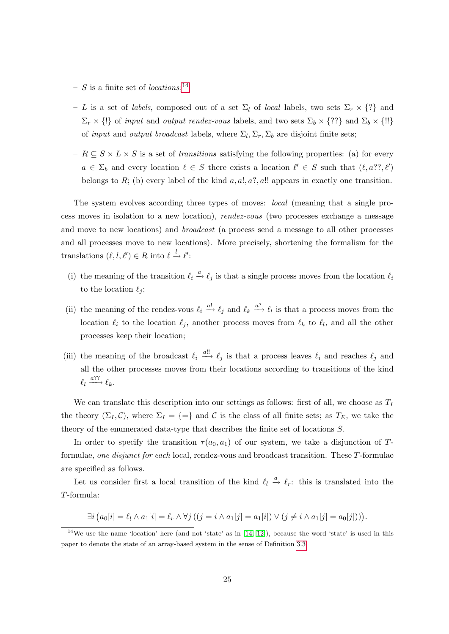- $-$  S is a finite set of *locations*;<sup>[14](#page-25-0)</sup>
- L is a set of labels, composed out of a set  $\Sigma_l$  of local labels, two sets  $\Sigma_r \times \{?\}$  and  $\Sigma_r \times \{\}\}$  of input and *output rendez-vous* labels, and two sets  $\Sigma_b \times \{??\}$  and  $\Sigma_b \times \{\}$ !! of *input* and *output broadcast* labels, where  $\Sigma_l$ ,  $\Sigma_r$ ,  $\Sigma_b$  are disjoint finite sets;
- $R \subseteq S \times L \times S$  is a set of transitions satisfying the following properties: (a) for every  $a \in \Sigma_b$  and every location  $\ell \in S$  there exists a location  $\ell' \in S$  such that  $(\ell, a? ? , \ell')$ belongs to R; (b) every label of the kind  $a, a!, a?, a!!$  appears in exactly one transition.

The system evolves according three types of moves: local (meaning that a single process moves in isolation to a new location), rendez-vous (two processes exchange a message and move to new locations) and broadcast (a process send a message to all other processes and all processes move to new locations). More precisely, shortening the formalism for the translations  $(\ell, l, \ell') \in R$  into  $\ell \stackrel{l}{\rightarrow} \ell'$ :

- (i) the meaning of the transition  $\ell_i \stackrel{a}{\rightarrow} \ell_j$  is that a single process moves from the location  $\ell_i$ to the location  $\ell_i$ ;
- (ii) the meaning of the rendez-vous  $\ell_i \stackrel{a!}{\longrightarrow} \ell_j$  and  $\ell_k \stackrel{a?}{\longrightarrow} \ell_l$  is that a process moves from the location  $\ell_i$  to the location  $\ell_j$ , another process moves from  $\ell_k$  to  $\ell_l$ , and all the other processes keep their location;
- (iii) the meaning of the broadcast  $\ell_i \stackrel{a!!}{\longrightarrow} \ell_j$  is that a process leaves  $\ell_i$  and reaches  $\ell_j$  and all the other processes moves from their locations according to transitions of the kind  $\ell_l \xrightarrow{a??} \ell_k.$

We can translate this description into our settings as follows: first of all, we choose as  $T_I$ the theory  $(\Sigma_I, \mathcal{C})$ , where  $\Sigma_I = \{=\}$  and  $\mathcal{C}$  is the class of all finite sets; as  $T_E$ , we take the theory of the enumerated data-type that describes the finite set of locations S.

In order to specify the transition  $\tau(a_0, a_1)$  of our system, we take a disjunction of Tformulae, one disjunct for each local, rendez-vous and broadcast transition. These T-formulae are specified as follows.

Let us consider first a local transition of the kind  $\ell_l \stackrel{a}{\rightarrow} \ell_r$ : this is translated into the T-formula:

$$
\exists i \big(a_0[i] = \ell_l \wedge a_1[i] = \ell_r \wedge \forall j \big( (j = i \wedge a_1[j] = a_1[i]) \vee (j \neq i \wedge a_1[j] = a_0[j]) \big).
$$

<span id="page-25-0"></span> $14$ We use the name 'location' here (and not 'state' as in [\[14,](#page-34-3) [12\]](#page-34-4)), because the word 'state' is used in this paper to denote the state of an array-based system in the sense of Definition [3.3.](#page-7-1)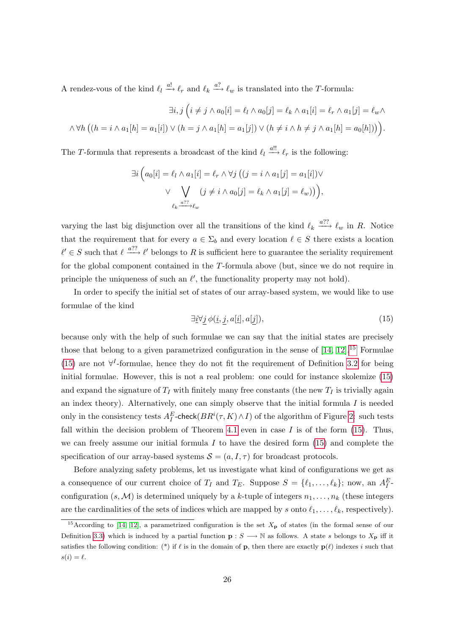A rendez-vous of the kind  $\ell_l \stackrel{a!}{\longrightarrow} \ell_r$  and  $\ell_k \stackrel{a?}{\longrightarrow} \ell_w$  is translated into the T-formula:

$$
\exists i, j \left( i \neq j \land a_0[i] = \ell_l \land a_0[j] = \ell_k \land a_1[i] = \ell_r \land a_1[j] = \ell_w \land \land \forall h \left( (h = i \land a_1[h] = a_1[i]) \lor (h = j \land a_1[h] = a_1[j]) \lor (h \neq i \land h \neq j \land a_1[h] = a_0[h]) \right) \right).
$$

The T-formula that represents a broadcast of the kind  $\ell_l \stackrel{a!!}{\longrightarrow} \ell_r$  is the following:

$$
\exists i \left( a_0[i] = \ell_l \wedge a_1[i] = \ell_r \wedge \forall j \left( (j = i \wedge a_1[j] = a_1[i]) \vee \vee \bigvee_{\ell_k \stackrel{a??}{\longrightarrow} \ell_w} (j \neq i \wedge a_0[j] = \ell_k \wedge a_1[j] = \ell_w) \right) \right),
$$

varying the last big disjunction over all the transitions of the kind  $\ell_k \stackrel{a??}{\longrightarrow} \ell_w$  in R. Notice that the requirement that for every  $a \in \Sigma_b$  and every location  $\ell \in S$  there exists a location  $\ell' \in S$  such that  $\ell \stackrel{a??}{\longrightarrow} \ell'$  belongs to R is sufficient here to guarantee the seriality requirement for the global component contained in the T-formula above (but, since we do not require in principle the uniqueness of such an  $\ell'$ , the functionality property may not hold).

In order to specify the initial set of states of our array-based system, we would like to use formulae of the kind

<span id="page-26-1"></span>
$$
\exists \underline{i} \forall \underline{j} \ \phi(\underline{i}, \underline{j}, a[\underline{i}], a[\underline{j}]),\tag{15}
$$

because only with the help of such formulae we can say that the initial states are precisely those that belong to a given parametrized configuration in the sense of  $[14, 12]$  $[14, 12]$ .<sup>[15](#page-26-0)</sup> Formulae [\(15\)](#page-26-1) are not  $\forall^{I}$ -formulae, hence they do not fit the requirement of Definition [3.2](#page-7-0) for being initial formulae. However, this is not a real problem: one could for instance skolemize [\(15\)](#page-26-1) and expand the signature of  $T_I$  with finitely many free constants (the new  $T_I$  is trivially again an index theory). Alternatively, one can simply observe that the initial formula  $I$  is needed only in the consistency tests  $A_I^E$ -check $(BR^i(\tau,K) \wedge I)$  of the algorithm of Figure [2:](#page-14-1) such tests fall within the decision problem of Theorem [4.1](#page-10-2) even in case  $I$  is of the form [\(15\)](#page-26-1). Thus, we can freely assume our initial formula  $I$  to have the desired form  $(15)$  and complete the specification of our array-based systems  $S = (a, I, \tau)$  for broadcast protocols.

Before analyzing safety problems, let us investigate what kind of configurations we get as a consequence of our current choice of  $T_I$  and  $T_E$ . Suppose  $S = \{\ell_1, \ldots, \ell_k\};$  now, an  $A_I^E$ . configuration  $(s, \mathcal{M})$  is determined uniquely by a k-tuple of integers  $n_1, \ldots, n_k$  (these integers are the cardinalities of the sets of indices which are mapped by s onto  $\ell_1, \ldots, \ell_k$ , respectively).

<span id="page-26-0"></span><sup>&</sup>lt;sup>15</sup>According to [\[14,](#page-34-3) [12\]](#page-34-4), a parametrized configuration is the set  $X_{p}$  of states (in the formal sense of our Definition [3.3\)](#page-7-1) which is induced by a partial function  $\mathbf{p}: S \longrightarrow \mathbb{N}$  as follows. A state s belongs to  $X_{\mathbf{p}}$  iff it satisfies the following condition: (\*) if  $\ell$  is in the domain of **p**, then there are exactly  $p(\ell)$  indexes i such that  $s(i) = \ell$ .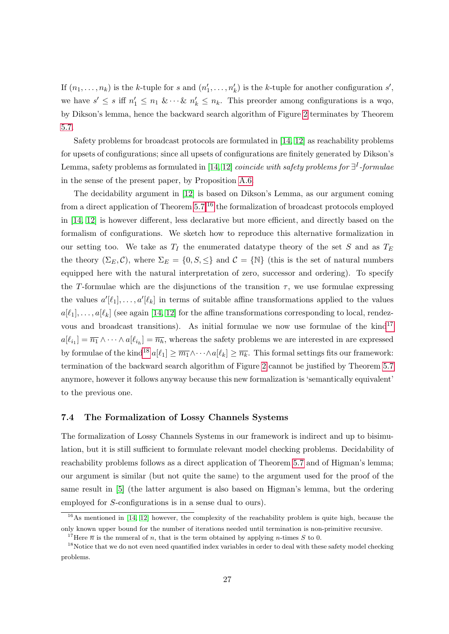If  $(n_1, \ldots, n_k)$  is the k-tuple for s and  $(n'_1, \ldots, n'_k)$  is the k-tuple for another configuration s', we have  $s' \leq s$  iff  $n'_1 \leq n_1 \& \cdots \& n'_k \leq n_k$ . This preorder among configurations is a wqo, by Dikson's lemma, hence the backward search algorithm of Figure [2](#page-14-1) terminates by Theorem [5.7.](#page-16-1)

Safety problems for broadcast protocols are formulated in [\[14,](#page-34-3) [12\]](#page-34-4) as reachability problems for upsets of configurations; since all upsets of configurations are finitely generated by Dikson's Lemma, safety problems as formulated in [\[14,](#page-34-3) [12\]](#page-34-4) *coincide with safety problems for*  $\exists^{I}$ -formulae in the sense of the present paper, by Proposition [A.6.](#page-43-0)

The decidability argument in [\[12\]](#page-34-4) is based on Dikson's Lemma, as our argument coming from a direct application of Theorem  $5.7$ ;<sup>[16](#page-27-1)</sup> the formalization of broadcast protocols employed in [\[14,](#page-34-3) [12\]](#page-34-4) is however different, less declarative but more efficient, and directly based on the formalism of configurations. We sketch how to reproduce this alternative formalization in our setting too. We take as  $T_I$  the enumerated datatype theory of the set S and as  $T_E$ the theory  $(\Sigma_E, \mathcal{C})$ , where  $\Sigma_E = \{0, S, \leq\}$  and  $\mathcal{C} = \{\mathbb{N}\}\$  (this is the set of natural numbers equipped here with the natural interpretation of zero, successor and ordering). To specify the T-formulae which are the disjunctions of the transition  $\tau$ , we use formulae expressing the values  $a'[\ell_1], \ldots, a'[\ell_k]$  in terms of suitable affine transformations applied to the values  $a[\ell_1], \ldots, a[\ell_k]$  (see again [\[14,](#page-34-3) [12\]](#page-34-4) for the affine transformations corresponding to local, rendezvous and broadcast transitions). As initial formulae we now use formulae of the  $\text{kind}^{17}$  $\text{kind}^{17}$  $\text{kind}^{17}$  $a[\ell_{i_1}] = \overline{n_1} \wedge \cdots \wedge a[\ell_{i_h}] = \overline{n_h}$ , whereas the safety problems we are interested in are expressed by formulae of the kind<sup>[18](#page-27-3)</sup>  $a[\ell_1] \geq \overline{m_1} \wedge \cdots \wedge a[\ell_k] \geq \overline{n_k}$ . This formal settings fits our framework: termination of the backward search algorithm of Figure [2](#page-14-1) cannot be justified by Theorem [5.7](#page-16-1) anymore, however it follows anyway because this new formalization is 'semantically equivalent' to the previous one.

#### <span id="page-27-0"></span>7.4 The Formalization of Lossy Channels Systems

The formalization of Lossy Channels Systems in our framework is indirect and up to bisimulation, but it is still sufficient to formulate relevant model checking problems. Decidability of reachability problems follows as a direct application of Theorem [5.7](#page-16-1) and of Higman's lemma; our argument is similar (but not quite the same) to the argument used for the proof of the same result in [\[5\]](#page-33-4) (the latter argument is also based on Higman's lemma, but the ordering employed for S-configurations is in a sense dual to ours).

<span id="page-27-1"></span> $16$ As mentioned in [\[14,](#page-34-3) [12\]](#page-34-4) however, the complexity of the reachability problem is quite high, because the only known upper bound for the number of iterations needed until termination is non-primitive recursive.

<span id="page-27-3"></span><span id="page-27-2"></span><sup>&</sup>lt;sup>17</sup>Here  $\bar{n}$  is the numeral of n, that is the term obtained by applying n-times S to 0.

<sup>&</sup>lt;sup>18</sup>Notice that we do not even need quantified index variables in order to deal with these safety model checking problems.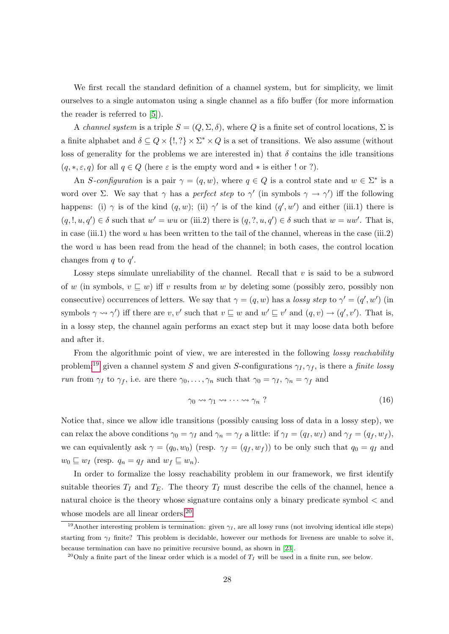We first recall the standard definition of a channel system, but for simplicity, we limit ourselves to a single automaton using a single channel as a fifo buffer (for more information the reader is referred to [\[5\]](#page-33-4)).

A channel system is a triple  $S = (Q, \Sigma, \delta)$ , where Q is a finite set of control locations,  $\Sigma$  is a finite alphabet and  $\delta \subseteq Q \times \{!,\}\times \Sigma^* \times Q$  is a set of transitions. We also assume (without loss of generality for the problems we are interested in) that  $\delta$  contains the idle transitions  $(q, *, \varepsilon, q)$  for all  $q \in Q$  (here  $\varepsilon$  is the empty word and  $*$  is either ! or ?).

An S-configuration is a pair  $\gamma = (q, w)$ , where  $q \in Q$  is a control state and  $w \in \Sigma^*$  is a word over  $\Sigma$ . We say that  $\gamma$  has a perfect step to  $\gamma'$  (in symbols  $\gamma \to \gamma'$ ) iff the following happens: (i)  $\gamma$  is of the kind  $(q, w)$ ; (ii)  $\gamma'$  is of the kind  $(q', w')$  and either (iii.1) there is  $(q, l, u, q') \in \delta$  such that  $w' = wu$  or (iii.2) there is  $(q, ?, u, q') \in \delta$  such that  $w = uw'$ . That is, in case (iii.1) the word  $u$  has been written to the tail of the channel, whereas in the case (iii.2) the word u has been read from the head of the channel; in both cases, the control location changes from  $q$  to  $q'$ .

Lossy steps simulate unreliability of the channel. Recall that  $v$  is said to be a subword of w (in symbols,  $v \sqsubseteq w$ ) iff v results from w by deleting some (possibly zero, possibly non consecutive) occurrences of letters. We say that  $\gamma = (q, w)$  has a lossy step to  $\gamma' = (q', w')$  (in symbols  $\gamma \rightsquigarrow \gamma'$  iff there are  $v, v'$  such that  $v \sqsubseteq w$  and  $w' \sqsubseteq v'$  and  $(q, v) \rightarrow (q', v')$ . That is, in a lossy step, the channel again performs an exact step but it may loose data both before and after it.

From the algorithmic point of view, we are interested in the following *lossy reachability* problem:<sup>[19](#page-28-0)</sup> given a channel system S and given S-configurations  $\gamma_I, \gamma_f$ , is there a *finite lossy run* from  $\gamma_I$  to  $\gamma_f$ , i.e. are there  $\gamma_0, \ldots, \gamma_n$  such that  $\gamma_0 = \gamma_I$ ,  $\gamma_n = \gamma_f$  and

$$
\gamma_0 \leadsto \gamma_1 \leadsto \cdots \leadsto \gamma_n
$$
 (16)

Notice that, since we allow idle transitions (possibly causing loss of data in a lossy step), we can relax the above conditions  $\gamma_0 = \gamma_I$  and  $\gamma_n = \gamma_f$  a little: if  $\gamma_I = (q_I, w_I)$  and  $\gamma_f = (q_f, w_f)$ , we can equivalently ask  $\gamma = (q_0, w_0)$  (resp.  $\gamma_f = (q_f, w_f)$ ) to be only such that  $q_0 = q_I$  and  $w_0 \sqsubseteq w_I$  (resp.  $q_n = q_f$  and  $w_f \sqsubseteq w_n$ ).

In order to formalize the lossy reachability problem in our framework, we first identify suitable theories  $T_I$  and  $T_E$ . The theory  $T_I$  must describe the cells of the channel, hence a natural choice is the theory whose signature contains only a binary predicate symbol < and whose models are all linear orders.<sup>[20](#page-28-1)</sup>

<span id="page-28-0"></span><sup>&</sup>lt;sup>19</sup>Another interesting problem is termination: given  $\gamma_I$ , are all lossy runs (not involving identical idle steps) starting from  $\gamma_I$  finite? This problem is decidable, however our methods for liveness are unable to solve it, because termination can have no primitive recursive bound, as shown in [\[23\]](#page-35-9).

<span id="page-28-1"></span><sup>&</sup>lt;sup>20</sup>Only a finite part of the linear order which is a model of  $T<sub>I</sub>$  will be used in a finite run, see below.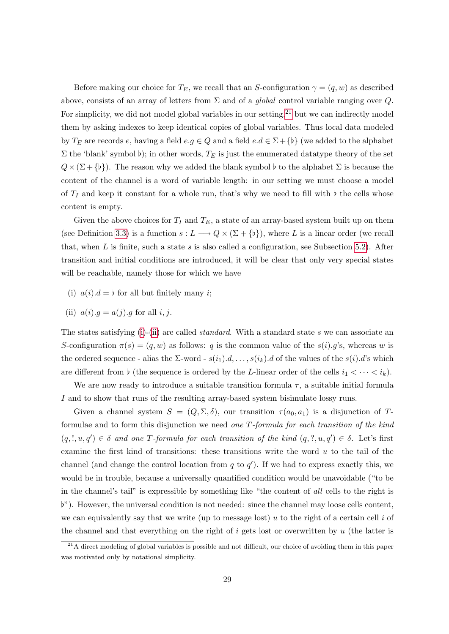Before making our choice for  $T_E$ , we recall that an S-configuration  $\gamma = (q, w)$  as described above, consists of an array of letters from  $\Sigma$  and of a *global* control variable ranging over  $Q$ . For simplicity, we did not model global variables in our setting,  $21$  but we can indirectly model them by asking indexes to keep identical copies of global variables. Thus local data modeled by  $T_E$  are records e, having a field  $e.g \in Q$  and a field  $e.d \in \Sigma + \{b\}$  (we added to the alphabet  $\Sigma$  the 'blank' symbol b); in other words,  $T_E$  is just the enumerated datatype theory of the set  $Q \times (\Sigma + \{b\})$ . The reason why we added the blank symbol b to the alphabet  $\Sigma$  is because the content of the channel is a word of variable length: in our setting we must choose a model of  $T_I$  and keep it constant for a whole run, that's why we need to fill with  $\flat$  the cells whose content is empty.

Given the above choices for  $T_I$  and  $T_E$ , a state of an array-based system built up on them (see Definition [3.3\)](#page-7-1) is a function  $s: L \longrightarrow Q \times (\Sigma + \{b\})$ , where L is a linear order (we recall that, when  $L$  is finite, such a state  $s$  is also called a configuration, see Subsection [5.2\)](#page-15-0). After transition and initial conditions are introduced, it will be clear that only very special states will be reachable, namely those for which we have

- <span id="page-29-1"></span>(i)  $a(i) \cdot d = b$  for all but finitely many i;
- <span id="page-29-2"></span>(ii)  $a(i) \cdot q = a(j) \cdot q$  for all i, j.

The states satisfying [\(i\)](#page-29-1)-[\(ii\)](#page-29-2) are called *standard*. With a standard state s we can associate an S-configuration  $\pi(s) = (q, w)$  as follows: q is the common value of the  $s(i)$ .g's, whereas w is the ordered sequence - alias the  $\Sigma$ -word -  $s(i_1).d, \ldots, s(i_k).d$  of the values of the  $s(i).d$ 's which are different from  $\flat$  (the sequence is ordered by the L-linear order of the cells  $i_1 < \cdots < i_k$ ).

We are now ready to introduce a suitable transition formula  $\tau$ , a suitable initial formula I and to show that runs of the resulting array-based system bisimulate lossy runs.

Given a channel system  $S = (Q, \Sigma, \delta)$ , our transition  $\tau(a_0, a_1)$  is a disjunction of Tformulae and to form this disjunction we need one T-formula for each transition of the kind  $(q, l, u, q') \in \delta$  and one T-formula for each transition of the kind  $(q, ?, u, q') \in \delta$ . Let's first examine the first kind of transitions: these transitions write the word  $u$  to the tail of the channel (and change the control location from  $q$  to  $q'$ ). If we had to express exactly this, we would be in trouble, because a universally quantified condition would be unavoidable ("to be in the channel's tail" is expressible by something like "the content of all cells to the right is ["). However, the universal condition is not needed: since the channel may loose cells content, we can equivalently say that we write (up to message lost) u to the right of a certain cell  $i$  of the channel and that everything on the right of  $i$  gets lost or overwritten by  $u$  (the latter is

<span id="page-29-0"></span> $21A$  direct modeling of global variables is possible and not difficult, our choice of avoiding them in this paper was motivated only by notational simplicity.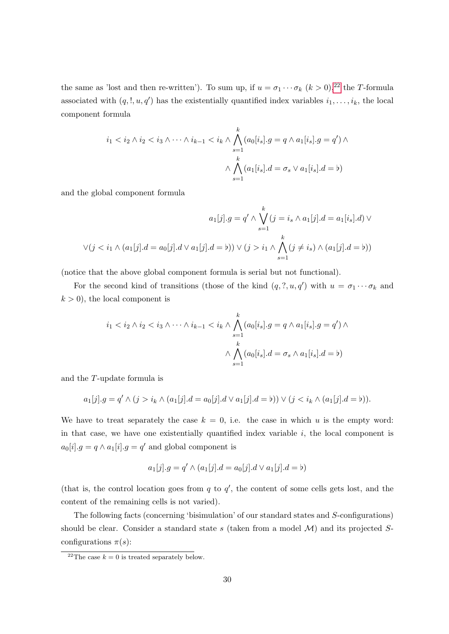the same as 'lost and then re-written'). To sum up, if  $u = \sigma_1 \cdots \sigma_k$   $(k > 0)$ ,<sup>[22](#page-30-0)</sup> the T-formula associated with  $(q, !, u, q')$  has the existentially quantified index variables  $i_1, \ldots, i_k$ , the local component formula

$$
i_1 < i_2 \wedge i_2 < i_3 \wedge \cdots \wedge i_{k-1} < i_k \wedge \bigwedge_{s=1}^k (a_0[i_s].g = q \wedge a_1[i_s].g = q') \wedge \bigwedge_{s=1}^k (a_1[i_s].d = \sigma_s \vee a_1[i_s].d = b)
$$

and the global component formula

$$
a_1[j].g = q' \land \bigvee_{s=1}^k (j = i_s \land a_1[j].d = a_1[i_s].d) \lor
$$
  

$$
\lor (j < i_1 \land (a_1[j].d = a_0[j].d \lor a_1[j].d = b)) \lor (j > i_1 \land \bigwedge_{s=1}^k (j \neq i_s) \land (a_1[j].d = b))
$$

(notice that the above global component formula is serial but not functional).

For the second kind of transitions (those of the kind  $(q, ?, u, q')$  with  $u = \sigma_1 \cdots \sigma_k$  and  $k > 0$ , the local component is

$$
i_1 < i_2 \wedge i_2 < i_3 \wedge \cdots \wedge i_{k-1} < i_k \wedge \bigwedge_{s=1}^k (a_0[i_s].g = q \wedge a_1[i_s].g = q') \wedge \bigwedge_{s=1}^k (a_0[i_s].d = \sigma_s \wedge a_1[i_s].d = b)
$$

and the T-update formula is

$$
a_1[j].g = q' \land (j > i_k \land (a_1[j].d = a_0[j].d \lor a_1[j].d = \mathfrak{b})) \lor (j < i_k \land (a_1[j].d = \mathfrak{b})).
$$

We have to treat separately the case  $k = 0$ , i.e. the case in which u is the empty word: in that case, we have one existentially quantified index variable  $i$ , the local component is  $a_0[i].g = q \wedge a_1[i].g = q'$  and global component is

$$
a_1[j].g = q' \land (a_1[j].d = a_0[j].d \lor a_1[j].d = \mathbf{b})
$$

(that is, the control location goes from  $q$  to  $q'$ , the content of some cells gets lost, and the content of the remaining cells is not varied).

The following facts (concerning 'bisimulation' of our standard states and S-configurations) should be clear. Consider a standard state s (taken from a model  $\mathcal{M}$ ) and its projected Sconfigurations  $\pi(s)$ :

<span id="page-30-0"></span><sup>&</sup>lt;sup>22</sup>The case  $k = 0$  is treated separately below.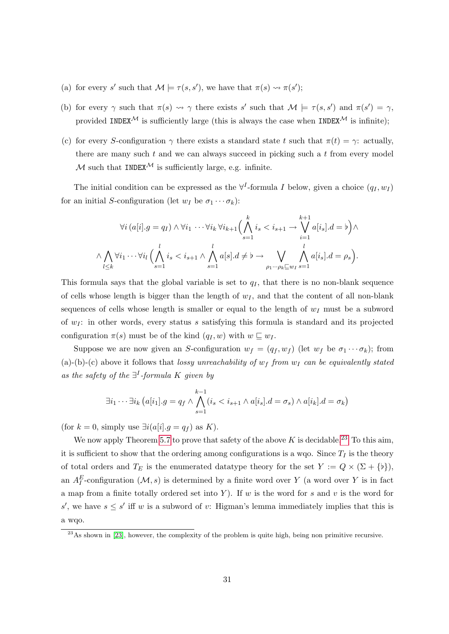- (a) for every s' such that  $\mathcal{M} \models \tau(s, s')$ , we have that  $\pi(s) \rightsquigarrow \pi(s')$ ;
- (b) for every  $\gamma$  such that  $\pi(s) \rightsquigarrow \gamma$  there exists s' such that  $\mathcal{M} \models \tau(s, s')$  and  $\pi(s') = \gamma$ , provided INDEX<sup>M</sup> is sufficiently large (this is always the case when INDEX<sup>M</sup> is infinite);
- (c) for every S-configuration  $\gamma$  there exists a standard state t such that  $\pi(t) = \gamma$ : actually, there are many such  $t$  and we can always succeed in picking such a  $t$  from every model M such that INDEX<sup>M</sup> is sufficiently large, e.g. infinite.

The initial condition can be expressed as the  $\forall^{I}$ -formula I below, given a choice  $(q_I, w_I)$ for an initial S-configuration (let  $w_I$  be  $\sigma_1 \cdots \sigma_k$ ):

$$
\forall i \left( a[i], g = q_I \right) \land \forall i_1 \cdots \forall i_k \forall i_{k+1} \Big( \bigwedge_{s=1}^k i_s < i_{s+1} \rightarrow \bigvee_{i=1}^{k+1} a[i_s].d = b \Big) \land \land \bigwedge_{l \leq k} \forall i_1 \cdots \forall i_l \Big( \bigwedge_{s=1}^l i_s < i_{s+1} \land \bigwedge_{s=1}^l a[s].d \neq b \rightarrow \bigvee_{\rho_1 \cdots \rho_k \sqsubseteq w_I} \bigwedge_{s=1}^l a[i_s].d = \rho_s \Big).
$$

This formula says that the global variable is set to  $q_I$ , that there is no non-blank sequence of cells whose length is bigger than the length of  $w_I$ , and that the content of all non-blank sequences of cells whose length is smaller or equal to the length of  $w_I$  must be a subword of  $w_I$ : in other words, every status s satisfying this formula is standard and its projected configuration  $\pi(s)$  must be of the kind  $(q_I, w)$  with  $w \sqsubseteq w_I$ .

Suppose we are now given an S-configuration  $w_f = (q_f, w_f)$  (let  $w_f$  be  $\sigma_1 \cdots \sigma_k$ ); from (a)-(b)-(c) above it follows that lossy unreachability of  $w_f$  from  $w_I$  can be equivalently stated as the safety of the  $\exists^{I}$ -formula K given by

$$
\exists i_1 \cdots \exists i_k \left( a[i_1].g = q_f \wedge \bigwedge_{s=1}^{k-1} (i_s < i_{s+1} \wedge a[i_s].d = \sigma_s) \wedge a[i_k].d = \sigma_k \right)
$$

(for  $k = 0$ , simply use  $\exists i (a[i].g = q_f)$  as K).

We now apply Theorem [5.7](#page-16-1) to prove that safety of the above  $K$  is decidable.<sup>[23](#page-31-0)</sup> To this aim, it is sufficient to show that the ordering among configurations is a wqo. Since  $T_I$  is the theory of total orders and  $T_E$  is the enumerated datatype theory for the set  $Y := Q \times (\Sigma + \{b\}),$ an  $A_I^E$ -configuration  $(\mathcal{M}, s)$  is determined by a finite word over Y (a word over Y is in fact a map from a finite totally ordered set into Y). If w is the word for s and v is the word for s', we have  $s \leq s'$  iff w is a subword of v: Higman's lemma immediately implies that this is a wqo.

<span id="page-31-0"></span><sup>&</sup>lt;sup>23</sup>As shown in [\[23\]](#page-35-9), however, the complexity of the problem is quite high, being non primitive recursive.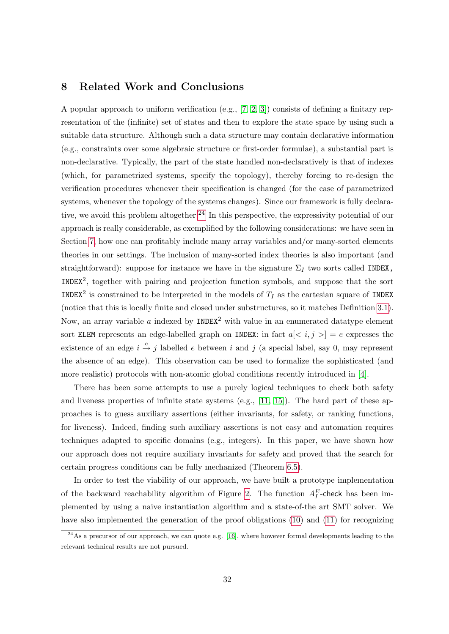## <span id="page-32-0"></span>8 Related Work and Conclusions

A popular approach to uniform verification (e.g., [\[7,](#page-33-3) [2,](#page-33-2) [3\]](#page-33-1)) consists of defining a finitary representation of the (infinite) set of states and then to explore the state space by using such a suitable data structure. Although such a data structure may contain declarative information (e.g., constraints over some algebraic structure or first-order formulae), a substantial part is non-declarative. Typically, the part of the state handled non-declaratively is that of indexes (which, for parametrized systems, specify the topology), thereby forcing to re-design the verification procedures whenever their specification is changed (for the case of parametrized systems, whenever the topology of the systems changes). Since our framework is fully declara-tive, we avoid this problem altogether.<sup>[24](#page-32-1)</sup> In this perspective, the expressivity potential of our approach is really considerable, as exemplified by the following considerations: we have seen in Section [7,](#page-18-0) how one can profitably include many array variables and/or many-sorted elements theories in our settings. The inclusion of many-sorted index theories is also important (and straightforward): suppose for instance we have in the signature  $\Sigma_I$  two sorts called INDEX, INDEX<sup>2</sup> , together with pairing and projection function symbols, and suppose that the sort INDEX<sup>2</sup> is constrained to be interpreted in the models of  $T_I$  as the cartesian square of INDEX (notice that this is locally finite and closed under substructures, so it matches Definition [3.1\)](#page-6-0). Now, an array variable  $a$  indexed by INDEX<sup>2</sup> with value in an enumerated datatype element sort ELEM represents an edge-labelled graph on INDEX: in fact  $a \leq i, j > |e|$  expresses the existence of an edge  $i \stackrel{e}{\rightarrow} j$  labelled e between i and j (a special label, say 0, may represent the absence of an edge). This observation can be used to formalize the sophisticated (and more realistic) protocols with non-atomic global conditions recently introduced in [\[4\]](#page-33-5).

There has been some attempts to use a purely logical techniques to check both safety and liveness properties of infinite state systems (e.g.,  $[11, 15]$  $[11, 15]$ ). The hard part of these approaches is to guess auxiliary assertions (either invariants, for safety, or ranking functions, for liveness). Indeed, finding such auxiliary assertions is not easy and automation requires techniques adapted to specific domains (e.g., integers). In this paper, we have shown how our approach does not require auxiliary invariants for safety and proved that the search for certain progress conditions can be fully mechanized (Theorem [6.5\)](#page-18-4).

In order to test the viability of our approach, we have built a prototype implementation of the backward reachability algorithm of Figure [2.](#page-14-1) The function  $A_I^E$ -check has been implemented by using a naive instantiation algorithm and a state-of-the art SMT solver. We have also implemented the generation of the proof obligations [\(10\)](#page-18-2) and [\(11\)](#page-18-3) for recognizing

<span id="page-32-1"></span> $^{24}$ As a precursor of our approach, we can quote e.g. [\[16\]](#page-34-7), where however formal developments leading to the relevant technical results are not pursued.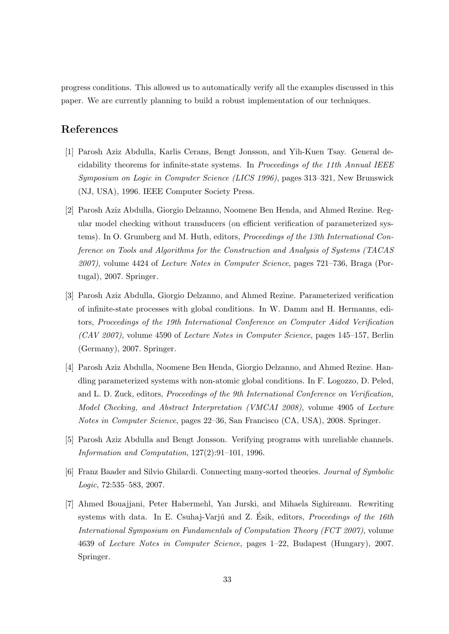progress conditions. This allowed us to automatically verify all the examples discussed in this paper. We are currently planning to build a robust implementation of our techniques.

## References

- <span id="page-33-0"></span>[1] Parosh Aziz Abdulla, Karlis Cerans, Bengt Jonsson, and Yih-Kuen Tsay. General decidability theorems for infinite-state systems. In Proceedings of the 11th Annual IEEE Symposium on Logic in Computer Science (LICS 1996), pages 313–321, New Brunswick (NJ, USA), 1996. IEEE Computer Society Press.
- <span id="page-33-2"></span>[2] Parosh Aziz Abdulla, Giorgio Delzanno, Noomene Ben Henda, and Ahmed Rezine. Regular model checking without transducers (on efficient verification of parameterized systems). In O. Grumberg and M. Huth, editors, Proceedings of the 13th International Conference on Tools and Algorithms for the Construction and Analysis of Systems (TACAS 2007), volume 4424 of Lecture Notes in Computer Science, pages 721–736, Braga (Portugal), 2007. Springer.
- <span id="page-33-1"></span>[3] Parosh Aziz Abdulla, Giorgio Delzanno, and Ahmed Rezine. Parameterized verification of infinite-state processes with global conditions. In W. Damm and H. Hermanns, editors, Proceedings of the 19th International Conference on Computer Aided Verification (CAV 2007), volume 4590 of Lecture Notes in Computer Science, pages 145–157, Berlin (Germany), 2007. Springer.
- <span id="page-33-5"></span>[4] Parosh Aziz Abdulla, Noomene Ben Henda, Giorgio Delzanno, and Ahmed Rezine. Handling parameterized systems with non-atomic global conditions. In F. Logozzo, D. Peled, and L. D. Zuck, editors, *Proceedings of the 9th International Conference on Verification*, Model Checking, and Abstract Interpretation (VMCAI 2008), volume 4905 of Lecture Notes in Computer Science, pages 22–36, San Francisco (CA, USA), 2008. Springer.
- <span id="page-33-4"></span>[5] Parosh Aziz Abdulla and Bengt Jonsson. Verifying programs with unreliable channels. Information and Computation, 127(2):91–101, 1996.
- <span id="page-33-6"></span>[6] Franz Baader and Silvio Ghilardi. Connecting many-sorted theories. Journal of Symbolic Logic, 72:535–583, 2007.
- <span id="page-33-3"></span>[7] Ahmed Bouajjani, Peter Habermehl, Yan Jurski, and Mihaela Sighireanu. Rewriting systems with data. In E. Csuhaj-Varjú and Z. Esik, editors, *Proceedings of the 16th* International Symposium on Fundamentals of Computation Theory (FCT 2007), volume 4639 of Lecture Notes in Computer Science, pages 1–22, Budapest (Hungary), 2007. Springer.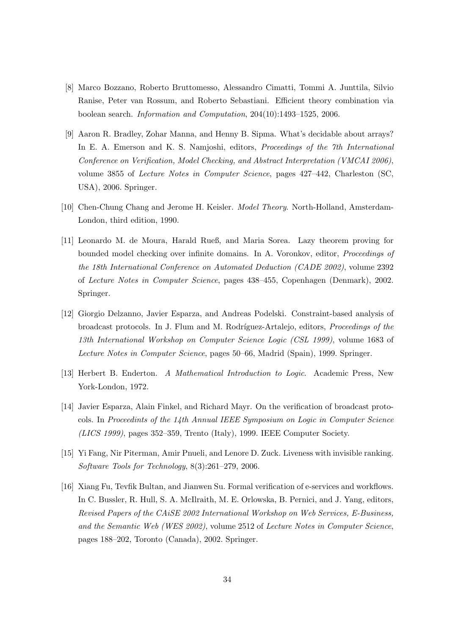- <span id="page-34-1"></span>[8] Marco Bozzano, Roberto Bruttomesso, Alessandro Cimatti, Tommi A. Junttila, Silvio Ranise, Peter van Rossum, and Roberto Sebastiani. Efficient theory combination via boolean search. Information and Computation, 204(10):1493–1525, 2006.
- <span id="page-34-2"></span>[9] Aaron R. Bradley, Zohar Manna, and Henny B. Sipma. What's decidable about arrays? In E. A. Emerson and K. S. Namjoshi, editors, Proceedings of the 7th International Conference on Verification, Model Checking, and Abstract Interpretation (VMCAI 2006), volume 3855 of Lecture Notes in Computer Science, pages 427–442, Charleston (SC, USA), 2006. Springer.
- <span id="page-34-8"></span>[10] Chen-Chung Chang and Jerome H. Keisler. Model Theory. North-Holland, Amsterdam-London, third edition, 1990.
- <span id="page-34-5"></span>[11] Leonardo M. de Moura, Harald Rueß, and Maria Sorea. Lazy theorem proving for bounded model checking over infinite domains. In A. Voronkov, editor, Proceedings of the 18th International Conference on Automated Deduction (CADE 2002), volume 2392 of Lecture Notes in Computer Science, pages 438–455, Copenhagen (Denmark), 2002. Springer.
- <span id="page-34-4"></span>[12] Giorgio Delzanno, Javier Esparza, and Andreas Podelski. Constraint-based analysis of broadcast protocols. In J. Flum and M. Rodríguez-Artalejo, editors, *Proceedings of the* 13th International Workshop on Computer Science Logic (CSL 1999), volume 1683 of Lecture Notes in Computer Science, pages 50–66, Madrid (Spain), 1999. Springer.
- <span id="page-34-0"></span>[13] Herbert B. Enderton. A Mathematical Introduction to Logic. Academic Press, New York-London, 1972.
- <span id="page-34-3"></span>[14] Javier Esparza, Alain Finkel, and Richard Mayr. On the verification of broadcast protocols. In Proceedints of the 14th Annual IEEE Symposium on Logic in Computer Science (LICS 1999), pages 352–359, Trento (Italy), 1999. IEEE Computer Society.
- <span id="page-34-6"></span>[15] Yi Fang, Nir Piterman, Amir Pnueli, and Lenore D. Zuck. Liveness with invisible ranking. Software Tools for Technology, 8(3):261–279, 2006.
- <span id="page-34-7"></span>[16] Xiang Fu, Tevfik Bultan, and Jianwen Su. Formal verification of e-services and workflows. In C. Bussler, R. Hull, S. A. McIlraith, M. E. Orlowska, B. Pernici, and J. Yang, editors, Revised Papers of the CAiSE 2002 International Workshop on Web Services, E-Business, and the Semantic Web (WES 2002), volume 2512 of Lecture Notes in Computer Science, pages 188–202, Toronto (Canada), 2002. Springer.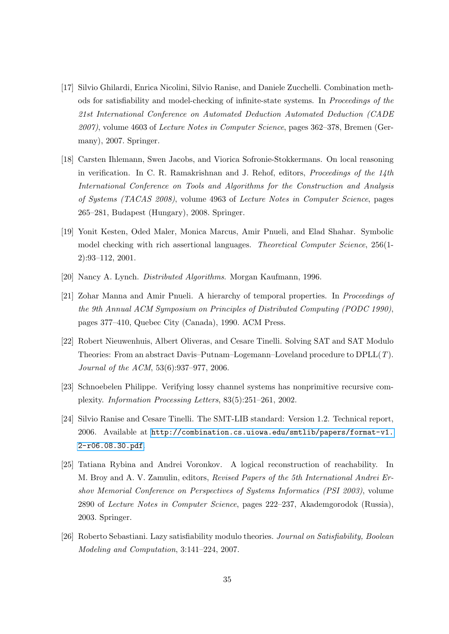- <span id="page-35-4"></span>[17] Silvio Ghilardi, Enrica Nicolini, Silvio Ranise, and Daniele Zucchelli. Combination methods for satisfiability and model-checking of infinite-state systems. In Proceedings of the 21st International Conference on Automated Deduction Automated Deduction (CADE 2007), volume 4603 of Lecture Notes in Computer Science, pages 362–378, Bremen (Germany), 2007. Springer.
- <span id="page-35-6"></span>[18] Carsten Ihlemann, Swen Jacobs, and Viorica Sofronie-Stokkermans. On local reasoning in verification. In C. R. Ramakrishnan and J. Rehof, editors, Proceedings of the 14th International Conference on Tools and Algorithms for the Construction and Analysis of Systems (TACAS 2008), volume 4963 of Lecture Notes in Computer Science, pages 265–281, Budapest (Hungary), 2008. Springer.
- <span id="page-35-1"></span>[19] Yonit Kesten, Oded Maler, Monica Marcus, Amir Pnueli, and Elad Shahar. Symbolic model checking with rich assertional languages. Theoretical Computer Science, 256(1- 2):93–112, 2001.
- <span id="page-35-7"></span>[20] Nancy A. Lynch. Distributed Algorithms. Morgan Kaufmann, 1996.
- <span id="page-35-3"></span>[21] Zohar Manna and Amir Pnueli. A hierarchy of temporal properties. In Proceedings of the 9th Annual ACM Symposium on Principles of Distributed Computing (PODC 1990), pages 377–410, Quebec City (Canada), 1990. ACM Press.
- <span id="page-35-5"></span>[22] Robert Nieuwenhuis, Albert Oliveras, and Cesare Tinelli. Solving SAT and SAT Modulo Theories: From an abstract Davis–Putnam–Logemann–Loveland procedure to DPLL(T). Journal of the ACM, 53(6):937–977, 2006.
- <span id="page-35-9"></span>[23] Schnoebelen Philippe. Verifying lossy channel systems has nonprimitive recursive complexity. Information Processing Letters, 83(5):251–261, 2002.
- <span id="page-35-8"></span>[24] Silvio Ranise and Cesare Tinelli. The SMT-LIB standard: Version 1.2. Technical report, 2006. Available at [http://combination.cs.uiowa.edu/smtlib/papers/format-v1.](http://combination.cs.uiowa.edu/smtlib/papers/format-v1.2-r06.08.30.pdf) [2-r06.08.30.pdf](http://combination.cs.uiowa.edu/smtlib/papers/format-v1.2-r06.08.30.pdf).
- <span id="page-35-2"></span>[25] Tatiana Rybina and Andrei Voronkov. A logical reconstruction of reachability. In M. Broy and A. V. Zamulin, editors, Revised Papers of the 5th International Andrei Ershov Memorial Conference on Perspectives of Systems Informatics (PSI 2003), volume 2890 of Lecture Notes in Computer Science, pages 222–237, Akademgorodok (Russia), 2003. Springer.
- <span id="page-35-0"></span>[26] Roberto Sebastiani. Lazy satisfiability modulo theories. Journal on Satisfiability, Boolean Modeling and Computation, 3:141–224, 2007.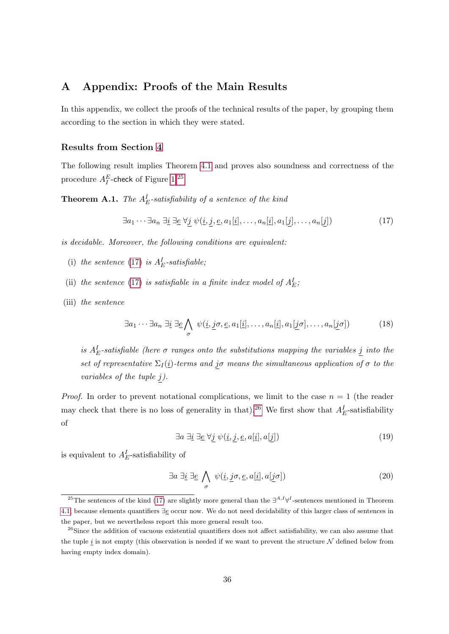## <span id="page-36-0"></span>A Appendix: Proofs of the Main Results

In this appendix, we collect the proofs of the technical results of the paper, by grouping them according to the section in which they were stated.

#### Results from Section [4](#page-10-0)

The following result implies Theorem [4.1](#page-10-2) and proves also soundness and correctness of the procedure  $A_I^E$ -check of Figure [1:](#page-11-0)<sup>[25](#page-36-1)</sup>

<span id="page-36-8"></span>**Theorem A.1.** The  $A_E^I$ -satisfiability of a sentence of the kind

<span id="page-36-2"></span>
$$
\exists a_1 \cdots \exists a_n \ \exists \underline{i} \ \exists \underline{e} \ \forall \underline{j} \ \psi(i, \underline{j}, \underline{e}, a_1[\underline{i}], \dots, a_n[\underline{i}], a_1[\underline{j}], \dots, a_n[\underline{j}]) \tag{17}
$$

is decidable. Moreover, the following conditions are equivalent:

- <span id="page-36-6"></span>(i) the sentence [\(17\)](#page-36-2) is  $A_E^I$ -satisfiable;
- <span id="page-36-7"></span>(ii) the sentence [\(17\)](#page-36-2) is satisfiable in a finite index model of  $A_E^I$ ;
- <span id="page-36-9"></span>(iii) the sentence

$$
\exists a_1 \cdots \exists a_n \; \exists \underline{i} \; \exists \underline{e} \bigwedge_{\sigma} \; \psi(\underline{i}, \underline{j}\sigma, \underline{e}, a_1[\underline{i}], \dots, a_n[\underline{i}], a_1[\underline{j}\sigma], \dots, a_n[\underline{j}\sigma]) \tag{18}
$$

is  $A_E^I$ -satisfiable (here  $\sigma$  ranges onto the substitutions mapping the variables  $\underline{j}$  into the set of representative  $\Sigma_I(\underline{i})$ -terms and j $\sigma$  means the simultaneous application of  $\sigma$  to the variables of the tuple  $j$ ).

<span id="page-36-4"></span>*Proof.* In order to prevent notational complications, we limit to the case  $n = 1$  (the reader may check that there is no loss of generality in that).<sup>[26](#page-36-3)</sup> We first show that  $A_E^I$ -satisfiability of

<span id="page-36-5"></span>
$$
\exists a \; \exists \underline{i} \; \exists \underline{e} \; \forall j \; \psi(\underline{i}, j, \underline{e}, a[\underline{i}], a[j]) \tag{19}
$$

is equivalent to  $A_E^I$ -satisfiability of

$$
\exists a \; \exists \underline{i} \; \exists \underline{e} \; \bigwedge_{\sigma} \; \psi(\underline{i}, \underline{j}\sigma, \underline{e}, a[\underline{i}], a[\underline{j}\sigma]) \tag{20}
$$

<span id="page-36-1"></span><sup>&</sup>lt;sup>25</sup>The sentences of the kind [\(17\)](#page-36-2) are slightly more general than the  $\exists^{A,I}\forall^{I}$ -sentences mentioned in Theorem [4.1,](#page-10-2) because elements quantifiers ∃e occur now. We do not need decidability of this larger class of sentences in the paper, but we nevertheless report this more general result too.

<span id="page-36-3"></span><sup>&</sup>lt;sup>26</sup>Since the addition of vacuous existential quantifiers does not affect satisfiability, we can also assume that the tuple i is not empty (this observation is needed if we want to prevent the structure  $N$  defined below from having empty index domain).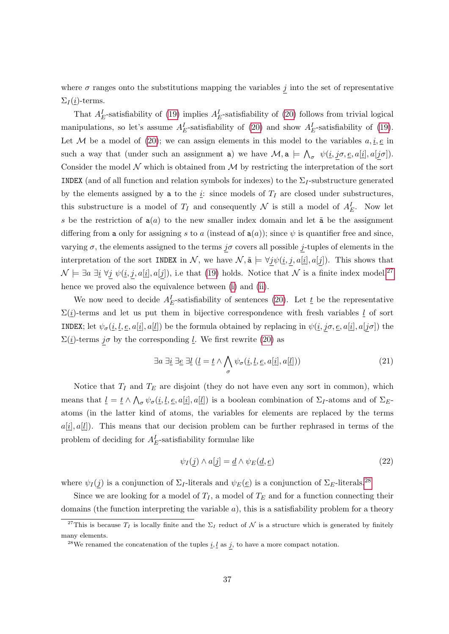where  $\sigma$  ranges onto the substitutions mapping the variables j into the set of representative  $\Sigma_I(\underline{i})$ -terms.

That  $A_E^I$ -satisfiability of [\(19\)](#page-36-4) implies  $A_E^I$ -satisfiability of [\(20\)](#page-36-5) follows from trivial logical manipulations, so let's assume  $A_E^I$ -satisfiability of [\(20\)](#page-36-5) and show  $A_E^I$ -satisfiability of [\(19\)](#page-36-4). Let M be a model of [\(20\)](#page-36-5); we can assign elements in this model to the variables  $a, \underline{i}, \underline{e}$  in such a way that (under such an assignment a) we have  $\mathcal{M}$ ,  $a \models \bigwedge_{\sigma} \psi(i, \underline{j}\sigma, \underline{e}, a[i], a[j\sigma]).$ Consider the model  $\mathcal N$  which is obtained from  $\mathcal M$  by restricting the interpretation of the sort INDEX (and of all function and relation symbols for indexes) to the  $\Sigma_I$ -substructure generated by the elements assigned by a to the  $i$ : since models of  $T_I$  are closed under substructures, this substructure is a model of  $T_I$  and consequently  $\mathcal N$  is still a model of  $A_E^I$ . Now let s be the restriction of  $a(a)$  to the new smaller index domain and let  $\tilde{a}$  be the assignment differing from a only for assigning s to a (instead of  $a(a)$ ); since  $\psi$  is quantifier free and since, varying  $\sigma$ , the elements assigned to the terms j $\sigma$  covers all possible j-tuples of elements in the interpretation of the sort INDEX in N, we have  $\mathcal{N}, \tilde{\mathbf{a}} \models \forall j \psi(\underline{i}, j, a[\underline{i}], a[j])$ . This shows that  $\mathcal{N} \models \exists a \exists i \; \forall j \; \psi(i, j, a[i], a[j]),$  i.e that [\(19\)](#page-36-4) holds. Notice that  $\mathcal N$  is a finite index model,<sup>[27](#page-37-0)</sup> hence we proved also the equivalence between [\(i\)](#page-36-6) and [\(ii\)](#page-36-7).

We now need to decide  $A_E^I$ -satisfiability of sentences [\(20\)](#page-36-5). Let  $\underline{t}$  be the representative  $\Sigma(i)$ -terms and let us put them in bijective correspondence with fresh variables  $\underline{l}$  of sort **INDEX**; let  $\psi_{\sigma}(\underline{i}, \underline{l}, \underline{e}, a[\underline{i}], a[\underline{l}])$  be the formula obtained by replacing in  $\psi(\underline{i}, j\sigma, \underline{e}, a[\underline{i}], a[j\sigma])$  the  $\Sigma(\underline{i})$ -terms j $\sigma$  by the corresponding <u>l</u>. We first rewrite [\(20\)](#page-36-5) as

$$
\exists a \; \exists \underline{i} \; \exists \underline{e} \; \exists \underline{l} \; (\underline{l} = \underline{t} \land \bigwedge_{\sigma} \psi_{\sigma}(\underline{i}, \underline{l}, \underline{e}, a[\underline{i}], a[\underline{l}])) \tag{21}
$$

Notice that  $T_I$  and  $T_E$  are disjoint (they do not have even any sort in common), which means that  $\underline{l} = \underline{t} \wedge \bigwedge_{\sigma} \psi_{\sigma}(\underline{i}, \underline{l}, \underline{e}, a[\underline{i}], a[\underline{l}])$  is a boolean combination of  $\Sigma_I$ -atoms and of  $\Sigma_E$ atoms (in the latter kind of atoms, the variables for elements are replaced by the terms  $a[i], a[i]$ . This means that our decision problem can be further rephrased in terms of the problem of deciding for  $A_E^I$ -satisfiability formulae like

<span id="page-37-2"></span>
$$
\psi_I(\underline{j}) \wedge a[\underline{j}] = \underline{d} \wedge \psi_E(\underline{d}, \underline{e}) \tag{22}
$$

where  $\psi_I(j)$  is a conjunction of  $\Sigma_I$ -literals and  $\psi_E(\underline{e})$  is a conjunction of  $\Sigma_E$ -literals.<sup>[28](#page-37-1)</sup>

Since we are looking for a model of  $T_I$ , a model of  $T_E$  and for a function connecting their domains (the function interpreting the variable  $a$ ), this is a satisfiability problem for a theory

<span id="page-37-0"></span><sup>&</sup>lt;sup>27</sup>This is because  $T_I$  is locally finite and the  $\Sigma_I$  reduct of N is a structure which is generated by finitely many elements.

<span id="page-37-1"></span><sup>&</sup>lt;sup>28</sup>We renamed the concatenation of the tuples <u>i</u>, <u>l</u> as j, to have a more compact notation.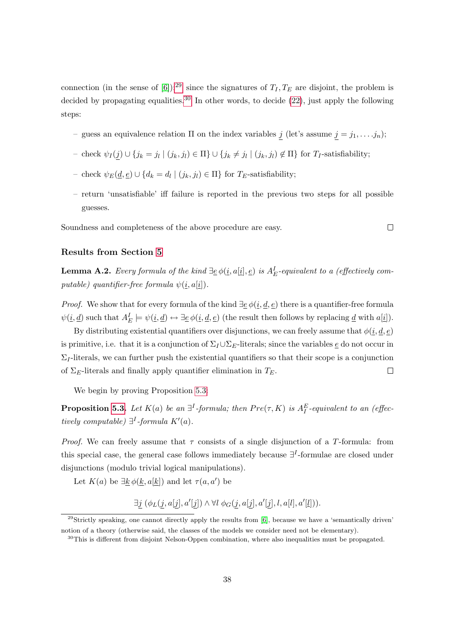connection (in the sense of [\[6\]](#page-33-6)):<sup>[29](#page-38-0)</sup> since the signatures of  $T_I, T_E$  are disjoint, the problem is decided by propagating equalities.<sup>[30](#page-38-1)</sup> In other words, to decide  $(22)$ , just apply the following steps:

- guess an equivalence relation  $\Pi$  on the index variables j (let's assume  $j = j_1, \ldots, j_n$ );
- check  $ψ_I(j) ∪ {j_k = j_l | (j_k, j_l) ∈ Π} ∪ {j_k ≠ j_l | (j_k, j_l) ∉ Π}$  for  $T_I$ -satisfiability;
- check  $ψ$ <sub>E</sub>( $\underline{d}, \underline{e}$ ) ∪ { $d_k = d_l | (j_k, j_l) \in \Pi$ } for T<sub>E</sub>-satisfiability;
- return 'unsatisfiable' iff failure is reported in the previous two steps for all possible guesses.

 $\Box$ 

Soundness and completeness of the above procedure are easy.

#### Results from Section [5](#page-13-0)

<span id="page-38-2"></span>**Lemma A.2.** Every formula of the kind  $\exists \underline{e} \phi(i, a[\underline{i}], \underline{e})$  is  $A_E^I$ -equivalent to a (effectively computable) quantifier-free formula  $\psi(\underline{i}, a[\underline{i}])$ .

*Proof.* We show that for every formula of the kind  $\exists \underline{e} \phi(i, \underline{d}, \underline{e})$  there is a quantifier-free formula  $\psi(\underline{i}, \underline{d})$  such that  $A_E^I \models \psi(\underline{i}, \underline{d}) \leftrightarrow \exists \underline{e} \, \phi(\underline{i}, \underline{d}, \underline{e})$  (the result then follows by replacing  $\underline{d}$  with  $a[\underline{i}]$ ).

By distributing existential quantifiers over disjunctions, we can freely assume that  $\phi(\underline{i}, \underline{d}, \underline{e})$ is primitive, i.e. that it is a conjunction of  $\Sigma_I \cup \Sigma_E$ -literals; since the variables  $\underline{e}$  do not occur in  $\Sigma_I$ -literals, we can further push the existential quantifiers so that their scope is a conjunction of  $\Sigma_E$ -literals and finally apply quantifier elimination in  $T_E$ .  $\Box$ 

We begin by proving Proposition [5.3:](#page-13-5)

**Proposition [5.3.](#page-13-5)** Let  $K(a)$  be an  $\exists^{I}$ -formula; then  $Pre(\tau, K)$  is  $A_I^E$ -equivalent to an (effectively computable)  $\exists^{I}$ -formula  $K'(a)$ .

*Proof.* We can freely assume that  $\tau$  consists of a single disjunction of a T-formula: from this special case, the general case follows immediately because  $\exists^{I}$ -formulae are closed under disjunctions (modulo trivial logical manipulations).

Let  $K(a)$  be  $\exists \underline{k} \phi(\underline{k}, a[\underline{k}])$  and let  $\tau(a, a')$  be

 $\exists j \ (\phi_L(j, a[j], a'[j]) \land \forall l \ \phi_G(j, a[j], a'[j], l, a[l], a'[l]).$ 

<span id="page-38-0"></span> $29$ Strictly speaking, one cannot directly apply the results from [\[6\]](#page-33-6), because we have a 'semantically driven' notion of a theory (otherwise said, the classes of the models we consider need not be elementary).

<span id="page-38-1"></span><sup>&</sup>lt;sup>30</sup>This is different from disjoint Nelson-Oppen combination, where also inequalities must be propagated.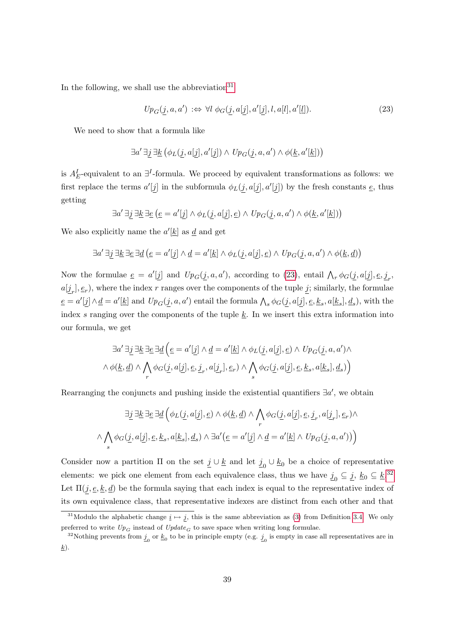In the following, we shall use the abbreviation<sup>[31](#page-39-0)</sup>

<span id="page-39-1"></span>
$$
Up_G(\underline{j}, a, a') \Leftrightarrow \forall l \phi_G(\underline{j}, a[\underline{j}], a'[\underline{j}], l, a[l], a'[\underline{l}]).
$$
\n(23)

We need to show that a formula like

$$
\exists a'~ \exists \underline{j}~ \exists \underline{k}~ \big(\phi_L(\underline{j},a[\underline{j}],a'[\underline{j}]) \wedge \mathit{Up}_G(\underline{j},a,a') \wedge \phi(\underline{k},a'[\underline{k}])\big)
$$

is  $A_E^I$ -equivalent to an  $\exists^I$ -formula. We proceed by equivalent transformations as follows: we first replace the terms  $a'[j]$  in the subformula  $\phi_L(j, a[j], a'[j])$  by the fresh constants  $\underline{e}$ , thus getting

$$
\exists a' \exists \underline{j} \ \exists \underline{k} \ \exists \underline{e} \ \big(\underline{e} = a'[\underline{j}] \land \phi_L(\underline{j}, a[\underline{j}], \underline{e}) \land \ Up_G(\underline{j}, a, a') \land \phi(\underline{k}, a'[\underline{k}])\big)
$$

We also explicitly name the  $a'[\underline{k}]$  as  $\underline{d}$  and get

$$
\exists a' \exists \underline{j} \exists \underline{k} \exists \underline{e} \exists \underline{d} (e = a'[\underline{j}] \land \underline{d} = a'[\underline{k}] \land \phi_L(\underline{j}, a[\underline{j}], \underline{e}) \land Up_G(\underline{j}, a, a') \land \phi(\underline{k}, \underline{d})
$$

Now the formulae  $\underline{e} = a'[\underline{j}]$  and  $Up_G(\underline{j}, a, a')$ , according to [\(23\)](#page-39-1), entail  $\bigwedge_r \phi_G(\underline{j}, a[\underline{j}], \underline{e}, \underline{j}_r, a'$  $a[\underline{j}_r], \underline{e}_r$ ), where the index r ranges over the components of the tuple  $\underline{j}$ ; similarly, the formulae  $\underline{e} = a'[\underline{j}] \wedge \underline{d} = a'[\underline{k}]$  and  $Up_G(\underline{j}, a, a')$  entail the formula  $\bigwedge_s \phi_G(\underline{j}, a[\underline{j}], \underline{e}, \underline{k}_s, a[\underline{k}_s], \underline{d}_s)$ , with the index s ranging over the components of the tuple  $\underline{k}$ . In we insert this extra information into our formula, we get

$$
\exists a' \exists \underline{j} \exists \underline{k} \exists \underline{e} \exists \underline{d} \left( \underline{e} = a'[\underline{j}] \land \underline{d} = a'[\underline{k}] \land \phi_L(\underline{j}, a[\underline{j}], \underline{e}) \land Up_G(\underline{j}, a, a') \land \phi(\underline{k}, \underline{d}) \land \bigwedge_{r} \phi_G(\underline{j}, a[\underline{j}], \underline{e}, \underline{j}_r, a[\underline{j}_r], \underline{e}_r) \land \bigwedge_{s} \phi_G(\underline{j}, a[\underline{j}], \underline{e}, \underline{k}_s, a[\underline{k}_s], \underline{d}_s) \right)
$$

Rearranging the conjuncts and pushing inside the existential quantifiers  $\exists a'$ , we obtain

$$
\exists \underline{j} \ \exists \underline{k} \ \exists \underline{e} \ \exists \underline{d} \left( \phi_L(\underline{j}, a[\underline{j}], \underline{e}) \land \phi(\underline{k}, \underline{d}) \land \bigwedge_r \phi_G(\underline{j}, a[\underline{j}], \underline{e}, \underline{j}_r, a[\underline{j}_r], \underline{e}_r) \land \land \bigwedge_s \phi_G(\underline{j}, a[\underline{j}], \underline{e}, \underline{k}_s, a[\underline{k}_s], \underline{d}_s) \land \exists a' (\underline{e} = a'[\underline{j}] \land \underline{d} = a'[\underline{k}] \land \text{Up}_G(\underline{j}, a, a')) \right)
$$

Consider now a partition  $\Pi$  on the set  $\underline{j} \cup \underline{k}$  and let  $\underline{j}_0 \cup \underline{k}_0$  be a choice of representative elements: we pick one element from each equivalence class, thus we have  $\underline{j}_0 \subseteq \underline{j}$ ,  $\underline{k}_0 \subseteq \underline{k}$ .<sup>[32](#page-39-2)</sup> Let  $\Pi(j, \underline{e}, \underline{k}, \underline{d})$  be the formula saying that each index is equal to the representative index of its own equivalence class, that representative indexes are distinct from each other and that

<span id="page-39-0"></span><sup>&</sup>lt;sup>31</sup>Modulo the alphabetic change  $i \mapsto j$ , this is the same abbreviation as [\(3\)](#page-9-1) from Definition [3.4.](#page-9-3) We only preferred to write  $Up_G$  instead of  $Update_G$  to save space when writing long formulae.

<span id="page-39-2"></span><sup>&</sup>lt;sup>32</sup>Nothing prevents from  $j_0$  or  $\underline{k}_0$  to be in principle empty (e.g.  $j_0$  is empty in case all representatives are in  $\underline{k}).$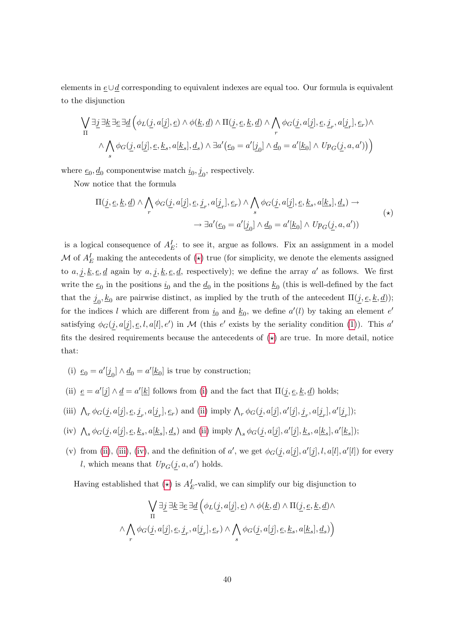elements in e∪d corresponding to equivalent indexes are equal too. Our formula is equivalent to the disjunction

$$
\begin{split} \bigvee_{\Pi}\exists \underline{j}\ \exists \underline{k}\ \exists \underline{e}\ \exists \underline{d}\ \Big(\phi_L(\underline{j},a[\underline{j}],\underline{e})\ \wedge\ \phi(\underline{k},\underline{d})\ \wedge\ \Pi(\underline{j},\underline{e},\underline{k},\underline{d})\ \wedge\ \bigwedge_r \phi_G(\underline{j},a[\underline{j}],\underline{e},\underline{j}_r,a[\underline{j}_r],\underline{e}_r)\wedge \\ &\wedge\bigwedge_s \phi_G(\underline{j},a[\underline{j}],\underline{e},\underline{k}_s,a[\underline{k}_s],\underline{d}_s)\ \wedge\ \exists a'\,\big(\underline{e}_0=a'[\underline{j}_0]\ \wedge\ \underline{d}_0=a'[\underline{k}_0]\ \wedge\ Up_G(\underline{j},a,a')\big)\Big) \end{split}
$$

where  $\underline{e}_0, \underline{d}_0$  componentwise match  $\underline{i}_0, \underline{j}_0$ , respectively.

Now notice that the formula

<span id="page-40-0"></span>
$$
\Pi(\underline{j}, \underline{e}, \underline{k}, \underline{d}) \land \bigwedge_r \phi_G(\underline{j}, a[\underline{j}], \underline{e}, \underline{j}_r, a[\underline{j}_r], \underline{e}_r) \land \bigwedge_s \phi_G(\underline{j}, a[\underline{j}], \underline{e}, \underline{k}_s, a[\underline{k}_s], \underline{d}_s) \rightarrow
$$
  

$$
\rightarrow \exists a'(\underline{e}_0 = a'[\underline{j}_0] \land \underline{d}_0 = a'[\underline{k}_0] \land Up_G(\underline{j}, a, a'))
$$
(\*)

is a logical consequence of  $A_E^I$ : to see it, argue as follows. Fix an assignment in a model M of  $A_E^I$  making the antecedents of  $(\star)$  true (for simplicity, we denote the elements assigned to  $a, j, k, e, d$  again by  $a, j, k, e, d$ , respectively); we define the array  $a'$  as follows. We first write the  $\underline{e}_0$  in the positions  $\underline{i}_0$  and the  $\underline{d}_0$  in the positions  $\underline{k}_0$  (this is well-defined by the fact that the  $j_0, k_0$  are pairwise distinct, as implied by the truth of the antecedent  $\Pi(\underline{j}, \underline{e}, \underline{k}, \underline{d})$ ; for the indices l which are different from  $\underline{i}_0$  and  $\underline{k}_0$ , we define  $a'(l)$  by taking an element  $e'$ satisfying  $\phi_G(j, a[j], \underline{e}, l, a[l], e')$  in M (this e' exists by the seriality condition [\(1\)](#page-9-2)). This a' fits the desired requirements because the antecedents of  $(\star)$  are true. In more detail, notice that:

- <span id="page-40-1"></span>(i)  $\underline{e}_0 = a'[\underline{j}_0] \wedge \underline{d}_0 = a'[\underline{k}_0]$  is true by construction;
- <span id="page-40-2"></span>(ii)  $\underline{e} = a'[j] \wedge \underline{d} = a'[\underline{k}]$  follows from [\(i\)](#page-40-1) and the fact that  $\Pi(j, \underline{e}, \underline{k}, \underline{d})$  holds;
- <span id="page-40-3"></span>(iii)  $\bigwedge_r \phi_G(\underline{j}, a[\underline{j}], \underline{e}, \underline{j}_r, a[\underline{j}_r], \underline{e}_r)$  and [\(ii\)](#page-40-2) imply  $\bigwedge_r \phi_G(\underline{j}, a[\underline{j}], a'[\underline{j}], \underline{j}_r, a[\underline{j}_r], a'[\underline{j}_r])$ ;
- <span id="page-40-4"></span>(iv)  $\bigwedge_s \phi_G(\underline{j}, a[\underline{j}], \underline{e}, \underline{k}_s, a[\underline{k}_s], \underline{d}_s)$  and [\(ii\)](#page-40-2) imply  $\bigwedge_s \phi_G(\underline{j}, a[\underline{j}], a'[\underline{j}], \underline{k}_s, a[\underline{k}_s], a'[\underline{k}_s])$ ;
- (v) from [\(ii\)](#page-40-2), [\(iii\)](#page-40-3), [\(iv\)](#page-40-4), and the definition of a', we get  $\phi_G(j, a[j], a'[j], l, a[l], a'[l])$  for every *l*, which means that  $Up_G(j, a, a')$  holds.

Having established that  $(\star)$  is  $A_E^I$ -valid, we can simplify our big disjunction to

$$
\begin{array}{c}\bigvee\limits_{\Pi}\exists\underline{j}\,\exists\underline{k}\,\exists\underline{e}\,\exists\underline{d}\,\Big(\phi_L(\underline{j},a[\underline{j}],\underline{e})\wedge\phi(\underline{k},\underline{d})\wedge\Pi(\underline{j},\underline{e},\underline{k},\underline{d})\wedge\\\wedge\bigwedge\limits_{r}\phi_G(\underline{j},a[\underline{j}],\underline{e},\underline{j}_r,a[\underline{j}_r],\underline{e}_r)\wedge\bigwedge\limits_{s}\phi_G(\underline{j},a[\underline{j}],\underline{e},\underline{k}_s,a[\underline{k}_s],\underline{d}_s)\Big)\\ \end{array}
$$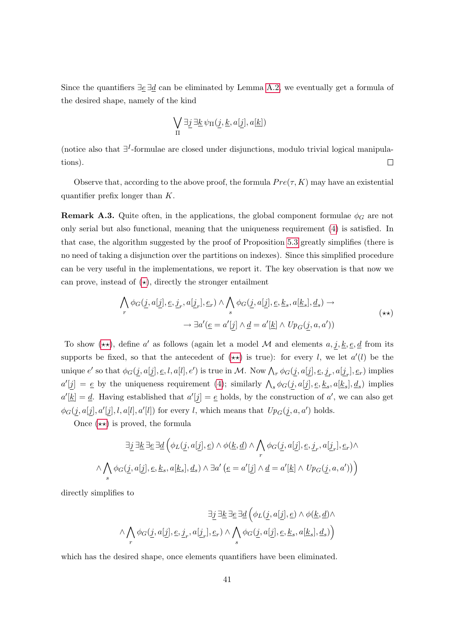Since the quantifiers  $\exists e \, \exists d$  can be eliminated by Lemma [A.2,](#page-38-2) we eventually get a formula of the desired shape, namely of the kind

$$
\bigvee_{\Pi}\exists\underline{j}\,\exists\underline{k}\,\psi_{\Pi}(\underline{j},\underline{k},a[\underline{j}],a[\underline{k}])
$$

(notice also that ∃ I -formulae are closed under disjunctions, modulo trivial logical manipulations).  $\Box$ 

Observe that, according to the above proof, the formula  $Pre(\tau, K)$  may have an existential quantifier prefix longer than K.

**Remark A.3.** Quite often, in the applications, the global component formulae  $\phi_G$  are not only serial but also functional, meaning that the uniqueness requirement [\(4\)](#page-10-3) is satisfied. In that case, the algorithm suggested by the proof of Proposition [5.3](#page-13-5) greatly simplifies (there is no need of taking a disjunction over the partitions on indexes). Since this simplified procedure can be very useful in the implementations, we report it. The key observation is that now we can prove, instead of  $(\star)$ , directly the stronger entailment

<span id="page-41-0"></span>
$$
\bigwedge_r \phi_G(\underline{j}, a[\underline{j}], \underline{e}, \underline{j}_r, a[\underline{j}_r], \underline{e}_r) \land \bigwedge_s \phi_G(\underline{j}, a[\underline{j}], \underline{e}, \underline{k}_s, a[\underline{k}_s], \underline{d}_s) \rightarrow \rightarrow \exists a'(\underline{e} = a'[\underline{j}] \land \underline{d} = a'[\underline{k}] \land Up_G(\underline{j}, a, a'))
$$
\n
$$
(**)
$$

To show  $(\star \star)$ , define a' as follows (again let a model M and elements  $a, j, k, e, d$  from its supports be fixed, so that the antecedent of  $(\star \star)$  is true): for every l, we let  $a'(l)$  be the unique  $e'$  so that  $\phi_G(\underline{j}, a[\underline{j}], \underline{e}, l, a[l], e')$  is true in M. Now  $\bigwedge_r \phi_G(\underline{j}, a[\underline{j}], \underline{e}, \underline{j}_r, a[\underline{j}_r], \underline{e}_r)$  implies  $a'[\underline{j}] = \underline{e}$  by the uniqueness requirement [\(4\)](#page-10-3); similarly  $\bigwedge_s \phi_G(\underline{j}, a[\underline{j}], \underline{e}, \underline{k}_s, a[\underline{k}_s], \underline{d}_s)$  implies  $a'[\underline{k}] = \underline{d}$ . Having established that  $a'[j] = \underline{e}$  holds, by the construction of  $a'$ , we can also get  $\phi_G(\underline{j}, a[\underline{j}], a'[\underline{j}], l, a[l], a'[l])$  for every l, which means that  $Up_G(\underline{j}, a, a')$  holds.

Once  $(\star \star)$  is proved, the formula

$$
\exists \underline{j} \; \exists \underline{k} \; \exists \underline{e} \; \exists \underline{d} \left( \phi_L(\underline{j}, a[\underline{j}], \underline{e}) \land \phi(\underline{k}, \underline{d}) \land \bigwedge_r \phi_G(\underline{j}, a[\underline{j}], \underline{e}, \underline{j}_r, a[\underline{j}_r], \underline{e}_r) \land \bigwedge_s \phi_G(\underline{j}, a[\underline{j}], \underline{e}, \underline{k}_s, a[\underline{k}_s], \underline{d}_s) \land \exists a' \left( \underline{e} = a'[\underline{j}] \land \underline{d} = a'[\underline{k}] \land \text{Up}_G(\underline{j}, a, a')) \right)
$$

directly simplifies to

$$
\exists \underline{j} \; \exists \underline{k} \; \exists \underline{e} \; \exists \underline{d} \; \Big( \phi_L(\underline{j}, a[\underline{j}], \underline{e}) \land \phi(\underline{k}, \underline{d}) \land \land \bigwedge_r \phi_G(\underline{j}, a[\underline{j}], \underline{e}, \underline{j}_r, a[\underline{j}_r], \underline{e}_r) \land \bigwedge_s \phi_G(\underline{j}, a[\underline{j}], \underline{e}, \underline{k}_s, a[\underline{k}_s], \underline{d}_s) \Big)
$$

which has the desired shape, once elements quantifiers have been eliminated.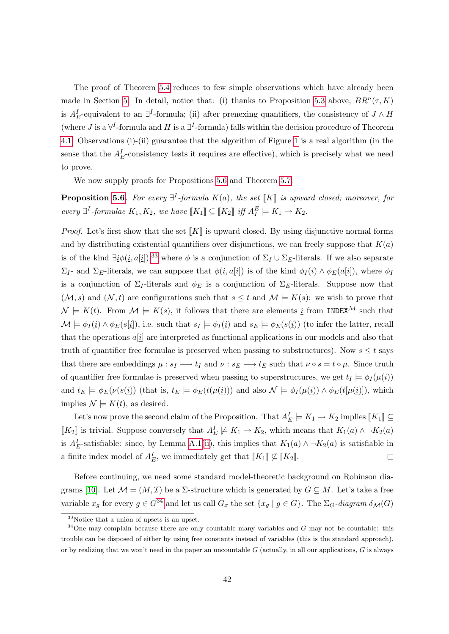The proof of Theorem [5.4](#page-14-2) reduces to few simple observations which have already been made in Section [5.](#page-13-0) In detail, notice that: (i) thanks to Proposition [5.3](#page-13-5) above,  $BR^n(\tau, K)$ is  $A_E^I$ -equivalent to an  $\exists^I$ -formula; (ii) after prenexing quantifiers, the consistency of  $J \wedge H$ (where J is a  $\forall^{I}$ -formula and H is a  $\exists^{I}$ -formula) falls within the decision procedure of Theorem [4.1.](#page-10-2) Observations (i)-(ii) guarantee that the algorithm of Figure [1](#page-11-0) is a real algorithm (in the sense that the  $A_E^I$ -consistency tests it requires are effective), which is precisely what we need to prove.

We now supply proofs for Propositions [5.6](#page-15-1) and Theorem [5.7:](#page-16-1)

**Proposition [5.6.](#page-15-1)** For every  $\exists^{I}$ -formula  $K(a)$ , the set  $\llbracket K \rrbracket$  is upward closed; moreover, for every  $\exists^{I}$ -formulae  $K_1, K_2$ , we have  $[[K_1]] \subseteq [[K_2]]$  iff  $A_I^E \models K_1 \rightarrow K_2$ .

*Proof.* Let's first show that the set  $\llbracket K \rrbracket$  is upward closed. By using disjunctive normal forms and by distributing existential quantifiers over disjunctions, we can freely suppose that  $K(a)$ is of the kind  $\exists i \phi(i, a[i]),$ <sup>[33](#page-42-0)</sup> where  $\phi$  is a conjunction of  $\Sigma_I \cup \Sigma_E$ -literals. If we also separate  $\Sigma_I$ - and  $\Sigma_E$ -literals, we can suppose that  $\phi(i, a[i])$  is of the kind  $\phi_I(i) \wedge \phi_E(a[i])$ , where  $\phi_I$ is a conjunction of  $\Sigma_I$ -literals and  $\phi_E$  is a conjunction of  $\Sigma_E$ -literals. Suppose now that  $(\mathcal{M}, s)$  and  $(\mathcal{N}, t)$  are configurations such that  $s \leq t$  and  $\mathcal{M} \models K(s)$ : we wish to prove that  $\mathcal{N} \models K(t)$ . From  $\mathcal{M} \models K(s)$ , it follows that there are elements  $\underline{i}$  from INDEX<sup>M</sup> such that  $\mathcal{M} \models \phi_I(i) \land \phi_E(s[i]),$  i.e. such that  $s_I \models \phi_I(i)$  and  $s_E \models \phi_E(s(i))$  (to infer the latter, recall that the operations  $a[i]$  are interpreted as functional applications in our models and also that truth of quantifier free formulae is preserved when passing to substructures). Now  $s \leq t$  says that there are embeddings  $\mu : s_I \longrightarrow t_I$  and  $\nu : s_E \longrightarrow t_E$  such that  $\nu \circ s = t \circ \mu$ . Since truth of quantifier free formulae is preserved when passing to superstructures, we get  $t_I \models \phi_I(\mu(i))$ and  $t_E \models \phi_E(\nu(s(\underline{i}))$  (that is,  $t_E \models \phi_E(t(\mu(\underline{i})))$  and also  $\mathcal{N} \models \phi_I(\mu(\underline{i})) \wedge \phi_E(t(\mu(\underline{i})))$ , which implies  $\mathcal{N} \models K(t)$ , as desired.

Let's now prove the second claim of the Proposition. That  $A_E^I \models K_1 \rightarrow K_2$  implies  $[[K_1]] \subseteq$ [K<sub>2</sub>] is trivial. Suppose conversely that  $A_E^I \not\models K_1 \rightarrow K_2$ , which means that  $K_1(a) \land \neg K_2(a)$ is  $A_E^I$ -satisfiable: since, by Lemma [A.1\(](#page-36-8)[ii\)](#page-36-7), this implies that  $K_1(a) \wedge \neg K_2(a)$  is satisfiable in a finite index model of  $A_E^I$ , we immediately get that  $[[K_1]] \nsubseteq [[K_2]]$ .  $\Box$ 

Before continuing, we need some standard model-theoretic background on Robinson dia-grams [\[10\]](#page-34-8). Let  $\mathcal{M} = (M, \mathcal{I})$  be a  $\Sigma$ -structure which is generated by  $G \subseteq M$ . Let's take a free variable  $x_g$  for every  $g \in G^{34}$  $g \in G^{34}$  $g \in G^{34}$  and let us call  $G_x$  the set  $\{x_g \mid g \in G\}$ . The  $\Sigma_G$ -diagram  $\delta_{\mathcal{M}}(G)$ 

<span id="page-42-1"></span><span id="page-42-0"></span><sup>33</sup>Notice that a union of upsets is an upset.

 $34$ One may complain because there are only countable many variables and G may not be countable: this trouble can be disposed of either by using free constants instead of variables (this is the standard approach), or by realizing that we won't need in the paper an uncountable  $G$  (actually, in all our applications,  $G$  is always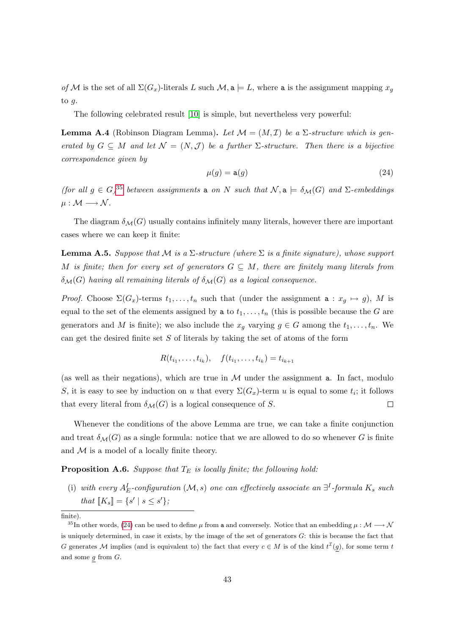of M is the set of all  $\Sigma(G_x)$ -literals L such  $\mathcal{M}, \mathbf{a} \models L$ , where a is the assignment mapping  $x_g$ to g.

The following celebrated result [\[10\]](#page-34-8) is simple, but nevertheless very powerful:

**Lemma A.4** (Robinson Diagram Lemma). Let  $\mathcal{M} = (M, \mathcal{I})$  be a  $\Sigma$ -structure which is generated by  $G \subseteq M$  and let  $\mathcal{N} = (N, \mathcal{J})$  be a further  $\Sigma$ -structure. Then there is a bijective correspondence given by

<span id="page-43-2"></span>
$$
\mu(g) = \mathsf{a}(g) \tag{24}
$$

(for all  $g \in G$ )<sup>[35](#page-43-1)</sup> between assignments a on N such that  $\mathcal{N}, \mathbf{a} \models \delta_{\mathcal{M}}(G)$  and  $\Sigma$ -embeddings  $\mu : \mathcal{M} \longrightarrow \mathcal{N}$ .

The diagram  $\delta_{\mathcal{M}}(G)$  usually contains infinitely many literals, however there are important cases where we can keep it finite:

**Lemma A.5.** Suppose that M is a  $\Sigma$ -structure (where  $\Sigma$  is a finite signature), whose support M is finite; then for every set of generators  $G \subseteq M$ , there are finitely many literals from  $\delta_{\mathcal{M}}(G)$  having all remaining literals of  $\delta_{\mathcal{M}}(G)$  as a logical consequence.

*Proof.* Choose  $\Sigma(G_x)$ -terms  $t_1, \ldots, t_n$  such that (under the assignment  $a : x_q \mapsto g$ ), M is equal to the set of the elements assigned by a to  $t_1, \ldots, t_n$  (this is possible because the G are generators and M is finite); we also include the  $x_g$  varying  $g \in G$  among the  $t_1, \ldots, t_n$ . We can get the desired finite set  $S$  of literals by taking the set of atoms of the form

$$
R(t_{i_1},\ldots,t_{i_k}),\quad f(t_{i_1},\ldots,t_{i_k})=t_{i_{k+1}}
$$

(as well as their negations), which are true in  $\mathcal M$  under the assignment **a**. In fact, modulo S, it is easy to see by induction on u that every  $\Sigma(G_x)$ -term u is equal to some  $t_i$ ; it follows that every literal from  $\delta_{\mathcal{M}}(G)$  is a logical consequence of S.  $\Box$ 

Whenever the conditions of the above Lemma are true, we can take a finite conjunction and treat  $\delta_{\mathcal{M}}(G)$  as a single formula: notice that we are allowed to do so whenever G is finite and  $M$  is a model of a locally finite theory.

<span id="page-43-3"></span><span id="page-43-0"></span>**Proposition A.6.** Suppose that  $T_E$  is locally finite; the following hold:

(i) with every  $A_E^I$ -configuration  $(\mathcal{M}, s)$  one can effectively associate an  $\exists^I$ -formula  $K_s$  such that  $[[K_s]] = \{s' \mid s \leq s'\};$ 

<span id="page-43-1"></span>finite).

<sup>&</sup>lt;sup>35</sup>In other words, [\(24\)](#page-43-2) can be used to define  $\mu$  from a and conversely. Notice that an embedding  $\mu : \mathcal{M} \longrightarrow \mathcal{N}$ is uniquely determined, in case it exists, by the image of the set of generators  $G$ : this is because the fact that G generates M implies (and is equivalent to) the fact that every  $c \in M$  is of the kind  $t^{\mathcal{I}}(g)$ , for some term t and some  $g$  from  $G$ .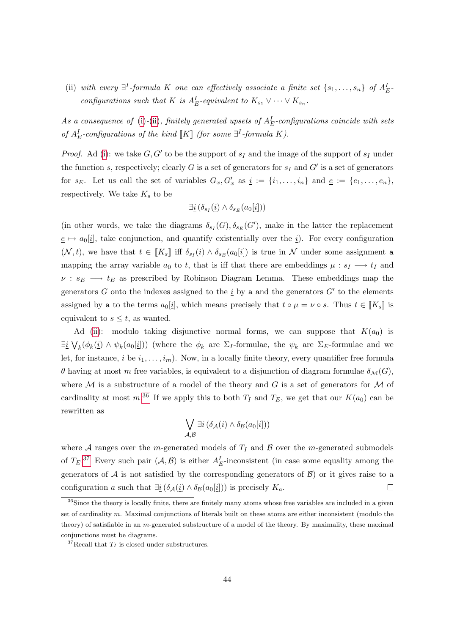<span id="page-44-0"></span>(ii) with every  $\exists^{I}$ -formula K one can effectively associate a finite set  $\{s_1, \ldots, s_n\}$  of  $A_{E}^I$ . configurations such that K is  $A_E^I$ -equivalent to  $K_{s_1} \vee \cdots \vee K_{s_n}$ .

As a consequence of [\(i\)](#page-43-3)-[\(ii\)](#page-44-0), finitely generated upsets of  $A_E^I$ -configurations coincide with sets of  $A_E^I$ -configurations of the kind  $[K]$  (for some  $\exists^I$ -formula K).

*Proof.* Ad [\(i\)](#page-43-3): we take  $G, G'$  to be the support of  $s_I$  and the image of the support of  $s_I$  under the function s, respectively; clearly G is a set of generators for  $s_I$  and  $G'$  is a set of generators for  $s_E$ . Let us call the set of variables  $G_x, G'_x$  as  $i := \{i_1, \ldots, i_n\}$  and  $\underline{e} := \{e_1, \ldots, e_n\}$ , respectively. We take  $K_s$  to be

$$
\exists \underline{i} \left( \delta_{s_I}(\underline{i}) \wedge \delta_{s_E}(a_0[\underline{i}]) \right)
$$

(in other words, we take the diagrams  $\delta_{s_I}(G), \delta_{s_E}(G')$ , make in the latter the replacement  $e \mapsto a_0[i]$ , take conjunction, and quantify existentially over the i). For every configuration  $(\mathcal{N}, t)$ , we have that  $t \in [K_s]$  iff  $\delta_{s_I}(i) \wedge \delta_{s_E}(a_0[i])$  is true in  $\mathcal N$  under some assignment a mapping the array variable  $a_0$  to t, that is iff that there are embeddings  $\mu : s_I \longrightarrow t_I$  and  $\nu : s_E \longrightarrow t_E$  as prescribed by Robinson Diagram Lemma. These embeddings map the generators G onto the indexes assigned to the  $\underline{i}$  by a and the generators  $G'$  to the elements assigned by a to the terms  $a_0[i]$ , which means precisely that  $t \circ \mu = \nu \circ s$ . Thus  $t \in [K_s]$  is equivalent to  $s \leq t$ , as wanted.

Ad [\(ii\)](#page-44-0): modulo taking disjunctive normal forms, we can suppose that  $K(a_0)$  is  $\exists i \bigvee_k (\phi_k(i) \wedge \psi_k(a_0[i]))$  (where the  $\phi_k$  are  $\Sigma_I$ -formulae, the  $\psi_k$  are  $\Sigma_E$ -formulae and we let, for instance, <u>i</u> be  $i_1, \ldots, i_m$ ). Now, in a locally finite theory, every quantifier free formula θ having at most m free variables, is equivalent to a disjunction of diagram formulae  $\delta_{\mathcal{M}}(G)$ , where  $M$  is a substructure of a model of the theory and  $G$  is a set of generators for  $M$  of cardinality at most  $m^{36}$  $m^{36}$  $m^{36}$  If we apply this to both  $T_I$  and  $T_E$ , we get that our  $K(a_0)$  can be rewritten as

$$
\bigvee_{\mathcal{A},\mathcal{B}} \exists \underline{i} \left( \delta_{\mathcal{A}}(\underline{i}) \wedge \delta_{\mathcal{B}}(a_0[\underline{i}]) \right)
$$

where  $A$  ranges over the m-generated models of  $T_I$  and  $B$  over the m-generated submodels of  $T_E$ .<sup>[37](#page-44-2)</sup> Every such pair  $(A, B)$  is either  $A_E^I$ -inconsistent (in case some equality among the generators of  $A$  is not satisfied by the corresponding generators of  $B$ ) or it gives raise to a configuration a such that  $\exists i (\delta_{\mathcal{A}}(i) \wedge \delta_{\mathcal{B}}(a_0[i]))$  is precisely  $K_a$ .  $\Box$ 

<span id="page-44-1"></span><sup>&</sup>lt;sup>36</sup>Since the theory is locally finite, there are finitely many atoms whose free variables are included in a given set of cardinality m. Maximal conjunctions of literals built on these atoms are either inconsistent (modulo the theory) of satisfiable in an m-generated substructure of a model of the theory. By maximality, these maximal conjunctions must be diagrams.

<span id="page-44-2"></span> ${}^{37}\mathrm{Recall}$  that  $T_I$  is closed under substructures.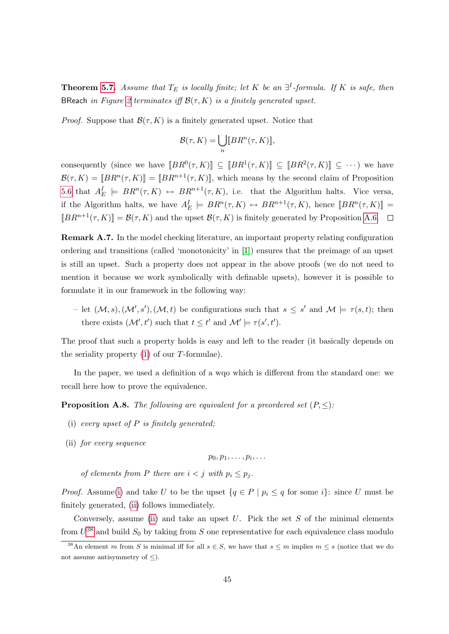**Theorem [5.7.](#page-16-1)** Assume that  $T_E$  is locally finite; let K be an  $\exists^I$ -formula. If K is safe, then BReach in Figure [2](#page-14-1) terminates iff  $\mathcal{B}(\tau, K)$  is a finitely generated upset.

*Proof.* Suppose that  $\mathcal{B}(\tau, K)$  is a finitely generated upset. Notice that

$$
\mathcal{B}(\tau,K)=\bigcup_n [BR^n(\tau,K)],
$$

consequently (since we have  $\llbracket BR^0(\tau, K) \rrbracket \subseteq \llbracket BR^1(\tau, K) \rrbracket \subseteq \llbracket BR^2(\tau, K) \rrbracket \subseteq \cdots$ ) we have  $\mathcal{B}(\tau,K) = [BR^n(\tau,K)] = [BR^{n+1}(\tau,K)]$ , which means by the second claim of Proposition [5.6](#page-15-1) that  $A_E^I \models BR^n(\tau, K) \leftrightarrow BR^{n+1}(\tau, K)$ , i.e. that the Algorithm halts. Vice versa, if the Algorithm halts, we have  $A_E^I \models BR^n(\tau, K) \leftrightarrow BR^{n+1}(\tau, K)$ , hence  $[BR^n(\tau, K)] =$  $[BR^{n+1}(\tau, K)] = \mathcal{B}(\tau, K)$  and the upset  $\mathcal{B}(\tau, K)$  is finitely generated by Proposition [A.6.](#page-43-0)  $\Box$ 

Remark A.7. In the model checking literature, an important property relating configuration ordering and transitions (called 'monotonicity' in [\[1\]](#page-33-0)) ensures that the preimage of an upset is still an upset. Such a property does not appear in the above proofs (we do not need to mention it because we work symbolically with definable upsets), however it is possible to formulate it in our framework in the following way:

- let  $(M, s), (M', s'), (M, t)$  be configurations such that  $s \leq s'$  and  $M \models \tau(s, t)$ ; then there exists  $(\mathcal{M}', t')$  such that  $t \leq t'$  and  $\mathcal{M}' \models \tau(s', t')$ .

The proof that such a property holds is easy and left to the reader (it basically depends on the seriality property  $(1)$  of our T-formulae).

In the paper, we used a definition of a wqo which is different from the standard one: we recall here how to prove the equivalence.

<span id="page-45-0"></span>**Proposition A.8.** The following are equivalent for a preordered set  $(P, \leq)$ :

- (i) every upset of  $P$  is finitely generated;
- <span id="page-45-1"></span>(ii) for every sequence

$$
p_0, p_1, \ldots, p_i, \ldots
$$

of elements from P there are  $i < j$  with  $p_i \leq p_j$ .

*Proof.* Assume[\(i\)](#page-45-0) and take U to be the upset  $\{q \in P \mid p_i \leq q \text{ for some } i\}$ : since U must be finitely generated, [\(ii\)](#page-45-1) follows immediately.

Conversely, assume [\(ii\)](#page-45-1) and take an upset  $U$ . Pick the set  $S$  of the minimal elements from  $U^{38}$  $U^{38}$  $U^{38}$  and build  $S_0$  by taking from S one representative for each equivalence class modulo

<span id="page-45-2"></span><sup>&</sup>lt;sup>38</sup>An element m from S is minimal iff for all  $s \in S$ , we have that  $s \leq m$  implies  $m \leq s$  (notice that we do not assume antisymmetry of  $\leq$ ).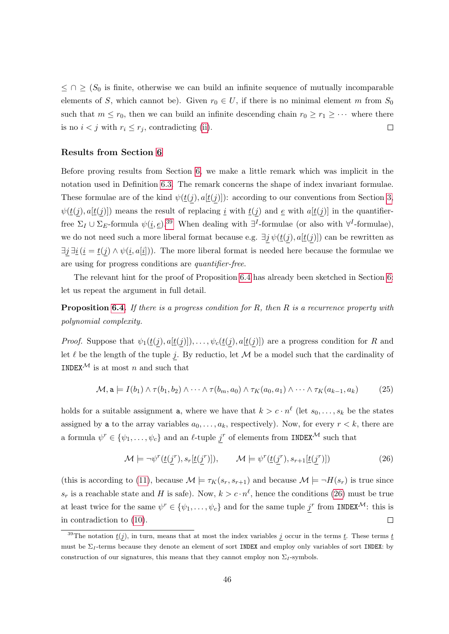$\leq$   $\cap$   $\geq$  ( $S_0$  is finite, otherwise we can build an infinite sequence of mutually incomparable elements of S, which cannot be). Given  $r_0 \in U$ , if there is no minimal element m from  $S_0$ such that  $m \leq r_0$ , then we can build an infinite descending chain  $r_0 \geq r_1 \geq \cdots$  where there is no  $i < j$  with  $r_i \leq r_j$ , contradicting [\(ii\)](#page-45-1).  $\Box$ 

#### Results from Section [6](#page-16-0)

Before proving results from Section [6,](#page-16-0) we make a little remark which was implicit in the notation used in Definition [6.3.](#page-17-5) The remark concerns the shape of index invariant formulae. These formulae are of the kind  $\psi(\underline{t}(j), a|\underline{t}(j))$ : according to our conventions from Section [3,](#page-5-0)  $\psi(\underline{t}(j), a[\underline{t}(j)])$  means the result of replacing <u>i</u> with  $\underline{t}(j)$  and <u>e</u> with  $a[\underline{t}(j)]$  in the quantifierfree  $\Sigma_I \cup \Sigma_E$ -formula  $\psi(\underline{i}, \underline{e})$ .<sup>[39](#page-46-0)</sup> When dealing with  $\exists^I$ -formulae (or also with  $\forall^I$ -formulae), we do not need such a more liberal format because e.g.  $\exists j \psi(\underline{t}(j), a[\underline{t}(j)])$  can be rewritten as  $\exists j \ \exists \underline{i} \ (i = \underline{t}(j) \land \psi(i, a[i])$ . The more liberal format is needed here because the formulae we are using for progress conditions are quantifier-free.

The relevant hint for the proof of Proposition [6.4](#page-18-1) has already been sketched in Section [6:](#page-16-0) let us repeat the argument in full detail.

**Proposition [6.4.](#page-18-1)** If there is a progress condition for R, then R is a recurrence property with polynomial complexity.

*Proof.* Suppose that  $\psi_1(\underline{t}(j), a[\underline{t}(j)]), \ldots, \psi_c(\underline{t}(j), a[\underline{t}(j)])$  are a progress condition for R and let  $\ell$  be the length of the tuple j. By reductio, let  $\mathcal M$  be a model such that the cardinality of INDEX<sup>M</sup> is at most n and such that

$$
\mathcal{M}, \mathbf{a} \models I(b_1) \land \tau(b_1, b_2) \land \cdots \land \tau(b_m, a_0) \land \tau_K(a_0, a_1) \land \cdots \land \tau_K(a_{k-1}, a_k) \tag{25}
$$

holds for a suitable assignment **a**, where we have that  $k > c \cdot n^{\ell}$  (let  $s_0, \ldots, s_k$  be the states assigned by a to the array variables  $a_0, \ldots, a_k$ , respectively). Now, for every  $r < k$ , there are a formula  $\psi^r \in \{\psi_1, \ldots, \psi_c\}$  and an  $\ell$ -tuple  $j^r$  of elements from INDEX<sup>M</sup> such that

<span id="page-46-1"></span>
$$
\mathcal{M} \models \neg \psi^r(\underline{t}(\underline{j}^r), s_r[\underline{t}(\underline{j}^r)]), \qquad \mathcal{M} \models \psi^r(\underline{t}(\underline{j}^r), s_{r+1}[\underline{t}(\underline{j}^r)]) \tag{26}
$$

(this is according to [\(11\)](#page-18-3), because  $\mathcal{M} \models \tau_K(s_r, s_{r+1})$  and because  $\mathcal{M} \models \neg H(s_r)$  is true since  $s_r$  is a reachable state and H is safe). Now,  $k > c \cdot n^{\ell}$ , hence the conditions [\(26\)](#page-46-1) must be true at least twice for the same  $\psi^r \in \{\psi_1, \ldots, \psi_c\}$  and for the same tuple  $j^r$  from INDEX<sup>M</sup>: this is in contradiction to [\(10\)](#page-18-2).  $\Box$ 

<span id="page-46-2"></span><span id="page-46-0"></span><sup>&</sup>lt;sup>39</sup>The notation  $\underline{t}(j)$ , in turn, means that at most the index variables j occur in the terms  $\underline{t}$ . These terms  $\underline{t}$ must be  $\Sigma_I$ -terms because they denote an element of sort INDEX and employ only variables of sort INDEX: by construction of our signatures, this means that they cannot employ non  $\Sigma_I$ -symbols.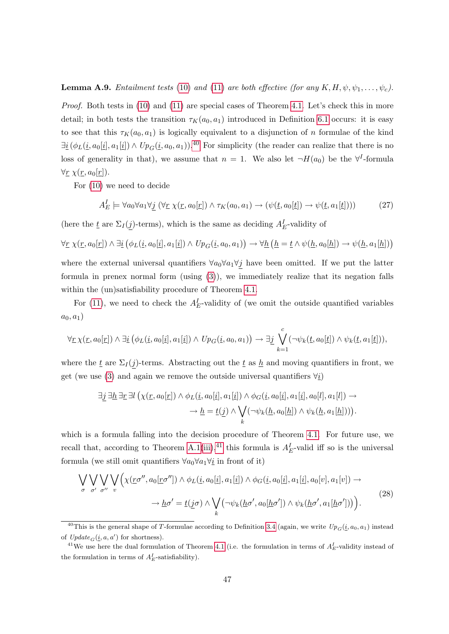#### **Lemma A.9.** Entailment tests [\(10\)](#page-18-2) and [\(11\)](#page-18-3) are both effective (for any  $K, H, \psi, \psi_1, \ldots, \psi_c$ ).

Proof. Both tests in [\(10\)](#page-18-2) and [\(11\)](#page-18-3) are special cases of Theorem [4.1.](#page-10-2) Let's check this in more detail; in both tests the transition  $\tau_K(a_0, a_1)$  introduced in Definition [6.1](#page-17-3) occurs: it is easy to see that this  $\tau_K(a_0, a_1)$  is logically equivalent to a disjunction of n formulae of the kind  $\exists i(\phi_L(i, a_0[i], a_1[i]) \wedge Up_G(i, a_0, a_1)).$ <sup>[40](#page-47-0)</sup> For simplicity (the reader can realize that there is no loss of generality in that), we assume that  $n = 1$ . We also let  $\neg H(a_0)$  be the  $\forall^{I}$ -formula  $\forall \underline{r} \ \chi(\underline{r}, a_0[\underline{r}]).$ 

For [\(10\)](#page-18-2) we need to decide

$$
A_E^I \models \forall a_0 \forall a_1 \forall \underline{j} \ (\forall \underline{r} \ \chi(\underline{r}, a_0[\underline{r}]) \land \tau_K(a_0, a_1) \to (\psi(\underline{t}, a_0[\underline{t}]) \to \psi(\underline{t}, a_1[\underline{t}]))) \tag{27}
$$

(here the  $\underline{t}$  are  $\Sigma_I(\underline{j})$ -terms), which is the same as deciding  $A_E^I$ -validity of

$$
\forall \underline{r} \ \chi(\underline{r}, a_0[\underline{r}]) \land \exists \underline{i} \ (\phi_L(\underline{i}, a_0[\underline{i}], a_1[\underline{i}]) \land \ U p_G(\underline{i}, a_0, a_1)) \rightarrow \forall \underline{h} \ (\underline{h} = \underline{t} \land \psi(\underline{h}, a_0[\underline{h}]) \rightarrow \psi(\underline{h}, a_1[\underline{h}]))
$$

where the external universal quantifiers  $\forall a_0 \forall a_1 \forall j$  have been omitted. If we put the latter formula in prenex normal form (using [\(3\)](#page-9-1)), we immediately realize that its negation falls within the (un)satisfiability procedure of Theorem [4.1.](#page-10-2)

For [\(11\)](#page-18-3), we need to check the  $A_E^I$ -validity of (we omit the outside quantified variables  $a_0, a_1)$ 

$$
\forall \underline{r} \ \chi(\underline{r}, a_0[\underline{r}]) \land \exists \underline{i} \ (\phi_L(\underline{i}, a_0[\underline{i}], a_1[\underline{i}]) \land \ U p_G(\underline{i}, a_0, a_1)) \rightarrow \exists \underline{j} \ \bigvee_{k=1}^c (\neg \psi_k(\underline{t}, a_0[\underline{t}]) \land \psi_k(\underline{t}, a_1[\underline{t}])),
$$

where the  $\underline{t}$  are  $\Sigma_I(j)$ -terms. Abstracting out the  $\underline{t}$  as  $\underline{h}$  and moving quantifiers in front, we get (we use [\(3\)](#page-9-1) and again we remove the outside universal quantifiers  $\forall i$ )

<span id="page-47-2"></span>
$$
\exists \underline{j} \,\exists \underline{h} \,\exists \underline{r} \,\exists l \, \big(\chi(\underline{r}, a_0[\underline{r}]) \wedge \phi_L(\underline{i}, a_0[\underline{i}], a_1[\underline{i}]) \wedge \phi_G(\underline{i}, a_0[\underline{i}], a_1[\underline{i}], a_0[l], a_1[l]) \rightarrow \\
\rightarrow \underline{h} = \underline{t}(\underline{j}) \wedge \bigvee_k (\neg \psi_k(\underline{h}, a_0[\underline{h}]) \wedge \psi_k(\underline{h}, a_1[\underline{h}]))\big).
$$

which is a formula falling into the decision procedure of Theorem [4.1.](#page-10-2) For future use, we recall that, according to Theorem [A.1\(](#page-36-8)[iii\)](#page-36-9),<sup>[41](#page-47-1)</sup> this formula is  $A<sub>E</sub><sup>I</sup>$ -valid iff so is the universal formula (we still omit quantifiers  $\forall a_0 \forall a_1 \forall i$  in front of it)

$$
\bigvee_{\sigma} \bigvee_{\sigma'} \bigvee_{\sigma''} \bigvee_{v} \Big( \chi(\underline{r}\sigma'', a_0[\underline{r}\sigma'']) \wedge \phi_L(\underline{i}, a_0[\underline{i}], a_1[\underline{i}]) \wedge \phi_G(\underline{i}, a_0[\underline{i}], a_1[\underline{i}], a_0[v], a_1[v]) \rightarrow \\ \longrightarrow \underline{h}\sigma' = \underline{t}(\underline{j}\sigma) \wedge \bigvee_k (\neg \psi_k(\underline{h}\sigma', a_0[\underline{h}\sigma']) \wedge \psi_k(\underline{h}\sigma', a_1[\underline{h}\sigma']) ) \Big).
$$
\n(28)

<span id="page-47-0"></span><sup>&</sup>lt;sup>40</sup>This is the general shape of T-formulae according to Definition [3.4](#page-9-3) (again, we write  $Up_G(i, a_0, a_1)$  instead of  $Update_G(\underline{i}, a, a')$  for shortness).

<span id="page-47-1"></span><sup>&</sup>lt;sup>41</sup>We use here the dual formulation of Theorem [4.1](#page-10-2) (i.e. the formulation in terms of  $A_E^I$ -validity instead of the formulation in terms of  $A_E^I$ -satisfiability).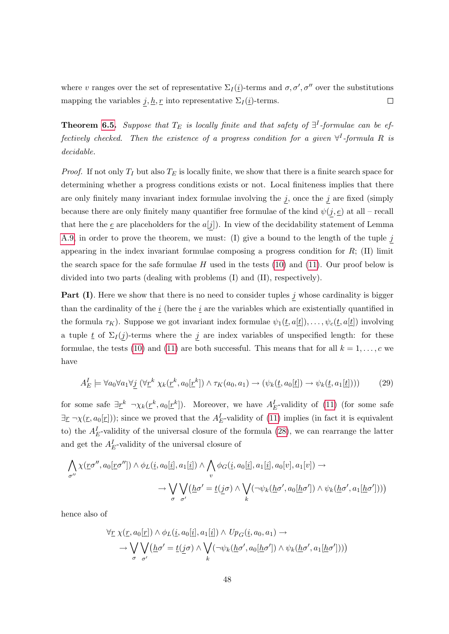where v ranges over the set of representative  $\Sigma_I(\underline{i})$ -terms and  $\sigma, \sigma', \sigma''$  over the substitutions mapping the variables  $\underline{j}, \underline{h}, \underline{r}$  into representative  $\Sigma_I(\underline{i})$ -terms.  $\Box$ 

**Theorem [6.5.](#page-18-4)** Suppose that  $T_E$  is locally finite and that safety of  $\exists^I$ -formulae can be effectively checked. Then the existence of a progress condition for a given  $\forall^{I}$ -formula R is decidable.

*Proof.* If not only  $T_I$  but also  $T_E$  is locally finite, we show that there is a finite search space for determining whether a progress conditions exists or not. Local finiteness implies that there are only finitely many invariant index formulae involving the  $j$ , once the  $j$  are fixed (simply because there are only finitely many quantifier free formulae of the kind  $\psi(j, \underline{e})$  at all – recall that here the  $\underline{e}$  are placeholders for the  $a[j]$ . In view of the decidability statement of Lemma [A.9,](#page-46-2) in order to prove the theorem, we must: (I) give a bound to the length of the tuple  $j$ appearing in the index invariant formulae composing a progress condition for  $R$ ; (II) limit the search space for the safe formulae H used in the tests  $(10)$  and  $(11)$ . Our proof below is divided into two parts (dealing with problems (I) and (II), respectively).

**Part (I)**. Here we show that there is no need to consider tuples  $j$  whose cardinality is bigger than the cardinality of the  $i$  (here the  $i$  are the variables which are existentially quantified in the formula  $\tau_K$ ). Suppose we got invariant index formulae  $\psi_1(\underline{t}, a[\underline{t}]), \ldots, \psi_c(\underline{t}, a[\underline{t}])$  involving a tuple  $\underline{t}$  of  $\Sigma_I(j)$ -terms where the j are index variables of unspecified length: for these formulae, the tests [\(10\)](#page-18-2) and [\(11\)](#page-18-3) are both successful. This means that for all  $k = 1, \ldots, c$  we have

<span id="page-48-0"></span>
$$
A_E^I \models \forall a_0 \forall a_1 \forall \underline{j} \ (\forall \underline{r}^k \ \chi_k(\underline{r}^k, a_0[\underline{r}^k]) \land \tau_K(a_0, a_1) \rightarrow (\psi_k(\underline{t}, a_0[\underline{t}]) \rightarrow \psi_k(\underline{t}, a_1[\underline{t}]))) \tag{29}
$$

for some safe  $\exists \underline{r}^k \ \ \neg \chi_k(\underline{r}^k, a_0[\underline{r}^k])$ . Moreover, we have  $A_E^I$ -validity of [\(11\)](#page-18-3) (for some safe  $\exists \underline{r} \ \neg \chi(\underline{r}, a_0[\underline{r}]))$ ; since we proved that the  $A_E^I$ -validity of [\(11\)](#page-18-3) implies (in fact it is equivalent to) the  $A_E^I$ -validity of the universal closure of the formula [\(28\)](#page-47-2), we can rearrange the latter and get the  $A_E^I$ -validity of the universal closure of

$$
\bigwedge_{\sigma''}\chi(\underline{r}\sigma'',a_0[\underline{r}\sigma''])\wedge\phi_L(\underline{i},a_0[\underline{i}],a_1[\underline{i}])\wedge\bigwedge_v\phi_G(\underline{i},a_0[\underline{i}],a_1[\underline{i}],a_0[v],a_1[v])\rightarrow\rightarrow\bigvee_{\sigma}\bigvee_{\sigma'}\big(\underline{h}\sigma'=\underline{t}(\underline{j}\sigma)\wedge\bigvee_k(\neg\psi_k(\underline{h}\sigma',a_0[\underline{h}\sigma'])\wedge\psi_k(\underline{h}\sigma',a_1[\underline{h}\sigma')))\big)
$$

hence also of

$$
\forall \underline{r} \ \chi(\underline{r}, a_0[\underline{r}]) \land \phi_L(\underline{i}, a_0[\underline{i}], a_1[\underline{i}]) \land Up_G(\underline{i}, a_0, a_1) \rightarrow
$$
  

$$
\rightarrow \bigvee_{\sigma} \bigvee_{\sigma'} (\underline{h}\sigma' = \underline{t}(\underline{j}\sigma) \land \bigvee_k (\neg \psi_k(\underline{h}\sigma', a_0[\underline{h}\sigma']) \land \psi_k(\underline{h}\sigma', a_1[\underline{h}\sigma'))))
$$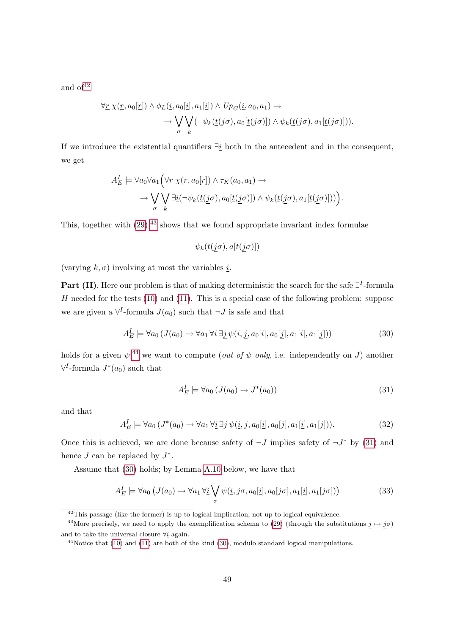and  $of<sup>42</sup>$  $of<sup>42</sup>$  $of<sup>42</sup>$ 

$$
\forall \underline{r} \ \chi(\underline{r}, a_0[\underline{r}]) \land \phi_L(\underline{i}, a_0[\underline{i}], a_1[\underline{i}]) \land Up_G(\underline{i}, a_0, a_1) \rightarrow
$$

$$
\rightarrow \bigvee_{\sigma} \bigvee_{k} (\neg \psi_k(\underline{t}(\underline{j}\sigma), a_0[\underline{t}(\underline{j}\sigma)]) \land \psi_k(\underline{t}(\underline{j}\sigma), a_1[\underline{t}(\underline{j}\sigma)])).
$$

If we introduce the existential quantifiers  $\exists \underline{i}$  both in the antecedent and in the consequent, we get

$$
A_E^I \models \forall a_0 \forall a_1 \Big( \forall \underline{r} \ \chi(\underline{r}, a_0[\underline{r}]) \land \tau_K(a_0, a_1) \rightarrow \neg \bigvee_{\sigma} \bigvee_{k} \exists \underline{i} (\neg \psi_k(\underline{t}(\underline{j}\sigma), a_0[\underline{t}(\underline{j}\sigma)]) \land \psi_k(\underline{t}(\underline{j}\sigma), a_1[\underline{t}(\underline{j}\sigma)])) \Big).
$$

This, together with  $(29)$ ,<sup>[43](#page-49-1)</sup> shows that we found appropriate invariant index formulae

<span id="page-49-4"></span>
$$
\psi_k(\underline{t}(j\sigma),a[\underline{t}(j\sigma)])
$$

(varying  $k, \sigma$ ) involving at most the variables *i*.

Part (II). Here our problem is that of making deterministic the search for the safe  $\exists^{I}$ -formula H needed for the tests  $(10)$  and  $(11)$ . This is a special case of the following problem: suppose we are given a  $\forall^{I}$ -formula  $J(a_0)$  such that  $\neg J$  is safe and that

$$
A_E^I \models \forall a_0 \left( J(a_0) \rightarrow \forall a_1 \forall \underline{i} \ \exists \underline{j} \ \psi(\underline{i}, \underline{j}, a_0[\underline{i}], a_0[\underline{j}], a_1[\underline{i}], a_1[\underline{j}]) \right) \tag{30}
$$

holds for a given  $\psi$ ;<sup>[44](#page-49-2)</sup> we want to compute (*out of*  $\psi$  *only*, i.e. independently on J) another  $\forall^{I}$ -formula  $J^*(a_0)$  such that

<span id="page-49-5"></span><span id="page-49-3"></span>
$$
A_E^I \models \forall a_0 \left( J(a_0) \to J^*(a_0) \right) \tag{31}
$$

and that

$$
A_E^I \models \forall a_0 \left( J^*(a_0) \to \forall a_1 \, \forall \underline{i} \, \exists \underline{j} \, \psi(\underline{i}, \underline{j}, a_0[\underline{i}], a_0[\underline{j}], a_1[\underline{i}], a_1[\underline{j}]) \right). \tag{32}
$$

Once this is achieved, we are done because safety of  $\neg J$  implies safety of  $\neg J^*$  by [\(31\)](#page-49-3) and hence  $J$  can be replaced by  $J^*$ .

Assume that [\(30\)](#page-49-4) holds; by Lemma [A.10](#page-50-0) below, we have that

$$
A_E^I \models \forall a_0 \left( J(a_0) \to \forall a_1 \, \forall \underline{i} \bigvee_{\sigma} \psi(i, \underline{j}\sigma, a_0[\underline{i}], a_0[\underline{j}\sigma], a_1[\underline{i}], a_1[\underline{j}\sigma]) \right) \tag{33}
$$

<span id="page-49-1"></span><span id="page-49-0"></span> $42$ This passage (like the former) is up to logical implication, not up to logical equivalence.

<sup>&</sup>lt;sup>43</sup>More precisely, we need to apply the exemplification schema to [\(29\)](#page-48-0) (through the substitutions  $j \mapsto j\sigma$ ) and to take the universal closure  $\forall i$  again.

<span id="page-49-2"></span> $44$ Notice that [\(10\)](#page-18-2) and [\(11\)](#page-18-3) are both of the kind [\(30\)](#page-49-4), modulo standard logical manipulations.